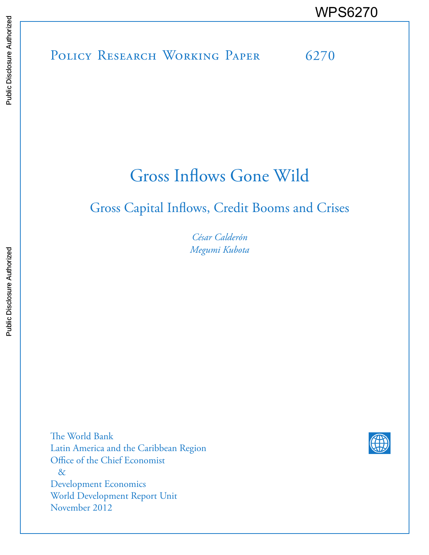POLICY RESEARCH WORKING PAPER 6270 WPS6270<br>
Media<br>
Media<br>
Policy Research Working Paper 6270<br>
Policy Research Working Paper 6270

# Gross Inflows Gone Wild

# Gross Capital Inflows, Credit Booms and Crises

*César Calderón Megumi Kubota*

The World Bank Latin America and the Caribbean Region Office of the Chief Economist & Development Economics World Development Report Unit November 2012

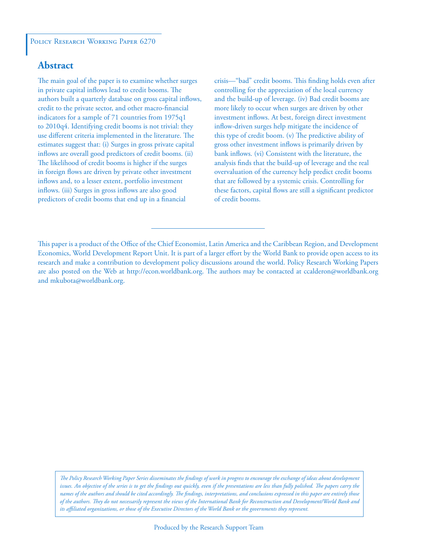#### **Abstract**

The main goal of the paper is to examine whether surges in private capital inflows lead to credit booms. The authors built a quarterly database on gross capital inflows, credit to the private sector, and other macro-financial indicators for a sample of 71 countries from 1975q1 to 2010q4. Identifying credit booms is not trivial: they use different criteria implemented in the literature. The estimates suggest that: (i) Surges in gross private capital inflows are overall good predictors of credit booms. (ii) The likelihood of credit booms is higher if the surges in foreign flows are driven by private other investment inflows and, to a lesser extent, portfolio investment inflows. (iii) Surges in gross inflows are also good predictors of credit booms that end up in a financial

crisis—"bad" credit booms. This finding holds even after controlling for the appreciation of the local currency and the build-up of leverage. (iv) Bad credit booms are more likely to occur when surges are driven by other investment inflows. At best, foreign direct investment inflow-driven surges help mitigate the incidence of this type of credit boom. (v) The predictive ability of gross other investment inflows is primarily driven by bank inflows. (vi) Consistent with the literature, the analysis finds that the build-up of leverage and the real overvaluation of the currency help predict credit booms that are followed by a systemic crisis. Controlling for these factors, capital flows are still a significant predictor of credit booms.

*The Policy Research Working Paper Series disseminates the findings of work in progress to encourage the exchange of ideas about development*  issues. An objective of the series is to get the findings out quickly, even if the presentations are less than fully polished. The papers carry the *names of the authors and should be cited accordingly. The findings, interpretations, and conclusions expressed in this paper are entirely those of the authors. They do not necessarily represent the views of the International Bank for Reconstruction and Development/World Bank and its affiliated organizations, or those of the Executive Directors of the World Bank or the governments they represent.*

This paper is a product of the Office of the Chief Economist, Latin America and the Caribbean Region, and Development Economics, World Development Report Unit. It is part of a larger effort by the World Bank to provide open access to its research and make a contribution to development policy discussions around the world. Policy Research Working Papers are also posted on the Web at http://econ.worldbank.org. The authors may be contacted at ccalderon@worldbank.org and mkubota@worldbank.org.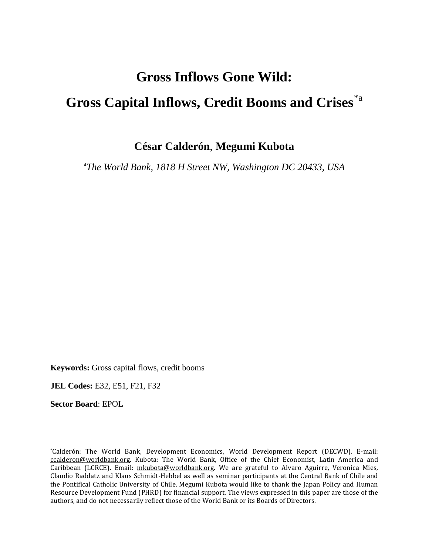# **Gross Inflows Gone Wild: Gross Capital Inflows, Credit Booms and Crises**[\\*a](#page-2-0)

**César Calderón**, **Megumi Kubota**

a *The World Bank, 1818 H Street NW, Washington DC 20433, USA*

**Keywords:** Gross capital flows, credit booms

**JEL Codes:** E32, E51, F21, F32

**Sector Board**: EPOL

 $\overline{\phantom{a}}$ 

<span id="page-2-0"></span><sup>\*</sup>Calderón: The World Bank, Development Economics, World Development Report (DECWD). E-mail: [ccalderon@worldbank.org.](mailto:ccalderon@worldbank.org) Kubota: The World Bank, Office of the Chief Economist, Latin America and Caribbean (LCRCE). Email: [mkubota@worldbank.org.](mailto:mkubota@worldbank.org) We are grateful to Alvaro Aguirre, Veronica Mies, Claudio Raddatz and Klaus Schmidt-Hebbel as well as seminar participants at the Central Bank of Chile and the Pontifical Catholic University of Chile. Megumi Kubota would like to thank the Japan Policy and Human Resource Development Fund (PHRD) for financial support. The views expressed in this paper are those of the authors, and do not necessarily reflect those of the World Bank or its Boards of Directors.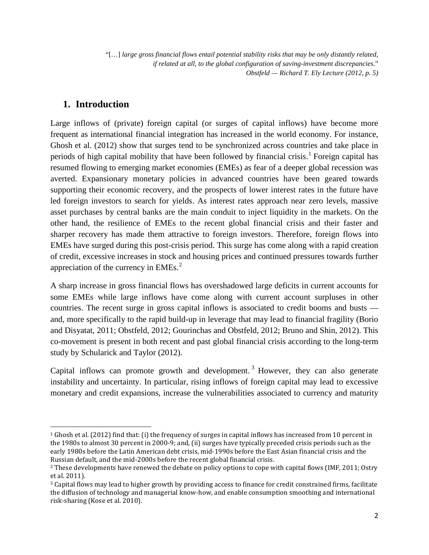"[…] *large gross financial flows entail potential stability risks that may be only distantly related, if related at all, to the global configuration of saving-investment discrepancies*." *Obstfeld — Richard T. Ely Lecture (2012, p. 5)*

#### **1. Introduction**

 $\overline{\phantom{a}}$ 

Large inflows of (private) foreign capital (or surges of capital inflows) have become more frequent as international financial integration has increased in the world economy. For instance, Ghosh et al. (2012) show that surges tend to be synchronized across countries and take place in periods of high capital mobility that have been followed by financial crisis.<sup>[1](#page-3-0)</sup> Foreign capital has resumed flowing to emerging market economies (EMEs) as fear of a deeper global recession was averted. Expansionary monetary policies in advanced countries have been geared towards supporting their economic recovery, and the prospects of lower interest rates in the future have led foreign investors to search for yields. As interest rates approach near zero levels, massive asset purchases by central banks are the main conduit to inject liquidity in the markets. On the other hand, the resilience of EMEs to the recent global financial crisis and their faster and sharper recovery has made them attractive to foreign investors. Therefore, foreign flows into EMEs have surged during this post-crisis period. This surge has come along with a rapid creation of credit, excessive increases in stock and housing prices and continued pressures towards further appreciation of the currency in  $EMEs.<sup>2</sup>$  $EMEs.<sup>2</sup>$  $EMEs.<sup>2</sup>$ 

A sharp increase in gross financial flows has overshadowed large deficits in current accounts for some EMEs while large inflows have come along with current account surpluses in other countries. The recent surge in gross capital inflows is associated to credit booms and busts and, more specifically to the rapid build-up in leverage that may lead to financial fragility (Borio and Disyatat, 2011; Obstfeld, 2012; Gourinchas and Obstfeld, 2012; Bruno and Shin, 2012). This co-movement is present in both recent and past global financial crisis according to the long-term study by Schularick and Taylor (2012).

Capital inflows can promote growth and development.<sup>[3](#page-3-2)</sup> However, they can also generate instability and uncertainty. In particular, rising inflows of foreign capital may lead to excessive monetary and credit expansions, increase the vulnerabilities associated to currency and maturity

<span id="page-3-0"></span><sup>&</sup>lt;sup>1</sup> Ghosh et al. (2012) find that: (i) the frequency of surges in capital inflows has increased from 10 percent in the 1980s to almost 30 percent in 2000-9; and, (ii) surges have typically preceded crisis periods such as the early 1980s before the Latin American debt crisis, mid-1990s before the East Asian financial crisis and the Russian default, and the mid-2000s before the recent global financial crisis.

<span id="page-3-1"></span><sup>&</sup>lt;sup>2</sup> These developments have renewed the debate on policy options to cope with capital flows (IMF, 2011; Ostry et al. 2011).

<span id="page-3-2"></span><sup>3</sup> Capital flows may lead to higher growth by providing access to finance for credit constrained firms, facilitate the diffusion of technology and managerial know-how, and enable consumption smoothing and international risk-sharing (Kose et al. 2010).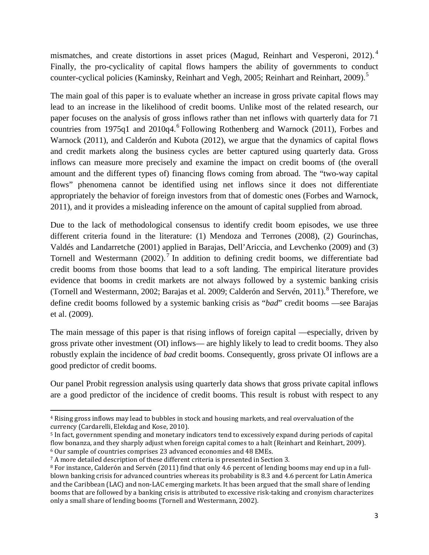mismatches, and create distortions in asset prices (Magud, Reinhart and Vesperoni, 2012).<sup>[4](#page-4-0)</sup> Finally, the pro-cyclicality of capital flows hampers the ability of governments to conduct counter-cyclical policies (Kaminsky, Reinhart and Vegh, 200[5](#page-4-1); Reinhart and Reinhart, 2009).<sup>5</sup>

The main goal of this paper is to evaluate whether an increase in gross private capital flows may lead to an increase in the likelihood of credit booms. Unlike most of the related research, our paper focuses on the analysis of gross inflows rather than net inflows with quarterly data for 71 countries from 1975q1 and 2010q4.<sup>[6](#page-4-2)</sup> Following Rothenberg and Warnock (2011), Forbes and Warnock (2011), and Calderón and Kubota (2012), we argue that the dynamics of capital flows and credit markets along the business cycles are better captured using quarterly data. Gross inflows can measure more precisely and examine the impact on credit booms of (the overall amount and the different types of) financing flows coming from abroad. The "two-way capital flows" phenomena cannot be identified using net inflows since it does not differentiate appropriately the behavior of foreign investors from that of domestic ones (Forbes and Warnock, 2011), and it provides a misleading inference on the amount of capital supplied from abroad.

Due to the lack of methodological consensus to identify credit boom episodes, we use three different criteria found in the literature: (1) Mendoza and Terrones (2008), (2) Gourinchas, Valdés and Landarretche (2001) applied in Barajas, Dell'Ariccia, and Levchenko (2009) and (3) Tornell and Westermann  $(2002)$ .<sup>[7](#page-4-3)</sup> In addition to defining credit booms, we differentiate bad credit booms from those booms that lead to a soft landing. The empirical literature provides evidence that booms in credit markets are not always followed by a systemic banking crisis (Tornell and Westermann, 2002; Barajas et al. 2009; Calderón and Servén, 2011).<sup>[8](#page-4-4)</sup> Therefore, we define credit booms followed by a systemic banking crisis as "*bad*" credit booms —see Barajas et al. (2009).

The main message of this paper is that rising inflows of foreign capital —especially, driven by gross private other investment (OI) inflows— are highly likely to lead to credit booms. They also robustly explain the incidence of *bad* credit booms. Consequently, gross private OI inflows are a good predictor of credit booms.

Our panel Probit regression analysis using quarterly data shows that gross private capital inflows are a good predictor of the incidence of credit booms. This result is robust with respect to any

 $\overline{\phantom{a}}$ 

<span id="page-4-0"></span><sup>4</sup> Rising gross inflows may lead to bubbles in stock and housing markets, and real overvaluation of the currency (Cardarelli, Elekdag and Kose, 2010).

<span id="page-4-1"></span><sup>5</sup> In fact, government spending and monetary indicators tend to excessively expand during periods of capital flow bonanza, and they sharply adjust when foreign capital comes to a halt (Reinhart and Reinhart, 2009). <sup>6</sup> Our sample of countries comprises 23 advanced economies and 48 EMEs.

<span id="page-4-3"></span><span id="page-4-2"></span><sup>7</sup> A more detailed description of these different criteria is presented in Section 3.

<span id="page-4-4"></span><sup>8</sup> For instance, Calderón and Servén (2011) find that only 4.6 percent of lending booms may end up in a fullblown banking crisis for advanced countries whereas its probability is 8.3 and 4.6 percent for Latin America and the Caribbean (LAC) and non-LAC emerging markets. It has been argued that the small share of lending booms that are followed by a banking crisis is attributed to excessive risk-taking and cronyism characterizes only a small share of lending booms (Tornell and Westermann, 2002).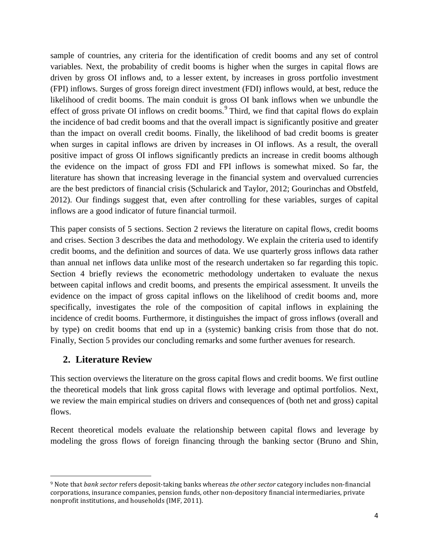sample of countries, any criteria for the identification of credit booms and any set of control variables. Next, the probability of credit booms is higher when the surges in capital flows are driven by gross OI inflows and, to a lesser extent, by increases in gross portfolio investment (FPI) inflows. Surges of gross foreign direct investment (FDI) inflows would, at best, reduce the likelihood of credit booms. The main conduit is gross OI bank inflows when we unbundle the effect of gross private OI inflows on credit booms.<sup>[9](#page-5-0)</sup> Third, we find that capital flows do explain the incidence of bad credit booms and that the overall impact is significantly positive and greater than the impact on overall credit booms. Finally, the likelihood of bad credit booms is greater when surges in capital inflows are driven by increases in OI inflows. As a result, the overall positive impact of gross OI inflows significantly predicts an increase in credit booms although the evidence on the impact of gross FDI and FPI inflows is somewhat mixed. So far, the literature has shown that increasing leverage in the financial system and overvalued currencies are the best predictors of financial crisis (Schularick and Taylor, 2012; Gourinchas and Obstfeld, 2012). Our findings suggest that, even after controlling for these variables, surges of capital inflows are a good indicator of future financial turmoil.

This paper consists of 5 sections. Section 2 reviews the literature on capital flows, credit booms and crises. Section 3 describes the data and methodology. We explain the criteria used to identify credit booms, and the definition and sources of data. We use quarterly gross inflows data rather than annual net inflows data unlike most of the research undertaken so far regarding this topic. Section 4 briefly reviews the econometric methodology undertaken to evaluate the nexus between capital inflows and credit booms, and presents the empirical assessment. It unveils the evidence on the impact of gross capital inflows on the likelihood of credit booms and, more specifically, investigates the role of the composition of capital inflows in explaining the incidence of credit booms. Furthermore, it distinguishes the impact of gross inflows (overall and by type) on credit booms that end up in a (systemic) banking crisis from those that do not. Finally, Section 5 provides our concluding remarks and some further avenues for research.

#### **2. Literature Review**

l

This section overviews the literature on the gross capital flows and credit booms. We first outline the theoretical models that link gross capital flows with leverage and optimal portfolios. Next, we review the main empirical studies on drivers and consequences of (both net and gross) capital flows.

Recent theoretical models evaluate the relationship between capital flows and leverage by modeling the gross flows of foreign financing through the banking sector (Bruno and Shin,

<span id="page-5-0"></span><sup>9</sup> Note that *bank sector* refers deposit-taking banks whereas *the other sector* category includes non-financial corporations, insurance companies, pension funds, other non-depository financial intermediaries, private nonprofit institutions, and households (IMF, 2011).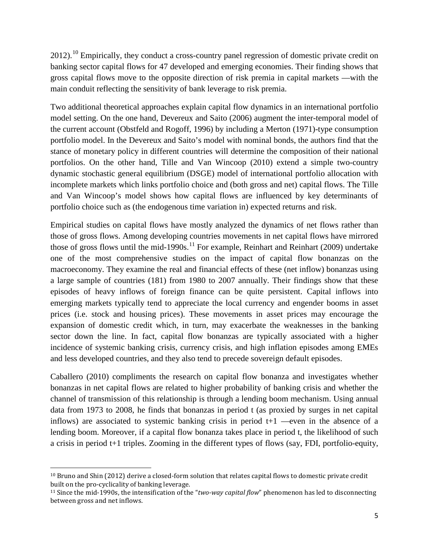2012).<sup>[10](#page-6-0)</sup> Empirically, they conduct a cross-country panel regression of domestic private credit on banking sector capital flows for 47 developed and emerging economies. Their finding shows that gross capital flows move to the opposite direction of risk premia in capital markets —with the main conduit reflecting the sensitivity of bank leverage to risk premia.

Two additional theoretical approaches explain capital flow dynamics in an international portfolio model setting. On the one hand, Devereux and Saito (2006) augment the inter-temporal model of the current account (Obstfeld and Rogoff, 1996) by including a Merton (1971)-type consumption portfolio model. In the Devereux and Saito's model with nominal bonds, the authors find that the stance of monetary policy in different countries will determine the composition of their national portfolios. On the other hand, Tille and Van Wincoop (2010) extend a simple two-country dynamic stochastic general equilibrium (DSGE) model of international portfolio allocation with incomplete markets which links portfolio choice and (both gross and net) capital flows. The Tille and Van Wincoop's model shows how capital flows are influenced by key determinants of portfolio choice such as (the endogenous time variation in) expected returns and risk.

Empirical studies on capital flows have mostly analyzed the dynamics of net flows rather than those of gross flows. Among developing countries movements in net capital flows have mirrored those of gross flows until the mid-1990s.<sup>[11](#page-6-1)</sup> For example, Reinhart and Reinhart (2009) undertake one of the most comprehensive studies on the impact of capital flow bonanzas on the macroeconomy. They examine the real and financial effects of these (net inflow) bonanzas using a large sample of countries (181) from 1980 to 2007 annually. Their findings show that these episodes of heavy inflows of foreign finance can be quite persistent. Capital inflows into emerging markets typically tend to appreciate the local currency and engender booms in asset prices (i.e. stock and housing prices). These movements in asset prices may encourage the expansion of domestic credit which, in turn, may exacerbate the weaknesses in the banking sector down the line. In fact, capital flow bonanzas are typically associated with a higher incidence of systemic banking crisis, currency crisis, and high inflation episodes among EMEs and less developed countries, and they also tend to precede sovereign default episodes.

Caballero (2010) compliments the research on capital flow bonanza and investigates whether bonanzas in net capital flows are related to higher probability of banking crisis and whether the channel of transmission of this relationship is through a lending boom mechanism. Using annual data from 1973 to 2008, he finds that bonanzas in period t (as proxied by surges in net capital inflows) are associated to systemic banking crisis in period  $t+1$  —even in the absence of a lending boom. Moreover, if a capital flow bonanza takes place in period t, the likelihood of such a crisis in period t+1 triples. Zooming in the different types of flows (say, FDI, portfolio-equity,

 $\overline{\phantom{a}}$ 

<span id="page-6-0"></span><sup>10</sup> Bruno and Shin (2012) derive a closed-form solution that relates capital flows to domestic private credit built on the pro-cyclicality of banking leverage.

<span id="page-6-1"></span><sup>11</sup> Since the mid-1990s, the intensification of the "*two-way capital flow*" phenomenon has led to disconnecting between gross and net inflows.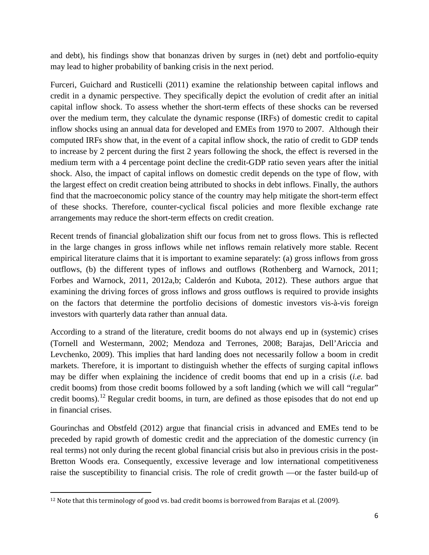and debt), his findings show that bonanzas driven by surges in (net) debt and portfolio-equity may lead to higher probability of banking crisis in the next period.

Furceri, Guichard and Rusticelli (2011) examine the relationship between capital inflows and credit in a dynamic perspective. They specifically depict the evolution of credit after an initial capital inflow shock. To assess whether the short-term effects of these shocks can be reversed over the medium term, they calculate the dynamic response (IRFs) of domestic credit to capital inflow shocks using an annual data for developed and EMEs from 1970 to 2007. Although their computed IRFs show that, in the event of a capital inflow shock, the ratio of credit to GDP tends to increase by 2 percent during the first 2 years following the shock, the effect is reversed in the medium term with a 4 percentage point decline the credit-GDP ratio seven years after the initial shock. Also, the impact of capital inflows on domestic credit depends on the type of flow, with the largest effect on credit creation being attributed to shocks in debt inflows. Finally, the authors find that the macroeconomic policy stance of the country may help mitigate the short-term effect of these shocks. Therefore, counter-cyclical fiscal policies and more flexible exchange rate arrangements may reduce the short-term effects on credit creation.

Recent trends of financial globalization shift our focus from net to gross flows. This is reflected in the large changes in gross inflows while net inflows remain relatively more stable. Recent empirical literature claims that it is important to examine separately: (a) gross inflows from gross outflows, (b) the different types of inflows and outflows (Rothenberg and Warnock, 2011; Forbes and Warnock, 2011, 2012a,b; Calderón and Kubota, 2012). These authors argue that examining the driving forces of gross inflows and gross outflows is required to provide insights on the factors that determine the portfolio decisions of domestic investors vis-à-vis foreign investors with quarterly data rather than annual data.

According to a strand of the literature, credit booms do not always end up in (systemic) crises (Tornell and Westermann, 2002; Mendoza and Terrones, 2008; Barajas, Dell'Ariccia and Levchenko, 2009). This implies that hard landing does not necessarily follow a boom in credit markets. Therefore, it is important to distinguish whether the effects of surging capital inflows may be differ when explaining the incidence of credit booms that end up in a crisis (*i.e.* bad credit booms) from those credit booms followed by a soft landing (which we will call "regular" credit booms).<sup>[12](#page-7-0)</sup> Regular credit booms, in turn, are defined as those episodes that do not end up in financial crises.

Gourinchas and Obstfeld (2012) argue that financial crisis in advanced and EMEs tend to be preceded by rapid growth of domestic credit and the appreciation of the domestic currency (in real terms) not only during the recent global financial crisis but also in previous crisis in the post-Bretton Woods era. Consequently, excessive leverage and low international competitiveness raise the susceptibility to financial crisis. The role of credit growth —or the faster build-up of

<span id="page-7-0"></span>l <sup>12</sup> Note that this terminology of good vs. bad credit booms is borrowed from Barajas et al. (2009).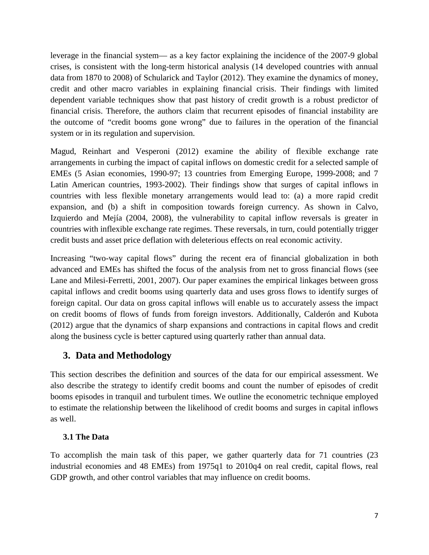leverage in the financial system— as a key factor explaining the incidence of the 2007-9 global crises, is consistent with the long-term historical analysis (14 developed countries with annual data from 1870 to 2008) of Schularick and Taylor (2012). They examine the dynamics of money, credit and other macro variables in explaining financial crisis. Their findings with limited dependent variable techniques show that past history of credit growth is a robust predictor of financial crisis. Therefore, the authors claim that recurrent episodes of financial instability are the outcome of "credit booms gone wrong" due to failures in the operation of the financial system or in its regulation and supervision.

Magud, Reinhart and Vesperoni (2012) examine the ability of flexible exchange rate arrangements in curbing the impact of capital inflows on domestic credit for a selected sample of EMEs (5 Asian economies, 1990-97; 13 countries from Emerging Europe, 1999-2008; and 7 Latin American countries, 1993-2002). Their findings show that surges of capital inflows in countries with less flexible monetary arrangements would lead to: (a) a more rapid credit expansion, and (b) a shift in composition towards foreign currency. As shown in Calvo, Izquierdo and Mejía (2004, 2008), the vulnerability to capital inflow reversals is greater in countries with inflexible exchange rate regimes. These reversals, in turn, could potentially trigger credit busts and asset price deflation with deleterious effects on real economic activity.

Increasing "two-way capital flows" during the recent era of financial globalization in both advanced and EMEs has shifted the focus of the analysis from net to gross financial flows (see Lane and Milesi-Ferretti, 2001, 2007). Our paper examines the empirical linkages between gross capital inflows and credit booms using quarterly data and uses gross flows to identify surges of foreign capital. Our data on gross capital inflows will enable us to accurately assess the impact on credit booms of flows of funds from foreign investors. Additionally, Calderón and Kubota (2012) argue that the dynamics of sharp expansions and contractions in capital flows and credit along the business cycle is better captured using quarterly rather than annual data.

## **3. Data and Methodology**

This section describes the definition and sources of the data for our empirical assessment. We also describe the strategy to identify credit booms and count the number of episodes of credit booms episodes in tranquil and turbulent times. We outline the econometric technique employed to estimate the relationship between the likelihood of credit booms and surges in capital inflows as well.

#### **3.1 The Data**

To accomplish the main task of this paper, we gather quarterly data for 71 countries (23 industrial economies and 48 EMEs) from 1975q1 to 2010q4 on real credit, capital flows, real GDP growth, and other control variables that may influence on credit booms.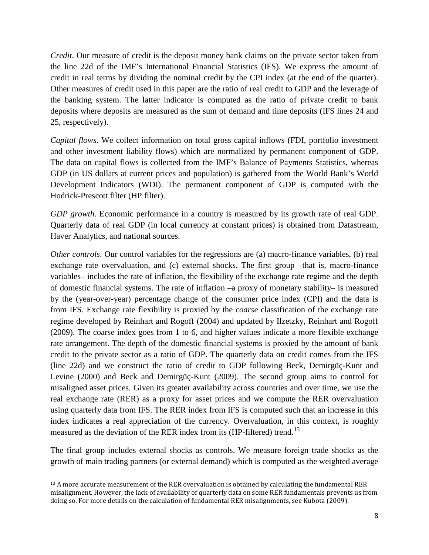*Credit*. Our measure of credit is the deposit money bank claims on the private sector taken from the line 22d of the IMF's International Financial Statistics (IFS). We express the amount of credit in real terms by dividing the nominal credit by the CPI index (at the end of the quarter). Other measures of credit used in this paper are the ratio of real credit to GDP and the leverage of the banking system. The latter indicator is computed as the ratio of private credit to bank deposits where deposits are measured as the sum of demand and time deposits (IFS lines 24 and 25, respectively).

*Capital flows*. We collect information on total gross capital inflows (FDI, portfolio investment and other investment liability flows) which are normalized by permanent component of GDP. The data on capital flows is collected from the IMF's Balance of Payments Statistics, whereas GDP (in US dollars at current prices and population) is gathered from the World Bank's World Development Indicators (WDI). The permanent component of GDP is computed with the Hodrick-Prescott filter (HP filter).

*GDP growth*. Economic performance in a country is measured by its growth rate of real GDP. Quarterly data of real GDP (in local currency at constant prices) is obtained from Datastream, Haver Analytics, and national sources.

*Other controls*. Our control variables for the regressions are (a) macro-finance variables, (b) real exchange rate overvaluation, and (c) external shocks. The first group –that is, macro-finance variables– includes the rate of inflation, the flexibility of the exchange rate regime and the depth of domestic financial systems. The rate of inflation –a proxy of monetary stability– is measured by the (year-over-year) percentage change of the consumer price index (CPI) and the data is from IFS. Exchange rate flexibility is proxied by the *coarse* classification of the exchange rate regime developed by Reinhart and Rogoff (2004) and updated by Ilzetzky, Reinhart and Rogoff (2009). The coarse index goes from 1 to 6, and higher values indicate a more flexible exchange rate arrangement. The depth of the domestic financial systems is proxied by the amount of bank credit to the private sector as a ratio of GDP. The quarterly data on credit comes from the IFS (line 22d) and we construct the ratio of credit to GDP following Beck, Demirgüç-Kunt and Levine (2000) and Beck and Demirgüç-Kunt (2009). The second group aims to control for misaligned asset prices. Given its greater availability across countries and over time, we use the real exchange rate (RER) as a proxy for asset prices and we compute the RER overvaluation using quarterly data from IFS. The RER index from IFS is computed such that an increase in this index indicates a real appreciation of the currency. Overvaluation, in this context, is roughly measured as the deviation of the RER index from its (HP-filtered) trend.<sup>[13](#page-9-0)</sup>

The final group includes external shocks as controls. We measure foreign trade shocks as the growth of main trading partners (or external demand) which is computed as the weighted average

l

<span id="page-9-0"></span><sup>&</sup>lt;sup>13</sup> A more accurate measurement of the RER overvaluation is obtained by calculating the fundamental RER misalignment. However, the lack of availability of quarterly data on some RER fundamentals prevents us from doing so. For more details on the calculation of fundamental RER misalignments, see Kubota (2009).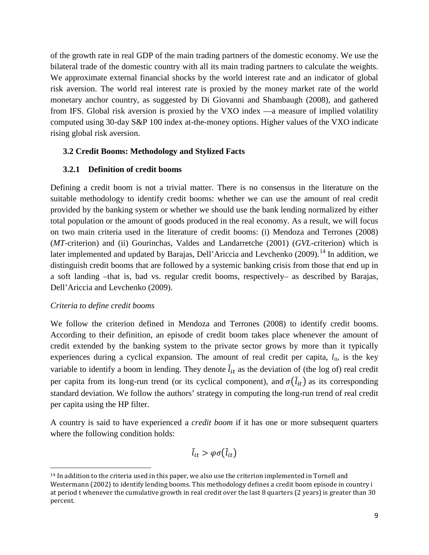of the growth rate in real GDP of the main trading partners of the domestic economy. We use the bilateral trade of the domestic country with all its main trading partners to calculate the weights. We approximate external financial shocks by the world interest rate and an indicator of global risk aversion. The world real interest rate is proxied by the money market rate of the world monetary anchor country, as suggested by Di Giovanni and Shambaugh (2008), and gathered from IFS. Global risk aversion is proxied by the VXO index —a measure of implied volatility computed using 30-day S&P 100 index at-the-money options. Higher values of the VXO indicate rising global risk aversion.

#### **3.2 Credit Booms: Methodology and Stylized Facts**

#### **3.2.1 Definition of credit booms**

Defining a credit boom is not a trivial matter. There is no consensus in the literature on the suitable methodology to identify credit booms: whether we can use the amount of real credit provided by the banking system or whether we should use the bank lending normalized by either total population or the amount of goods produced in the real economy. As a result, we will focus on two main criteria used in the literature of credit booms: (i) Mendoza and Terrones (2008) (*MT*-criterion) and (ii) Gourinchas, Valdes and Landarretche (2001) (*GVL*-criterion) which is later implemented and updated by Barajas, Dell'Ariccia and Levchenko (2009).<sup>[14](#page-10-0)</sup> In addition, we distinguish credit booms that are followed by a systemic banking crisis from those that end up in a soft landing –that is, bad vs. regular credit booms, respectively– as described by Barajas, Dell'Ariccia and Levchenko (2009).

#### *Criteria to define credit booms*

 $\overline{\phantom{a}}$ 

We follow the criterion defined in Mendoza and Terrones (2008) to identify credit booms. According to their definition, an episode of credit boom takes place whenever the amount of credit extended by the banking system to the private sector grows by more than it typically experiences during a cyclical expansion. The amount of real credit per capita,  $l_{it}$ , is the key variable to identify a boom in lending. They denote  $l_{it}$  as the deviation of (the log of) real credit per capita from its long-run trend (or its cyclical component), and  $\sigma(\tilde{l}_{it})$  as its corresponding standard deviation. We follow the authors' strategy in computing the long-run trend of real credit per capita using the HP filter.

A country is said to have experienced a *credit boom* if it has one or more subsequent quarters where the following condition holds:

$$
\tilde{l}_{it} > \varphi \sigma(\tilde{l}_{it})
$$

<span id="page-10-0"></span><sup>14</sup> In addition to the criteria used in this paper, we also use the criterion implemented in Tornell and Westermann (2002) to identify lending booms. This methodology defines a credit boom episode in country i at period t whenever the cumulative growth in real credit over the last 8 quarters (2 years) is greater than 30 percent.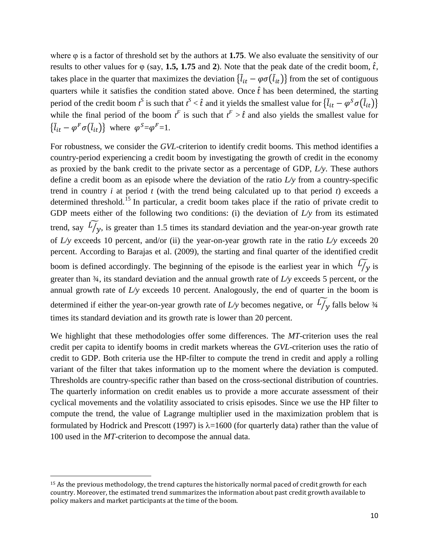where φ is a factor of threshold set by the authors at **1.75**. We also evaluate the sensitivity of our results to other values for  $\varphi$  (say, 1.5, 1.75 and 2). Note that the peak date of the credit boom,  $\hat{t}$ , takes place in the quarter that maximizes the deviation  $\{l_{it} - \varphi \sigma(l_{it})\}$  from the set of contiguous quarters while it satisfies the condition stated above. Once  $\hat{t}$  has been determined, the starting period of the credit boom  $t^S$  is such that  $t^S < \hat{t}$  and it yields the smallest value for  $\{\tilde{l}_{it} - \varphi^S \sigma(\tilde{l}_{it})\}$ while the final period of the boom  $t^F$  is such that  $t^F > \hat{t}$  and also yields the smallest value for  $\{l_{it} - \varphi^F \sigma(l_{it})\}$  where  $\varphi^S = \varphi^F = 1$ .

For robustness, we consider the *GVL*-criterion to identify credit booms. This method identifies a country-period experiencing a credit boom by investigating the growth of credit in the economy as proxied by the bank credit to the private sector as a percentage of GDP, *L/y*. These authors define a credit boom as an episode where the deviation of the ratio *L/y* from a country-specific trend in country *i* at period *t* (with the trend being calculated up to that period *t*) exceeds a determined threshold.<sup>[15](#page-11-0)</sup> In particular, a credit boom takes place if the ratio of private credit to GDP meets either of the following two conditions: (i) the deviation of *L/y* from its estimated trend, say  $L/y$ , is greater than 1.5 times its standard deviation and the year-on-year growth rate of *L/y* exceeds 10 percent, and/or (ii) the year-on-year growth rate in the ratio *L/y* exceeds 20 percent. According to Barajas et al. (2009), the starting and final quarter of the identified credit boom is defined accordingly. The beginning of the episode is the earliest year in which  $L/y$  is greater than ¾, its standard deviation and the annual growth rate of *L/y* exceeds 5 percent, or the annual growth rate of *L/y* exceeds 10 percent. Analogously, the end of quarter in the boom is determined if either the year-on-year growth rate of  $L/y$  becomes negative, or  $L/y$  falls below  $\frac{3}{4}$ times its standard deviation and its growth rate is lower than 20 percent.

We highlight that these methodologies offer some differences. The *MT*-criterion uses the real credit per capita to identify booms in credit markets whereas the *GVL*-criterion uses the ratio of credit to GDP. Both criteria use the HP-filter to compute the trend in credit and apply a rolling variant of the filter that takes information up to the moment where the deviation is computed. Thresholds are country-specific rather than based on the cross-sectional distribution of countries. The quarterly information on credit enables us to provide a more accurate assessment of their cyclical movements and the volatility associated to crisis episodes. Since we use the HP filter to compute the trend, the value of Lagrange multiplier used in the maximization problem that is formulated by Hodrick and Prescott (1997) is  $\lambda=1600$  (for quarterly data) rather than the value of 100 used in the *MT*-criterion to decompose the annual data.

l

<span id="page-11-0"></span><sup>&</sup>lt;sup>15</sup> As the previous methodology, the trend captures the historically normal paced of credit growth for each country. Moreover, the estimated trend summarizes the information about past credit growth available to policy makers and market participants at the time of the boom.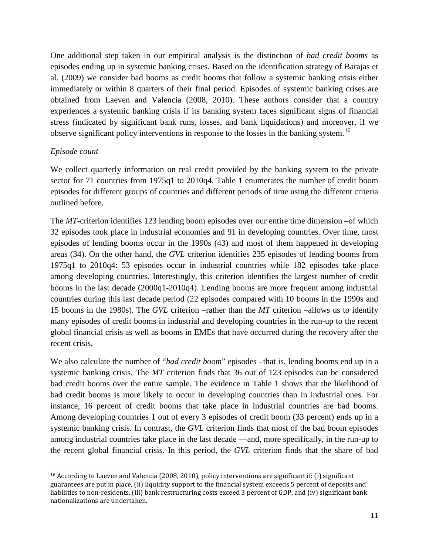One additional step taken in our empirical analysis is the distinction of *bad credit booms* as episodes ending up in systemic banking crises. Based on the identification strategy of Barajas et al. (2009) we consider bad booms as credit booms that follow a systemic banking crisis either immediately or within 8 quarters of their final period. Episodes of systemic banking crises are obtained from Laeven and Valencia (2008, 2010). These authors consider that a country experiences a systemic banking crisis if its banking system faces significant signs of financial stress (indicated by significant bank runs, losses, and bank liquidations) and moreover, if we observe significant policy interventions in response to the losses in the banking system.<sup>[16](#page-12-0)</sup>

#### *Episode count*

 $\overline{\phantom{a}}$ 

We collect quarterly information on real credit provided by the banking system to the private sector for 71 countries from 1975q1 to 2010q4. Table 1 enumerates the number of credit boom episodes for different groups of countries and different periods of time using the different criteria outlined before.

The *MT*-criterion identifies 123 lending boom episodes over our entire time dimension –of which 32 episodes took place in industrial economies and 91 in developing countries. Over time, most episodes of lending booms occur in the 1990s (43) and most of them happened in developing areas (34). On the other hand, the *GVL* criterion identifies 235 episodes of lending booms from 1975q1 to 2010q4: 53 episodes occur in industrial countries while 182 episodes take place among developing countries. Interestingly, this criterion identifies the largest number of credit booms in the last decade (2000q1-2010q4). Lending booms are more frequent among industrial countries during this last decade period (22 episodes compared with 10 booms in the 1990s and 15 booms in the 1980s). The *GVL* criterion –rather than the *MT* criterion –allows us to identify many episodes of credit booms in industrial and developing countries in the run-up to the recent global financial crisis as well as booms in EMEs that have occurred during the recovery after the recent crisis.

We also calculate the number of "*bad credit boom*" episodes –that is, lending booms end up in a systemic banking crisis. The *MT* criterion finds that 36 out of 123 episodes can be considered bad credit booms over the entire sample. The evidence in Table 1 shows that the likelihood of bad credit booms is more likely to occur in developing countries than in industrial ones. For instance, 16 percent of credit booms that take place in industrial countries are bad booms. Among developing countries 1 out of every 3 episodes of credit boom (33 percent) ends up in a systemic banking crisis. In contrast, the *GVL* criterion finds that most of the bad boom episodes among industrial countries take place in the last decade —and, more specifically, in the run-up to the recent global financial crisis. In this period, the *GVL* criterion finds that the share of bad

<span id="page-12-0"></span><sup>&</sup>lt;sup>16</sup> According to Laeven and Valencia (2008, 2010), policy interventions are significant if: (i) significant guarantees are put in place, (ii) liquidity support to the financial system exceeds 5 percent of deposits and liabilities to non-residents, (iii) bank restructuring costs exceed 3 percent of GDP, and (iv) significant bank nationalizations are undertaken.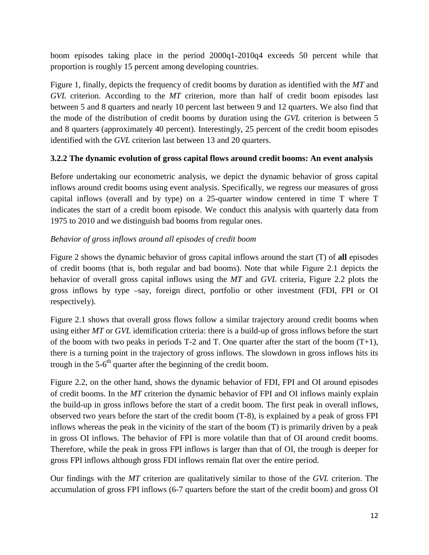boom episodes taking place in the period 2000q1-2010q4 exceeds 50 percent while that proportion is roughly 15 percent among developing countries.

Figure 1, finally, depicts the frequency of credit booms by duration as identified with the *MT* and *GVL* criterion. According to the *MT* criterion, more than half of credit boom episodes last between 5 and 8 quarters and nearly 10 percent last between 9 and 12 quarters. We also find that the mode of the distribution of credit booms by duration using the *GVL* criterion is between 5 and 8 quarters (approximately 40 percent). Interestingly, 25 percent of the credit boom episodes identified with the *GVL* criterion last between 13 and 20 quarters.

#### **3.2.2 The dynamic evolution of gross capital flows around credit booms: An event analysis**

Before undertaking our econometric analysis, we depict the dynamic behavior of gross capital inflows around credit booms using event analysis. Specifically, we regress our measures of gross capital inflows (overall and by type) on a 25-quarter window centered in time T where T indicates the start of a credit boom episode. We conduct this analysis with quarterly data from 1975 to 2010 and we distinguish bad booms from regular ones.

#### *Behavior of gross inflows around all episodes of credit boom*

Figure 2 shows the dynamic behavior of gross capital inflows around the start (T) of **all** episodes of credit booms (that is, both regular and bad booms). Note that while Figure 2.1 depicts the behavior of overall gross capital inflows using the *MT* and *GVL* criteria, Figure 2.2 plots the gross inflows by type –say, foreign direct, portfolio or other investment (FDI, FPI or OI respectively).

Figure 2.1 shows that overall gross flows follow a similar trajectory around credit booms when using either *MT* or *GVL* identification criteria: there is a build-up of gross inflows before the start of the boom with two peaks in periods  $T-2$  and  $T$ . One quarter after the start of the boom  $(T+1)$ , there is a turning point in the trajectory of gross inflows. The slowdown in gross inflows hits its trough in the  $5-6<sup>th</sup>$  quarter after the beginning of the credit boom.

Figure 2.2, on the other hand, shows the dynamic behavior of FDI, FPI and OI around episodes of credit booms. In the *MT* criterion the dynamic behavior of FPI and OI inflows mainly explain the build-up in gross inflows before the start of a credit boom. The first peak in overall inflows, observed two years before the start of the credit boom (T-8), is explained by a peak of gross FPI inflows whereas the peak in the vicinity of the start of the boom (T) is primarily driven by a peak in gross OI inflows. The behavior of FPI is more volatile than that of OI around credit booms. Therefore, while the peak in gross FPI inflows is larger than that of OI, the trough is deeper for gross FPI inflows although gross FDI inflows remain flat over the entire period.

Our findings with the *MT* criterion are qualitatively similar to those of the *GVL* criterion. The accumulation of gross FPI inflows (6-7 quarters before the start of the credit boom) and gross OI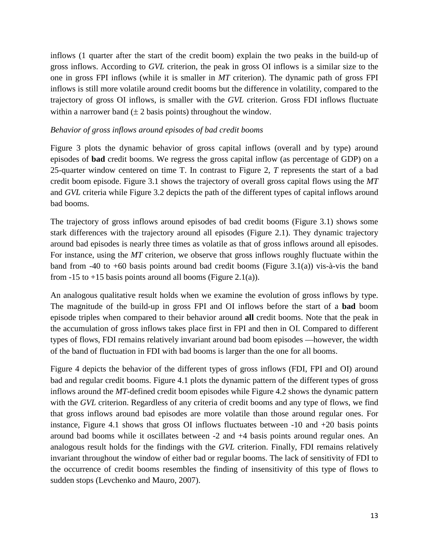inflows (1 quarter after the start of the credit boom) explain the two peaks in the build-up of gross inflows. According to *GVL* criterion, the peak in gross OI inflows is a similar size to the one in gross FPI inflows (while it is smaller in *MT* criterion). The dynamic path of gross FPI inflows is still more volatile around credit booms but the difference in volatility, compared to the trajectory of gross OI inflows, is smaller with the *GVL* criterion. Gross FDI inflows fluctuate within a narrower band  $(\pm 2$  basis points) throughout the window.

#### *Behavior of gross inflows around episodes of bad credit booms*

Figure 3 plots the dynamic behavior of gross capital inflows (overall and by type) around episodes of **bad** credit booms. We regress the gross capital inflow (as percentage of GDP) on a 25-quarter window centered on time T. In contrast to Figure 2, *T* represents the start of a bad credit boom episode. Figure 3.1 shows the trajectory of overall gross capital flows using the *MT* and *GVL* criteria while Figure 3.2 depicts the path of the different types of capital inflows around bad booms.

The trajectory of gross inflows around episodes of bad credit booms (Figure 3.1) shows some stark differences with the trajectory around all episodes (Figure 2.1). They dynamic trajectory around bad episodes is nearly three times as volatile as that of gross inflows around all episodes. For instance, using the *MT* criterion, we observe that gross inflows roughly fluctuate within the band from -40 to +60 basis points around bad credit booms (Figure 3.1(a)) vis-à-vis the band from  $-15$  to  $+15$  basis points around all booms (Figure 2.1(a)).

An analogous qualitative result holds when we examine the evolution of gross inflows by type. The magnitude of the build-up in gross FPI and OI inflows before the start of a **bad** boom episode triples when compared to their behavior around **all** credit booms. Note that the peak in the accumulation of gross inflows takes place first in FPI and then in OI. Compared to different types of flows, FDI remains relatively invariant around bad boom episodes —however, the width of the band of fluctuation in FDI with bad booms is larger than the one for all booms.

Figure 4 depicts the behavior of the different types of gross inflows (FDI, FPI and OI) around bad and regular credit booms. Figure 4.1 plots the dynamic pattern of the different types of gross inflows around the *MT*-defined credit boom episodes while Figure 4.2 shows the dynamic pattern with the *GVL* criterion. Regardless of any criteria of credit booms and any type of flows, we find that gross inflows around bad episodes are more volatile than those around regular ones. For instance, Figure 4.1 shows that gross OI inflows fluctuates between  $-10$  and  $+20$  basis points around bad booms while it oscillates between -2 and +4 basis points around regular ones. An analogous result holds for the findings with the *GVL* criterion. Finally, FDI remains relatively invariant throughout the window of either bad or regular booms. The lack of sensitivity of FDI to the occurrence of credit booms resembles the finding of insensitivity of this type of flows to sudden stops (Levchenko and Mauro, 2007).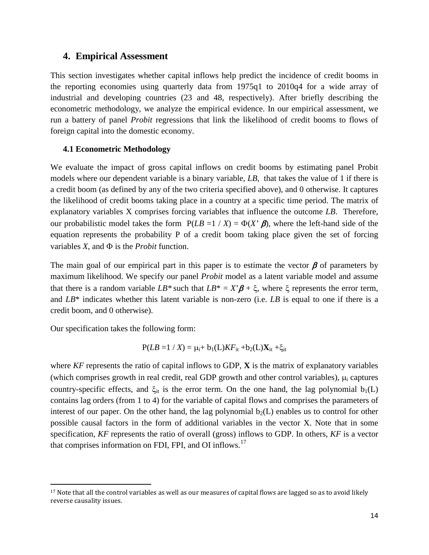#### **4. Empirical Assessment**

This section investigates whether capital inflows help predict the incidence of credit booms in the reporting economies using quarterly data from 1975q1 to 2010q4 for a wide array of industrial and developing countries (23 and 48, respectively). After briefly describing the econometric methodology, we analyze the empirical evidence. In our empirical assessment, we run a battery of panel *Probit* regressions that link the likelihood of credit booms to flows of foreign capital into the domestic economy.

#### **4.1 Econometric Methodology**

We evaluate the impact of gross capital inflows on credit booms by estimating panel Probit models where our dependent variable is a binary variable, *LB*, that takes the value of 1 if there is a credit boom (as defined by any of the two criteria specified above), and 0 otherwise. It captures the likelihood of credit booms taking place in a country at a specific time period. The matrix of explanatory variables X comprises forcing variables that influence the outcome *LB*. Therefore, our probabilistic model takes the form  $P(LB = 1 / X) = \Phi(X' \mid B)$ , where the left-hand side of the equation represents the probability P of a credit boom taking place given the set of forcing variables  $X$ , and  $\Phi$  is the *Probit* function.

The main goal of our empirical part in this paper is to estimate the vector  $\beta$  of parameters by maximum likelihood. We specify our panel *Probit* model as a latent variable model and assume that there is a random variable  $LB^*$  such that  $LB^* = X'\beta + \xi$ , where  $\xi$  represents the error term, and *LB*\* indicates whether this latent variable is non-zero (i.e. *LB* is equal to one if there is a credit boom, and 0 otherwise).

Our specification takes the following form:

l

$$
P(LB = 1 / X) = \mu_i + b_1(L)KF_{it} + b_2(L)X_{it} + \xi_{it}
$$

where *KF* represents the ratio of capital inflows to GDP, **X** is the matrix of explanatory variables (which comprises growth in real credit, real GDP growth and other control variables),  $\mu_i$  captures country-specific effects, and  $\xi_{it}$  is the error term. On the one hand, the lag polynomial  $b_1(L)$ contains lag orders (from 1 to 4) for the variable of capital flows and comprises the parameters of interest of our paper. On the other hand, the lag polynomial  $b_2(L)$  enables us to control for other possible causal factors in the form of additional variables in the vector X. Note that in some specification, *KF* represents the ratio of overall (gross) inflows to GDP. In others, *KF* is a vector that comprises information on FDI, FPI, and OI inflows.<sup>[17](#page-15-0)</sup>

<span id="page-15-0"></span><sup>&</sup>lt;sup>17</sup> Note that all the control variables as well as our measures of capital flows are lagged so as to avoid likely reverse causality issues.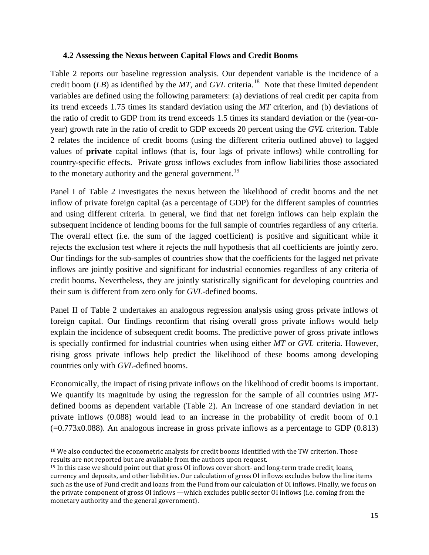#### **4.2 Assessing the Nexus between Capital Flows and Credit Booms**

Table 2 reports our baseline regression analysis. Our dependent variable is the incidence of a credit boom (*LB*) as identified by the *MT*, and *GVL* criteria.[18](#page-16-0) Note that these limited dependent variables are defined using the following parameters: (a) deviations of real credit per capita from its trend exceeds 1.75 times its standard deviation using the *MT* criterion, and (b) deviations of the ratio of credit to GDP from its trend exceeds 1.5 times its standard deviation or the (year-onyear) growth rate in the ratio of credit to GDP exceeds 20 percent using the *GVL* criterion. Table 2 relates the incidence of credit booms (using the different criteria outlined above) to lagged values of **private** capital inflows (that is, four lags of private inflows) while controlling for country-specific effects. Private gross inflows excludes from inflow liabilities those associated to the monetary authority and the general government.<sup>19</sup>

Panel I of Table 2 investigates the nexus between the likelihood of credit booms and the net inflow of private foreign capital (as a percentage of GDP) for the different samples of countries and using different criteria. In general, we find that net foreign inflows can help explain the subsequent incidence of lending booms for the full sample of countries regardless of any criteria. The overall effect (i.e. the sum of the lagged coefficient) is positive and significant while it rejects the exclusion test where it rejects the null hypothesis that all coefficients are jointly zero. Our findings for the sub-samples of countries show that the coefficients for the lagged net private inflows are jointly positive and significant for industrial economies regardless of any criteria of credit booms. Nevertheless, they are jointly statistically significant for developing countries and their sum is different from zero only for *GVL*-defined booms.

Panel II of Table 2 undertakes an analogous regression analysis using gross private inflows of foreign capital. Our findings reconfirm that rising overall gross private inflows would help explain the incidence of subsequent credit booms. The predictive power of gross private inflows is specially confirmed for industrial countries when using either *MT* or *GVL* criteria. However, rising gross private inflows help predict the likelihood of these booms among developing countries only with *GVL*-defined booms.

Economically, the impact of rising private inflows on the likelihood of credit booms is important. We quantify its magnitude by using the regression for the sample of all countries using *MT*defined booms as dependent variable (Table 2). An increase of one standard deviation in net private inflows (0.088) would lead to an increase in the probability of credit boom of 0.1  $(-0.773x0.088)$ . An analogous increase in gross private inflows as a percentage to GDP  $(0.813)$ 

<span id="page-16-0"></span> $\overline{\phantom{a}}$ <sup>18</sup> We also conducted the econometric analysis for credit booms identified with the TW criterion. Those results are not reported but are available from the authors upon request.

<span id="page-16-1"></span><sup>&</sup>lt;sup>19</sup> In this case we should point out that gross OI inflows cover short- and long-term trade credit, loans, currency and deposits, and other liabilities. Our calculation of gross OI inflows excludes below the line items such as the use of Fund credit and loans from the Fund from our calculation of OI inflows. Finally, we focus on the private component of gross OI inflows —which excludes public sector OI inflows (i.e. coming from the monetary authority and the general government).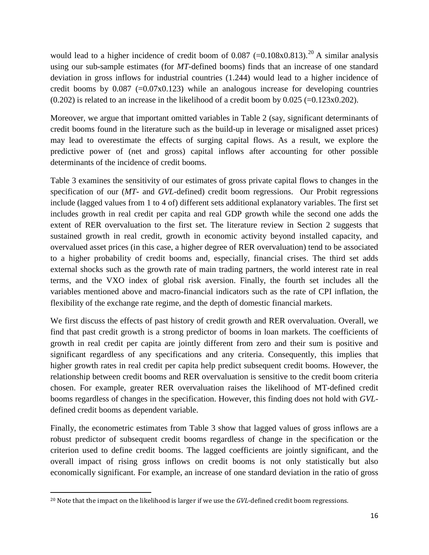would lead to a higher incidence of credit boom of  $0.087$  (=0.108x0.813).<sup>[20](#page-17-0)</sup> A similar analysis using our sub-sample estimates (for *MT*-defined booms) finds that an increase of one standard deviation in gross inflows for industrial countries (1.244) would lead to a higher incidence of credit booms by  $0.087$  (=0.07x0.123) while an analogous increase for developing countries  $(0.202)$  is related to an increase in the likelihood of a credit boom by  $0.025$  (= $0.123x0.202$ ).

Moreover, we argue that important omitted variables in Table 2 (say, significant determinants of credit booms found in the literature such as the build-up in leverage or misaligned asset prices) may lead to overestimate the effects of surging capital flows. As a result, we explore the predictive power of (net and gross) capital inflows after accounting for other possible determinants of the incidence of credit booms.

Table 3 examines the sensitivity of our estimates of gross private capital flows to changes in the specification of our (*MT*- and *GVL*-defined) credit boom regressions. Our Probit regressions include (lagged values from 1 to 4 of) different sets additional explanatory variables. The first set includes growth in real credit per capita and real GDP growth while the second one adds the extent of RER overvaluation to the first set. The literature review in Section 2 suggests that sustained growth in real credit, growth in economic activity beyond installed capacity, and overvalued asset prices (in this case, a higher degree of RER overvaluation) tend to be associated to a higher probability of credit booms and, especially, financial crises. The third set adds external shocks such as the growth rate of main trading partners, the world interest rate in real terms, and the VXO index of global risk aversion. Finally, the fourth set includes all the variables mentioned above and macro-financial indicators such as the rate of CPI inflation, the flexibility of the exchange rate regime, and the depth of domestic financial markets.

We first discuss the effects of past history of credit growth and RER overvaluation. Overall, we find that past credit growth is a strong predictor of booms in loan markets. The coefficients of growth in real credit per capita are jointly different from zero and their sum is positive and significant regardless of any specifications and any criteria. Consequently, this implies that higher growth rates in real credit per capita help predict subsequent credit booms. However, the relationship between credit booms and RER overvaluation is sensitive to the credit boom criteria chosen. For example, greater RER overvaluation raises the likelihood of MT-defined credit booms regardless of changes in the specification. However, this finding does not hold with *GVL*defined credit booms as dependent variable.

Finally, the econometric estimates from Table 3 show that lagged values of gross inflows are a robust predictor of subsequent credit booms regardless of change in the specification or the criterion used to define credit booms. The lagged coefficients are jointly significant, and the overall impact of rising gross inflows on credit booms is not only statistically but also economically significant. For example, an increase of one standard deviation in the ratio of gross

l

<span id="page-17-0"></span><sup>20</sup> Note that the impact on the likelihood is larger if we use the *GVL*-defined credit boom regressions.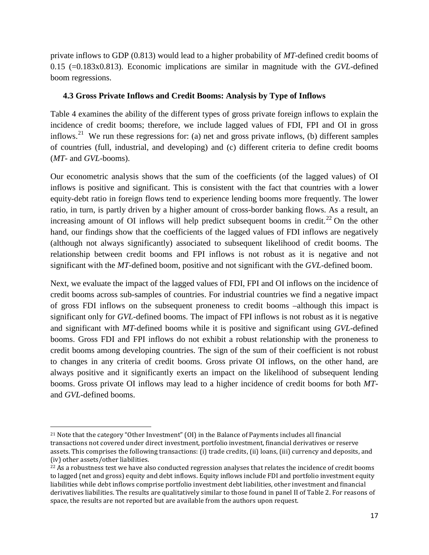private inflows to GDP (0.813) would lead to a higher probability of *MT*-defined credit booms of 0.15 (=0.183x0.813). Economic implications are similar in magnitude with the *GVL*-defined boom regressions.

#### **4.3 Gross Private Inflows and Credit Booms: Analysis by Type of Inflows**

Table 4 examines the ability of the different types of gross private foreign inflows to explain the incidence of credit booms; therefore, we include lagged values of FDI, FPI and OI in gross inflows.<sup>21</sup> We run these regressions for: (a) net and gross private inflows, (b) different samples of countries (full, industrial, and developing) and (c) different criteria to define credit booms (*MT*- and *GVL*-booms).

Our econometric analysis shows that the sum of the coefficients (of the lagged values) of OI inflows is positive and significant. This is consistent with the fact that countries with a lower equity-debt ratio in foreign flows tend to experience lending booms more frequently. The lower ratio, in turn, is partly driven by a higher amount of cross-border banking flows. As a result, an increasing amount of OI inflows will help predict subsequent booms in credit.<sup>[22](#page-18-1)</sup> On the other hand, our findings show that the coefficients of the lagged values of FDI inflows are negatively (although not always significantly) associated to subsequent likelihood of credit booms. The relationship between credit booms and FPI inflows is not robust as it is negative and not significant with the *MT*-defined boom, positive and not significant with the *GVL*-defined boom.

Next, we evaluate the impact of the lagged values of FDI, FPI and OI inflows on the incidence of credit booms across sub-samples of countries. For industrial countries we find a negative impact of gross FDI inflows on the subsequent proneness to credit booms –although this impact is significant only for *GVL*-defined booms. The impact of FPI inflows is not robust as it is negative and significant with *MT*-defined booms while it is positive and significant using *GVL*-defined booms. Gross FDI and FPI inflows do not exhibit a robust relationship with the proneness to credit booms among developing countries. The sign of the sum of their coefficient is not robust to changes in any criteria of credit booms. Gross private OI inflows, on the other hand, are always positive and it significantly exerts an impact on the likelihood of subsequent lending booms. Gross private OI inflows may lead to a higher incidence of credit booms for both *MT*and *GVL*-defined booms.

 $\overline{\phantom{a}}$ 

<span id="page-18-0"></span><sup>21</sup> Note that the category "Other Investment" (OI) in the Balance of Payments includes all financial transactions not covered under direct investment, portfolio investment, financial derivatives or reserve assets. This comprises the following transactions: (i) trade credits, (ii) loans, (iii) currency and deposits, and (iv) other assets/other liabilities.

<span id="page-18-1"></span><sup>&</sup>lt;sup>22</sup> As a robustness test we have also conducted regression analyses that relates the incidence of credit booms to lagged (net and gross) equity and debt inflows. Equity inflows include FDI and portfolio investment equity liabilities while debt inflows comprise portfolio investment debt liabilities, other investment and financial derivatives liabilities. The results are qualitatively similar to those found in panel II of Table 2. For reasons of space, the results are not reported but are available from the authors upon request.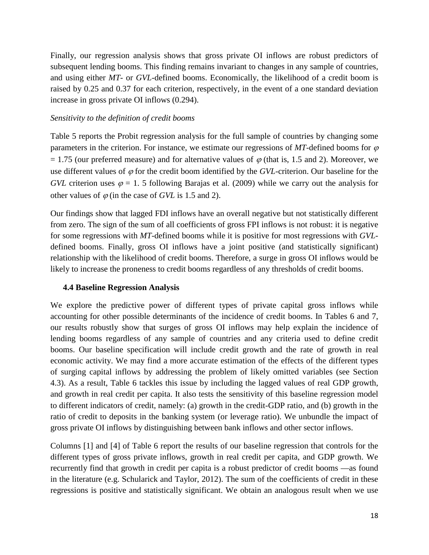Finally, our regression analysis shows that gross private OI inflows are robust predictors of subsequent lending booms. This finding remains invariant to changes in any sample of countries, and using either *MT*- or *GVL*-defined booms. Economically, the likelihood of a credit boom is raised by 0.25 and 0.37 for each criterion, respectively, in the event of a one standard deviation increase in gross private OI inflows (0.294).

#### *Sensitivity to the definition of credit booms*

Table 5 reports the Probit regression analysis for the full sample of countries by changing some parameters in the criterion. For instance, we estimate our regressions of  $MT$ -defined booms for  $\varphi$  $= 1.75$  (our preferred measure) and for alternative values of  $\varphi$  (that is, 1.5 and 2). Moreover, we use different values of  $\varphi$  for the credit boom identified by the *GVL*-criterion. Our baseline for the *GVL* criterion uses  $\varphi = 1.5$  following Barajas et al. (2009) while we carry out the analysis for other values of  $\varphi$  (in the case of *GVL* is 1.5 and 2).

Our findings show that lagged FDI inflows have an overall negative but not statistically different from zero. The sign of the sum of all coefficients of gross FPI inflows is not robust: it is negative for some regressions with *MT*-defined booms while it is positive for most regressions with *GVL*defined booms. Finally, gross OI inflows have a joint positive (and statistically significant) relationship with the likelihood of credit booms. Therefore, a surge in gross OI inflows would be likely to increase the proneness to credit booms regardless of any thresholds of credit booms.

#### **4.4 Baseline Regression Analysis**

We explore the predictive power of different types of private capital gross inflows while accounting for other possible determinants of the incidence of credit booms. In Tables 6 and 7, our results robustly show that surges of gross OI inflows may help explain the incidence of lending booms regardless of any sample of countries and any criteria used to define credit booms. Our baseline specification will include credit growth and the rate of growth in real economic activity. We may find a more accurate estimation of the effects of the different types of surging capital inflows by addressing the problem of likely omitted variables (see Section 4.3). As a result, Table 6 tackles this issue by including the lagged values of real GDP growth, and growth in real credit per capita. It also tests the sensitivity of this baseline regression model to different indicators of credit, namely: (a) growth in the credit-GDP ratio, and (b) growth in the ratio of credit to deposits in the banking system (or leverage ratio). We unbundle the impact of gross private OI inflows by distinguishing between bank inflows and other sector inflows.

Columns [1] and [4] of Table 6 report the results of our baseline regression that controls for the different types of gross private inflows, growth in real credit per capita, and GDP growth. We recurrently find that growth in credit per capita is a robust predictor of credit booms —as found in the literature (e.g. Schularick and Taylor, 2012). The sum of the coefficients of credit in these regressions is positive and statistically significant. We obtain an analogous result when we use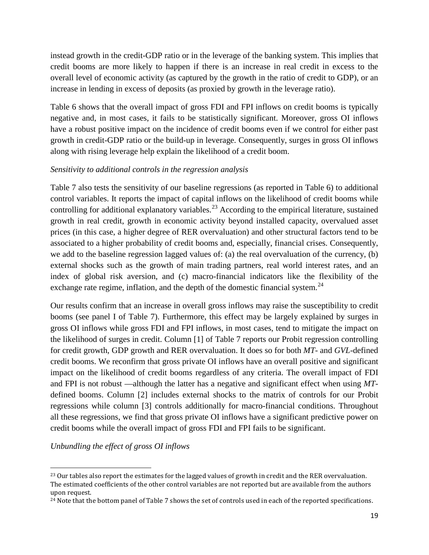instead growth in the credit-GDP ratio or in the leverage of the banking system. This implies that credit booms are more likely to happen if there is an increase in real credit in excess to the overall level of economic activity (as captured by the growth in the ratio of credit to GDP), or an increase in lending in excess of deposits (as proxied by growth in the leverage ratio).

Table 6 shows that the overall impact of gross FDI and FPI inflows on credit booms is typically negative and, in most cases, it fails to be statistically significant. Moreover, gross OI inflows have a robust positive impact on the incidence of credit booms even if we control for either past growth in credit-GDP ratio or the build-up in leverage. Consequently, surges in gross OI inflows along with rising leverage help explain the likelihood of a credit boom.

#### *Sensitivity to additional controls in the regression analysis*

Table 7 also tests the sensitivity of our baseline regressions (as reported in Table 6) to additional control variables. It reports the impact of capital inflows on the likelihood of credit booms while controlling for additional explanatory variables.<sup>[23](#page-20-0)</sup> According to the empirical literature, sustained growth in real credit, growth in economic activity beyond installed capacity, overvalued asset prices (in this case, a higher degree of RER overvaluation) and other structural factors tend to be associated to a higher probability of credit booms and, especially, financial crises. Consequently, we add to the baseline regression lagged values of: (a) the real overvaluation of the currency, (b) external shocks such as the growth of main trading partners, real world interest rates, and an index of global risk aversion, and (c) macro-financial indicators like the flexibility of the exchange rate regime, inflation, and the depth of the domestic financial system.<sup>24</sup>

Our results confirm that an increase in overall gross inflows may raise the susceptibility to credit booms (see panel I of Table 7). Furthermore, this effect may be largely explained by surges in gross OI inflows while gross FDI and FPI inflows, in most cases, tend to mitigate the impact on the likelihood of surges in credit. Column [1] of Table 7 reports our Probit regression controlling for credit growth, GDP growth and RER overvaluation. It does so for both *MT*- and *GVL*-defined credit booms. We reconfirm that gross private OI inflows have an overall positive and significant impact on the likelihood of credit booms regardless of any criteria. The overall impact of FDI and FPI is not robust —although the latter has a negative and significant effect when using *MT*defined booms. Column [2] includes external shocks to the matrix of controls for our Probit regressions while column [3] controls additionally for macro-financial conditions. Throughout all these regressions, we find that gross private OI inflows have a significant predictive power on credit booms while the overall impact of gross FDI and FPI fails to be significant.

*Unbundling the effect of gross OI inflows* 

 $\overline{\phantom{a}}$ 

<span id="page-20-0"></span><sup>&</sup>lt;sup>23</sup> Our tables also report the estimates for the lagged values of growth in credit and the RER overvaluation. The estimated coefficients of the other control variables are not reported but are available from the authors upon request.

<span id="page-20-1"></span><sup>&</sup>lt;sup>24</sup> Note that the bottom panel of Table 7 shows the set of controls used in each of the reported specifications.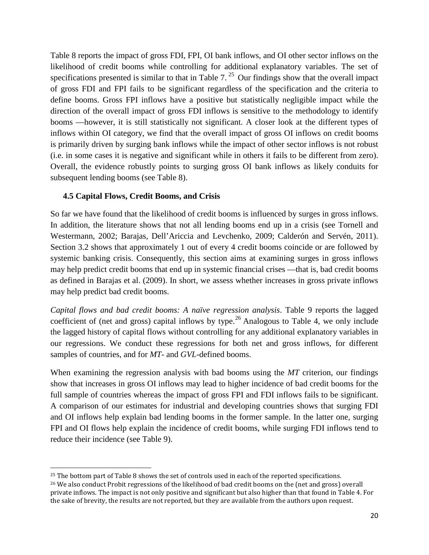Table 8 reports the impact of gross FDI, FPI, OI bank inflows, and OI other sector inflows on the likelihood of credit booms while controlling for additional explanatory variables. The set of specifications presented is similar to that in Table 7.<sup>[25](#page-21-0)</sup> Our findings show that the overall impact of gross FDI and FPI fails to be significant regardless of the specification and the criteria to define booms. Gross FPI inflows have a positive but statistically negligible impact while the direction of the overall impact of gross FDI inflows is sensitive to the methodology to identify booms —however, it is still statistically not significant. A closer look at the different types of inflows within OI category, we find that the overall impact of gross OI inflows on credit booms is primarily driven by surging bank inflows while the impact of other sector inflows is not robust (i.e. in some cases it is negative and significant while in others it fails to be different from zero). Overall, the evidence robustly points to surging gross OI bank inflows as likely conduits for subsequent lending booms (see Table 8).

#### **4.5 Capital Flows, Credit Booms, and Crisis**

 $\overline{\phantom{a}}$ 

So far we have found that the likelihood of credit booms is influenced by surges in gross inflows. In addition, the literature shows that not all lending booms end up in a crisis (see Tornell and Westermann, 2002; Barajas, Dell'Ariccia and Levchenko, 2009; Calderón and Servén, 2011). Section 3.2 shows that approximately 1 out of every 4 credit booms coincide or are followed by systemic banking crisis. Consequently, this section aims at examining surges in gross inflows may help predict credit booms that end up in systemic financial crises —that is, bad credit booms as defined in Barajas et al. (2009). In short, we assess whether increases in gross private inflows may help predict bad credit booms.

*Capital flows and bad credit booms: A naïve regression analysis*. Table 9 reports the lagged coefficient of (net and gross) capital inflows by type.<sup>[26](#page-21-1)</sup> Analogous to Table 4, we only include the lagged history of capital flows without controlling for any additional explanatory variables in our regressions. We conduct these regressions for both net and gross inflows, for different samples of countries, and for *MT*- and *GVL*-defined booms.

When examining the regression analysis with bad booms using the *MT* criterion, our findings show that increases in gross OI inflows may lead to higher incidence of bad credit booms for the full sample of countries whereas the impact of gross FPI and FDI inflows fails to be significant. A comparison of our estimates for industrial and developing countries shows that surging FDI and OI inflows help explain bad lending booms in the former sample. In the latter one, surging FPI and OI flows help explain the incidence of credit booms, while surging FDI inflows tend to reduce their incidence (see Table 9).

<span id="page-21-0"></span><sup>&</sup>lt;sup>25</sup> The bottom part of Table 8 shows the set of controls used in each of the reported specifications.

<span id="page-21-1"></span><sup>&</sup>lt;sup>26</sup> We also conduct Probit regressions of the likelihood of bad credit booms on the (net and gross) overall private inflows. The impact is not only positive and significant but also higher than that found in Table 4. For the sake of brevity, the results are not reported, but they are available from the authors upon request.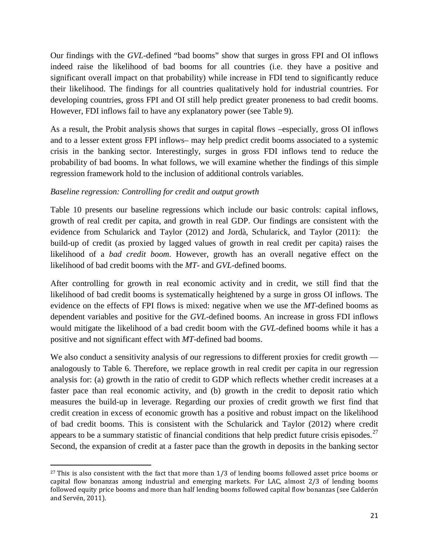Our findings with the *GVL*-defined "bad booms" show that surges in gross FPI and OI inflows indeed raise the likelihood of bad booms for all countries (i.e. they have a positive and significant overall impact on that probability) while increase in FDI tend to significantly reduce their likelihood. The findings for all countries qualitatively hold for industrial countries. For developing countries, gross FPI and OI still help predict greater proneness to bad credit booms. However, FDI inflows fail to have any explanatory power (see Table 9).

As a result, the Probit analysis shows that surges in capital flows –especially, gross OI inflows and to a lesser extent gross FPI inflows– may help predict credit booms associated to a systemic crisis in the banking sector. Interestingly, surges in gross FDI inflows tend to reduce the probability of bad booms. In what follows, we will examine whether the findings of this simple regression framework hold to the inclusion of additional controls variables.

#### *Baseline regression: Controlling for credit and output growth*

l

Table 10 presents our baseline regressions which include our basic controls: capital inflows, growth of real credit per capita, and growth in real GDP. Our findings are consistent with the evidence from Schularick and Taylor (2012) and Jordà, Schularick, and Taylor (2011): the build-up of credit (as proxied by lagged values of growth in real credit per capita) raises the likelihood of a *bad credit boom*. However, growth has an overall negative effect on the likelihood of bad credit booms with the *MT*- and *GVL*-defined booms.

After controlling for growth in real economic activity and in credit, we still find that the likelihood of bad credit booms is systematically heightened by a surge in gross OI inflows. The evidence on the effects of FPI flows is mixed: negative when we use the *MT*-defined booms as dependent variables and positive for the *GVL*-defined booms. An increase in gross FDI inflows would mitigate the likelihood of a bad credit boom with the *GVL*-defined booms while it has a positive and not significant effect with *MT*-defined bad booms.

We also conduct a sensitivity analysis of our regressions to different proxies for credit growth analogously to Table 6. Therefore, we replace growth in real credit per capita in our regression analysis for: (a) growth in the ratio of credit to GDP which reflects whether credit increases at a faster pace than real economic activity, and (b) growth in the credit to deposit ratio which measures the build-up in leverage. Regarding our proxies of credit growth we first find that credit creation in excess of economic growth has a positive and robust impact on the likelihood of bad credit booms. This is consistent with the Schularick and Taylor (2012) where credit appears to be a summary statistic of financial conditions that help predict future crisis episodes.<sup>[27](#page-22-0)</sup> Second, the expansion of credit at a faster pace than the growth in deposits in the banking sector

<span id="page-22-0"></span> $27$  This is also consistent with the fact that more than 1/3 of lending booms followed asset price booms or capital flow bonanzas among industrial and emerging markets. For LAC, almost 2/3 of lending booms followed equity price booms and more than half lending booms followed capital flow bonanzas (see Calderón and Servén, 2011).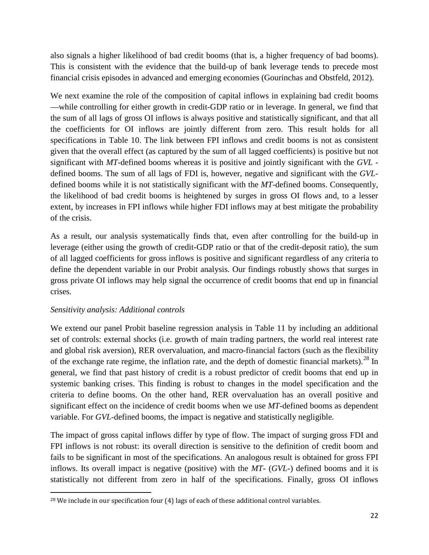also signals a higher likelihood of bad credit booms (that is, a higher frequency of bad booms). This is consistent with the evidence that the build-up of bank leverage tends to precede most financial crisis episodes in advanced and emerging economies (Gourinchas and Obstfeld, 2012).

We next examine the role of the composition of capital inflows in explaining bad credit booms —while controlling for either growth in credit-GDP ratio or in leverage. In general, we find that the sum of all lags of gross OI inflows is always positive and statistically significant, and that all the coefficients for OI inflows are jointly different from zero. This result holds for all specifications in Table 10. The link between FPI inflows and credit booms is not as consistent given that the overall effect (as captured by the sum of all lagged coefficients) is positive but not significant with *MT*-defined booms whereas it is positive and jointly significant with the *GVL* defined booms. The sum of all lags of FDI is, however, negative and significant with the *GVL*defined booms while it is not statistically significant with the *MT*-defined booms. Consequently, the likelihood of bad credit booms is heightened by surges in gross OI flows and, to a lesser extent, by increases in FPI inflows while higher FDI inflows may at best mitigate the probability of the crisis.

As a result, our analysis systematically finds that, even after controlling for the build-up in leverage (either using the growth of credit-GDP ratio or that of the credit-deposit ratio), the sum of all lagged coefficients for gross inflows is positive and significant regardless of any criteria to define the dependent variable in our Probit analysis. Our findings robustly shows that surges in gross private OI inflows may help signal the occurrence of credit booms that end up in financial crises.

#### *Sensitivity analysis: Additional controls*

We extend our panel Probit baseline regression analysis in Table 11 by including an additional set of controls: external shocks (i.e. growth of main trading partners, the world real interest rate and global risk aversion), RER overvaluation, and macro-financial factors (such as the flexibility of the exchange rate regime, the inflation rate, and the depth of domestic financial markets).<sup>[28](#page-23-0)</sup> In general, we find that past history of credit is a robust predictor of credit booms that end up in systemic banking crises. This finding is robust to changes in the model specification and the criteria to define booms. On the other hand, RER overvaluation has an overall positive and significant effect on the incidence of credit booms when we use *MT*-defined booms as dependent variable. For *GVL*-defined booms, the impact is negative and statistically negligible.

The impact of gross capital inflows differ by type of flow. The impact of surging gross FDI and FPI inflows is not robust: its overall direction is sensitive to the definition of credit boom and fails to be significant in most of the specifications. An analogous result is obtained for gross FPI inflows. Its overall impact is negative (positive) with the *MT*- (*GVL*-) defined booms and it is statistically not different from zero in half of the specifications. Finally, gross OI inflows

<span id="page-23-0"></span>l  $28$  We include in our specification four (4) lags of each of these additional control variables.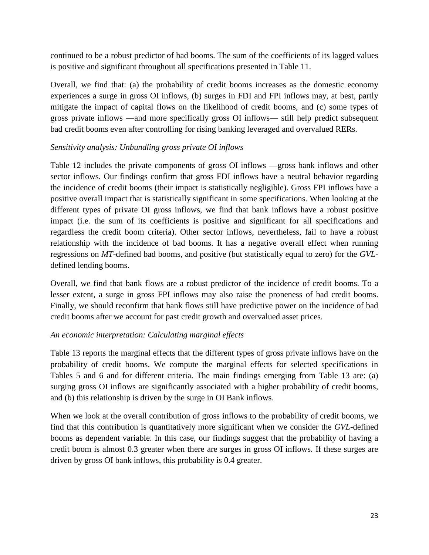continued to be a robust predictor of bad booms. The sum of the coefficients of its lagged values is positive and significant throughout all specifications presented in Table 11.

Overall, we find that: (a) the probability of credit booms increases as the domestic economy experiences a surge in gross OI inflows, (b) surges in FDI and FPI inflows may, at best, partly mitigate the impact of capital flows on the likelihood of credit booms, and (c) some types of gross private inflows —and more specifically gross OI inflows— still help predict subsequent bad credit booms even after controlling for rising banking leveraged and overvalued RERs.

#### *Sensitivity analysis: Unbundling gross private OI inflows*

Table 12 includes the private components of gross OI inflows —gross bank inflows and other sector inflows. Our findings confirm that gross FDI inflows have a neutral behavior regarding the incidence of credit booms (their impact is statistically negligible). Gross FPI inflows have a positive overall impact that is statistically significant in some specifications. When looking at the different types of private OI gross inflows, we find that bank inflows have a robust positive impact (i.e. the sum of its coefficients is positive and significant for all specifications and regardless the credit boom criteria). Other sector inflows, nevertheless, fail to have a robust relationship with the incidence of bad booms. It has a negative overall effect when running regressions on *MT*-defined bad booms, and positive (but statistically equal to zero) for the *GVL*defined lending booms.

Overall, we find that bank flows are a robust predictor of the incidence of credit booms. To a lesser extent, a surge in gross FPI inflows may also raise the proneness of bad credit booms. Finally, we should reconfirm that bank flows still have predictive power on the incidence of bad credit booms after we account for past credit growth and overvalued asset prices.

#### *An economic interpretation: Calculating marginal effects*

Table 13 reports the marginal effects that the different types of gross private inflows have on the probability of credit booms. We compute the marginal effects for selected specifications in Tables 5 and 6 and for different criteria. The main findings emerging from Table 13 are: (a) surging gross OI inflows are significantly associated with a higher probability of credit booms, and (b) this relationship is driven by the surge in OI Bank inflows.

When we look at the overall contribution of gross inflows to the probability of credit booms, we find that this contribution is quantitatively more significant when we consider the *GVL*-defined booms as dependent variable. In this case, our findings suggest that the probability of having a credit boom is almost 0.3 greater when there are surges in gross OI inflows. If these surges are driven by gross OI bank inflows, this probability is 0.4 greater.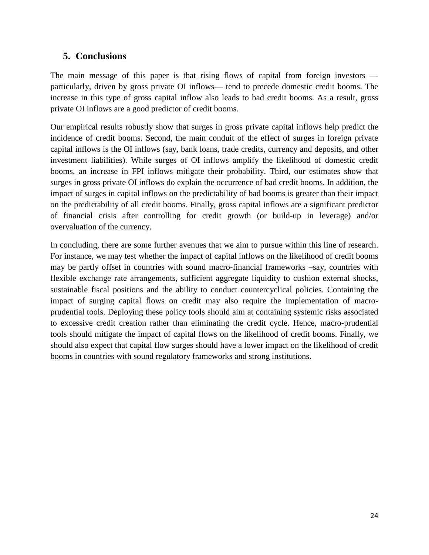### **5. Conclusions**

The main message of this paper is that rising flows of capital from foreign investors particularly, driven by gross private OI inflows— tend to precede domestic credit booms. The increase in this type of gross capital inflow also leads to bad credit booms. As a result, gross private OI inflows are a good predictor of credit booms.

Our empirical results robustly show that surges in gross private capital inflows help predict the incidence of credit booms. Second, the main conduit of the effect of surges in foreign private capital inflows is the OI inflows (say, bank loans, trade credits, currency and deposits, and other investment liabilities). While surges of OI inflows amplify the likelihood of domestic credit booms, an increase in FPI inflows mitigate their probability. Third, our estimates show that surges in gross private OI inflows do explain the occurrence of bad credit booms. In addition, the impact of surges in capital inflows on the predictability of bad booms is greater than their impact on the predictability of all credit booms. Finally, gross capital inflows are a significant predictor of financial crisis after controlling for credit growth (or build-up in leverage) and/or overvaluation of the currency.

In concluding, there are some further avenues that we aim to pursue within this line of research. For instance, we may test whether the impact of capital inflows on the likelihood of credit booms may be partly offset in countries with sound macro-financial frameworks –say, countries with flexible exchange rate arrangements, sufficient aggregate liquidity to cushion external shocks, sustainable fiscal positions and the ability to conduct countercyclical policies. Containing the impact of surging capital flows on credit may also require the implementation of macroprudential tools. Deploying these policy tools should aim at containing systemic risks associated to excessive credit creation rather than eliminating the credit cycle. Hence, macro-prudential tools should mitigate the impact of capital flows on the likelihood of credit booms. Finally, we should also expect that capital flow surges should have a lower impact on the likelihood of credit booms in countries with sound regulatory frameworks and strong institutions.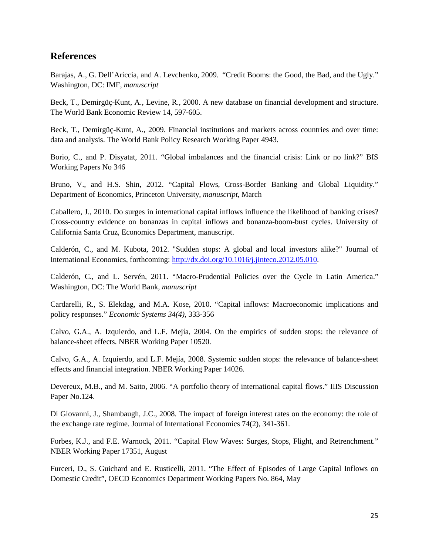#### **References**

Barajas, A., G. Dell'Ariccia, and A. Levchenko, 2009. "Credit Booms: the Good, the Bad, and the Ugly." Washington, DC: IMF, *manuscript*

Beck, T., Demirgüç-Kunt, A., Levine, R., 2000. A new database on financial development and structure. The World Bank Economic Review 14, 597-605.

Beck, T., Demirgüç-Kunt, A., 2009. Financial institutions and markets across countries and over time: data and analysis. The World Bank Policy Research Working Paper 4943.

Borio, C., and P. Disyatat, 2011. "Global imbalances and the financial crisis: Link or no link?" BIS Working Papers No 346

Bruno, V., and H.S. Shin, 2012. "Capital Flows, Cross-Border Banking and Global Liquidity." Department of Economics, Princeton University, *manuscript*, March

Caballero, J., 2010. Do surges in international capital inflows influence the likelihood of banking crises? Cross-country evidence on bonanzas in capital inflows and bonanza-boom-bust cycles. University of California Santa Cruz, Economics Department, manuscript.

Calderón, C., and M. Kubota, 2012. "Sudden stops: A global and local investors alike?" Journal of International Economics, forthcoming: [http://dx.doi.org/10.1016/j.jinteco.2012.05.010.](http://dx.doi.org/10.1016/j.jinteco.2012.05.010)

Calderón, C., and L. Servén, 2011. "Macro-Prudential Policies over the Cycle in Latin America." Washington, DC: The World Bank, *manuscript* 

Cardarelli, R., S. Elekdag, and M.A. Kose, 2010. "Capital inflows: Macroeconomic implications and policy responses." *Economic Systems 34(4)*, 333-356

Calvo, G.A., A. Izquierdo, and L.F. Mejía, 2004. On the empirics of sudden stops: the relevance of balance-sheet effects. NBER Working Paper 10520.

Calvo, G.A., A. Izquierdo, and L.F. Mejía, 2008. Systemic sudden stops: the relevance of balance-sheet effects and financial integration. NBER Working Paper 14026.

Devereux, M.B., and M. Saito, 2006. "A portfolio theory of international capital flows." IIIS Discussion Paper No.124.

Di Giovanni, J., Shambaugh, J.C., 2008. The impact of foreign interest rates on the economy: the role of the exchange rate regime. Journal of International Economics 74(2), 341-361.

Forbes, K.J., and F.E. Warnock, 2011. "Capital Flow Waves: Surges, Stops, Flight, and Retrenchment." NBER Working Paper 17351, August

Furceri, D., S. Guichard and E. Rusticelli, 2011. "The Effect of Episodes of Large Capital Inflows on Domestic Credit", OECD Economics Department Working Papers No. 864, May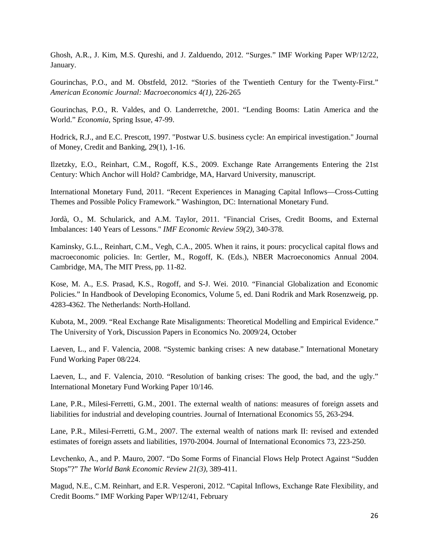Ghosh, A.R., J. Kim, M.S. Qureshi, and J. Zalduendo, 2012. "Surges." IMF Working Paper WP/12/22, January.

Gourinchas, P.O., and M. Obstfeld, 2012. "Stories of the Twentieth Century for the Twenty-First." *American Economic Journal: Macroeconomics 4(1)*, 226-265

Gourinchas, P.O., R. Valdes, and O. Landerretche, 2001. "Lending Booms: Latin America and the World." *Economia*, Spring Issue, 47-99.

Hodrick, R.J., and E.C. Prescott, 1997. "Postwar U.S. business cycle: An empirical investigation." Journal of Money, Credit and Banking, 29(1), 1-16.

Ilzetzky, E.O., Reinhart, C.M., Rogoff, K.S., 2009. Exchange Rate Arrangements Entering the 21st Century: Which Anchor will Hold? Cambridge, MA, Harvard University, manuscript.

International Monetary Fund, 2011. "Recent Experiences in Managing Capital Inflows—Cross-Cutting Themes and Possible Policy Framework." Washington, DC: International Monetary Fund.

Jordà, O., M. Schularick, and A.M. Taylor, 2011. "Financial Crises, Credit Booms, and External Imbalances: 140 Years of Lessons." *IMF Economic Review 59(2)*, 340-378.

Kaminsky, G.L., Reinhart, C.M., Vegh, C.A., 2005. When it rains, it pours: procyclical capital flows and macroeconomic policies. In: Gertler, M., Rogoff, K. (Eds.), NBER Macroeconomics Annual 2004. Cambridge, MA, The MIT Press, pp. 11-82.

Kose, M. A., E.S. Prasad, K.S., Rogoff, and S-J. Wei. 2010. "Financial Globalization and Economic Policies." In Handbook of Developing Economics, Volume 5, ed. Dani Rodrik and Mark Rosenzweig, pp. 4283-4362. The Netherlands: North-Holland.

Kubota, M., 2009. "Real Exchange Rate Misalignments: Theoretical Modelling and Empirical Evidence." The University of York, Discussion Papers in Economics No. 2009/24, October

Laeven, L., and F. Valencia, 2008. "Systemic banking crises: A new database." International Monetary Fund Working Paper 08/224.

Laeven, L., and F. Valencia, 2010. "Resolution of banking crises: The good, the bad, and the ugly." International Monetary Fund Working Paper 10/146.

Lane, P.R., Milesi-Ferretti, G.M., 2001. The external wealth of nations: measures of foreign assets and liabilities for industrial and developing countries. Journal of International Economics 55, 263-294.

Lane, P.R., Milesi-Ferretti, G.M., 2007. The external wealth of nations mark II: revised and extended estimates of foreign assets and liabilities, 1970-2004. Journal of International Economics 73, 223-250.

Levchenko, A., and P. Mauro, 2007. "Do Some Forms of Financial Flows Help Protect Against "Sudden Stops"?" *The World Bank Economic Review 21(3)*, 389-411.

Magud, N.E., C.M. Reinhart, and E.R. Vesperoni, 2012. "Capital Inflows, Exchange Rate Flexibility, and Credit Booms." IMF Working Paper WP/12/41, February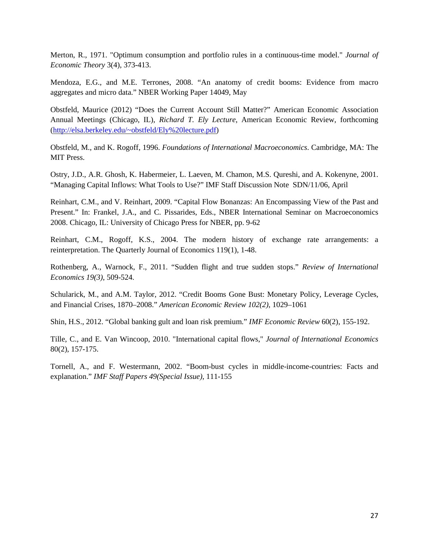Merton, R., 1971. "Optimum consumption and portfolio rules in a continuous-time model." *Journal of Economic Theory* 3(4), 373-413.

Mendoza, E.G., and M.E. Terrones, 2008. "An anatomy of credit booms: Evidence from macro aggregates and micro data." NBER Working Paper 14049, May

Obstfeld, Maurice (2012) "Does the Current Account Still Matter?" American Economic Association Annual Meetings (Chicago, IL), *Richard T. Ely Lecture*, American Economic Review, forthcoming [\(http://elsa.berkeley.edu/~obstfeld/Ely%20lecture.pdf\)](http://elsa.berkeley.edu/~obstfeld/Ely%20lecture.pdf)

Obstfeld, M., and K. Rogoff, 1996. *Foundations of International Macroeconomics*. Cambridge, MA: The MIT Press.

Ostry, J.D., A.R. Ghosh, K. Habermeier, L. Laeven, M. Chamon, M.S. Qureshi, and A. Kokenyne, 2001. "Managing Capital Inflows: What Tools to Use?" IMF Staff Discussion Note SDN/11/06, April

Reinhart, C.M., and V. Reinhart, 2009. "Capital Flow Bonanzas: An Encompassing View of the Past and Present." In: Frankel, J.A., and C. Pissarides, Eds., NBER International Seminar on Macroeconomics 2008. Chicago, IL: University of Chicago Press for NBER, pp. 9-62

Reinhart, C.M., Rogoff, K.S., 2004. The modern history of exchange rate arrangements: a reinterpretation. The Quarterly Journal of Economics 119(1), 1-48.

Rothenberg, A., Warnock, F., 2011. "Sudden flight and true sudden stops." *Review of International Economics 19(3)*, 509-524.

Schularick, M., and A.M. Taylor, 2012. "Credit Booms Gone Bust: Monetary Policy, Leverage Cycles, and Financial Crises, 1870–2008." *American Economic Review 102(2)*, 1029–1061

Shin, H.S., 2012. "Global banking gult and loan risk premium." *IMF Economic Review* 60(2), 155-192.

Tille, C., and E. Van Wincoop, 2010. "International capital flows," *Journal of International Economics* 80(2), 157-175.

Tornell, A., and F. Westermann, 2002. "Boom-bust cycles in middle-income-countries: Facts and explanation." *IMF Staff Papers 49(Special Issue)*, 111-155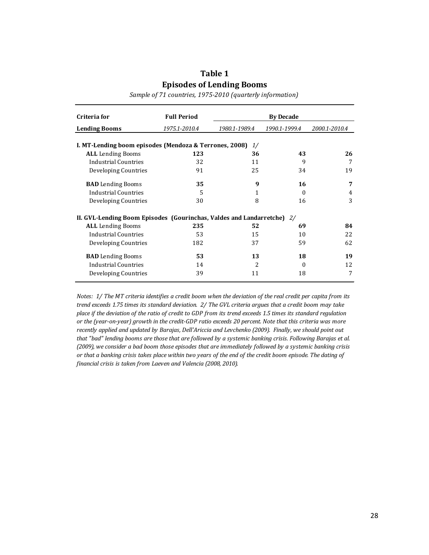### **Table 1 Episodes of Lending Booms**

*Sample of 71 countries, 1975-2010 (quarterly information)*

| Criteria for                                                           | <b>Full Period</b> |               | <b>By Decade</b> |               |
|------------------------------------------------------------------------|--------------------|---------------|------------------|---------------|
| <b>Lending Booms</b>                                                   | 1975.1-2010.4      | 1980.1-1989.4 | 1990.1-1999.4    | 2000.1-2010.4 |
| I. MT-Lending boom episodes (Mendoza & Terrones, 2008)                 |                    | 1/            |                  |               |
| <b>ALL</b> Lending Booms                                               | 123                | 36            | 43               | 26            |
| Industrial Countries                                                   | 32                 | 11            | 9                | 7             |
| Developing Countries                                                   | 91                 | 25            | 34               | 19            |
| <b>BAD</b> Lending Booms                                               | 35                 | 9             | 16               | 7             |
| Industrial Countries                                                   | 5                  | 1             | $\Omega$         | 4             |
| Developing Countries                                                   | 30                 | 8             | 16               | 3             |
| II. GVL-Lending Boom Episodes (Gourinchas, Valdes and Landarretche) 2/ |                    |               |                  |               |
| <b>ALL</b> Lending Booms                                               | 235                | 52            | 69               | 84            |
| <b>Industrial Countries</b>                                            | 53                 | 15            | 10               | 22            |
| Developing Countries                                                   | 182                | 37            | 59               | 62            |
| <b>BAD</b> Lending Booms                                               | 53                 | 13            | 18               | 19            |
| <b>Industrial Countries</b>                                            | 14                 | 2             | $\Omega$         | 12            |
| Developing Countries                                                   | 39                 | 11            | 18               | 7             |

*Notes: 1/ The MT criteria identifies a credit boom when the deviation of the real credit per capita from its trend exceeds 1.75 times its standard deviation. 2/ The GVL criteria argues that a credit boom may take place if the deviation of the ratio of credit to GDP from its trend exceeds 1.5 times its standard regulation or the (year-on-year) growth in the credit-GDP ratio exceeds 20 percent. Note that this criteria was more recently applied and updated by Barajas, Dell'Ariccia and Levchenko (2009). Finally, we should point out that "bad" lending booms are those that are followed by a systemic banking crisis. Following Barajas et al. (2009), we consider a bad boom those episodes that are immediately followed by a systemic banking crisis or that a banking crisis takes place within two years of the end of the credit boom episode. The dating of financial crisis is taken from Laeven and Valencia (2008, 2010).*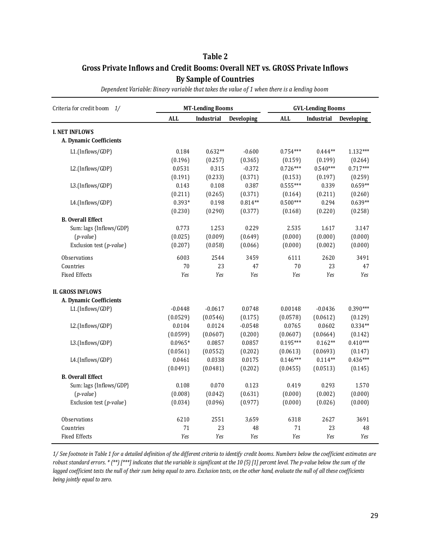#### **Table 2 Gross Private Inflows and Credit Booms: Overall NET vs. GROSS Private Inflows By Sample of Countries**

| Criteria for credit boom 1/ |            | <b>MT-Lending Booms</b> |            | <b>GVL-Lending Booms</b> |            |            |  |
|-----------------------------|------------|-------------------------|------------|--------------------------|------------|------------|--|
|                             | <b>ALL</b> | Industrial              | Developing | <b>ALL</b>               | Industrial | Developing |  |
| <b>I. NET INFLOWS</b>       |            |                         |            |                          |            |            |  |
| A. Dynamic Coefficients     |            |                         |            |                          |            |            |  |
| L1.(Inflows/GDP)            | 0.184      | $0.632**$               | $-0.600$   | $0.754***$               | $0.444**$  | 1.132***   |  |
|                             | (0.196)    | (0.257)                 | (0.365)    | (0.159)                  | (0.199)    | (0.264)    |  |
| L2.(Inflows/GDP)            | 0.0531     | 0.315                   | $-0.372$   | $0.726***$               | $0.540***$ | $0.717***$ |  |
|                             | (0.191)    | (0.233)                 | (0.371)    | (0.153)                  | (0.197)    | (0.259)    |  |
| L3.(Inflows/GDP)            | 0.143      | 0.108                   | 0.387      | $0.555***$               | 0.339      | $0.659**$  |  |
|                             | (0.211)    | (0.265)                 | (0.371)    | (0.164)                  | (0.211)    | (0.260)    |  |
| L4.(Inflows/GDP)            | 0.393*     | 0.198                   | $0.814**$  | $0.500***$               | 0.294      | $0.639**$  |  |
|                             | (0.230)    | (0.290)                 | (0.377)    | (0.168)                  | (0.220)    | (0.258)    |  |
| <b>B.</b> Overall Effect    |            |                         |            |                          |            |            |  |
| Sum: lags {Inflows/GDP}     | 0.773      | 1.253                   | 0.229      | 2.535                    | 1.617      | 3.147      |  |
| $(p-value)$                 | (0.025)    | (0.009)                 | (0.649)    | (0.000)                  | (0.000)    | (0.000)    |  |
| Exclusion test (p-value)    | (0.207)    | (0.058)                 | (0.066)    | (0.000)                  | (0.002)    | (0.000)    |  |
| <b>Observations</b>         | 6003       | 2544                    | 3459       | 6111                     | 2620       | 3491       |  |
| Countries                   | 70         | 23                      | 47         | 70                       | 23         | 47         |  |
| <b>Fixed Effects</b>        | Yes        | Yes                     | Yes        | Yes                      | Yes        | Yes        |  |
| <b>II. GROSS INFLOWS</b>    |            |                         |            |                          |            |            |  |
| A. Dynamic Coefficients     |            |                         |            |                          |            |            |  |
| L1.(Inflows/GDP)            | $-0.0448$  | $-0.0617$               | 0.0748     | 0.00148                  | $-0.0436$  | $0.390***$ |  |
|                             | (0.0529)   | (0.0546)                | (0.175)    | (0.0578)                 | (0.0612)   | (0.129)    |  |
| L2.(Inflows/GDP)            | 0.0104     | 0.0124                  | $-0.0548$  | 0.0765                   | 0.0602     | $0.334**$  |  |
|                             | (0.0599)   | (0.0607)                | (0.200)    | (0.0607)                 | (0.0664)   | (0.142)    |  |
| L3.(Inflows/GDP)            | $0.0965*$  | 0.0857                  | 0.0857     | $0.195***$               | $0.162**$  | $0.410***$ |  |
|                             | (0.0561)   | (0.0552)                | (0.202)    | (0.0613)                 | (0.0693)   | (0.147)    |  |
| L4.(Inflows/GDP)            | 0.0461     | 0.0338                  | 0.0175     | $0.146***$               | $0.114**$  | $0.436***$ |  |
|                             | (0.0491)   | (0.0481)                | (0.202)    | (0.0455)                 | (0.0513)   | (0.145)    |  |
| <b>B.</b> Overall Effect    |            |                         |            |                          |            |            |  |
| Sum: lags {Inflows/GDP}     | 0.108      | 0.070                   | 0.123      | 0.419                    | 0.293      | 1.570      |  |
| $(p-value)$                 | (0.008)    | (0.042)                 | (0.631)    | (0.000)                  | (0.002)    | (0.000)    |  |
| Exclusion test (p-value)    | (0.034)    | (0.096)                 | (0.977)    | (0.000)                  | (0.026)    | (0.000)    |  |
| Observations                | 6210       | 2551                    | 3,659      | 6318                     | 2627       | 3691       |  |
| Countries                   | 71         | 23                      | 48         | 71                       | 23         | 48         |  |
| <b>Fixed Effects</b>        | Yes        | Yes                     | Yes        | Yes                      | Yes        | Yes        |  |

*Dependent Variable: Binary variable that takes the value of 1 when there is a lending boom*

*1/ See footnote in Table 1 for a detailed definition of the different criteria to identify credit booms. Numbers below the coefficient estimates are robust standard errors. \* (\*\*) [\*\*\*] indicates that the variable is significant at the 10 (5) [1] percent level. The p-value below the sum of the lagged coefficient tests the null of their sum being equal to zero. Exclusion tests, on the other hand, evaluate the null of all these coefficients being jointly equal to zero.*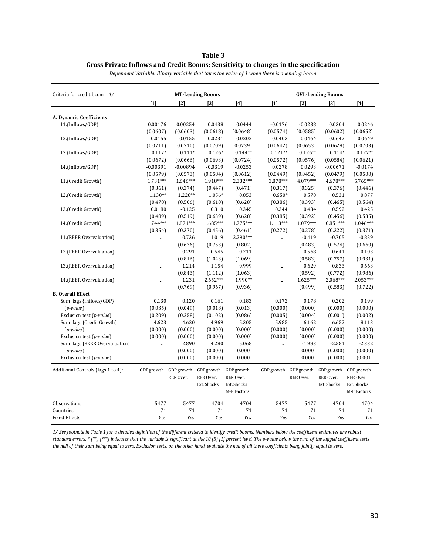#### **Table 3 Gross Private Inflows and Credit Booms: Sensitivity to changes in the specification**

| Criteria for credit boom 1/        |                      |            | <b>MT-Lending Booms</b> |             | <b>GVL-Lending Booms</b> |             |                   |             |  |
|------------------------------------|----------------------|------------|-------------------------|-------------|--------------------------|-------------|-------------------|-------------|--|
|                                    | $[1]$                | [2]        | $\lceil 3 \rceil$       | [4]         | $[1]$                    | [2]         | $\lceil 3 \rceil$ | $[4]$       |  |
| A. Dynamic Coefficients            |                      |            |                         |             |                          |             |                   |             |  |
| L1.(Inflows/GDP)                   | 0.00176              | 0.00254    | 0.0438                  | 0.0444      | $-0.0176$                | $-0.0238$   | 0.0304            | 0.0246      |  |
|                                    | (0.0607)             | (0.0603)   | (0.0618)                | (0.0648)    | (0.0574)                 | (0.0585)    | (0.0602)          | (0.0652)    |  |
| L2.(Inflows/GDP)                   | 0.0155               | 0.0155     | 0.0231                  | 0.0202      | 0.0403                   | 0.0464      | 0.0642            | 0.0649      |  |
|                                    | (0.0711)             | (0.0710)   | (0.0709)                | (0.0739)    | (0.0642)                 | (0.0653)    | (0.0628)          | (0.0703)    |  |
| L3.(Inflows/GDP)                   | $0.117*$             | $0.111*$   | $0.126*$                | $0.144**$   | $0.121**$                | $0.126**$   | $0.114*$          | $0.127**$   |  |
|                                    | (0.0672)             | (0.0666)   | (0.0693)                | (0.0724)    | (0.0572)                 | (0.0576)    | (0.0584)          | (0.0621)    |  |
| L4.(Inflows/GDP)                   | $-0.00391$           | $-0.00894$ | $-0.0319$               | $-0.0253$   | 0.0278                   | 0.0293      | $-0.00671$        | $-0.0174$   |  |
|                                    | (0.0579)             | (0.0573)   | (0.0584)                | (0.0612)    | (0.0449)                 | (0.0452)    | (0.0479)          | (0.0500)    |  |
| L1.(Credit Growth)                 | $1.731***$           | 1.646***   | 1.918***                | 2.332***    | 3.878***                 | 4.079***    | 4.678***          | 5.765***    |  |
|                                    | (0.361)              | (0.374)    | (0.447)                 | (0.471)     | (0.317)                  | (0.325)     | (0.376)           | (0.446)     |  |
| L2.(Credit Growth)                 | $1.130**$            | 1.228**    | 1.056*                  | 0.853       | $0.650*$                 | 0.570       | 0.531             | 0.877       |  |
|                                    | (0.478)              | (0.506)    | (0.610)                 | (0.628)     | (0.386)                  | (0.393)     | (0.465)           | (0.564)     |  |
| L3.(Credit Growth)                 | 0.0180               | $-0.125$   | 0.310                   | 0.345       | 0.344                    | 0.434       | 0.592             | 0.425       |  |
|                                    | (0.489)              | (0.519)    | (0.639)                 | (0.628)     | (0.385)                  | (0.392)     | (0.456)           | (0.535)     |  |
| L4.(Credit Growth)                 | $1.744***$           | 1.871***   | 1.685***                | 1.775***    | 1.113***                 | $1.079***$  | $0.851***$        | $1.046***$  |  |
|                                    | (0.354)              | (0.370)    | (0.456)                 | (0.461)     | (0.272)                  | (0.278)     | (0.322)           | (0.371)     |  |
| L1.(REER Overvaluation)            |                      | 0.736      | 1.019                   | $2.290***$  | à.                       | $-0.419$    | $-0.705$          | $-0.839$    |  |
|                                    |                      | (0.636)    | (0.753)                 | (0.802)     |                          | (0.483)     | (0.574)           | (0.660)     |  |
| L2.(REER Overvaluation)            | $\ddot{\phantom{a}}$ | $-0.291$   | $-0.545$                | $-0.211$    | .,                       | $-0.568$    | $-0.641$          | $-0.103$    |  |
|                                    |                      | (0.816)    | (1.043)                 | (1.069)     |                          | (0.583)     | (0.757)           | (0.931)     |  |
| L3.(REER Overvaluation)            |                      | 1.214      | 1.154                   | 0.999       | .,                       | 0.629       | 0.833             | 0.663       |  |
|                                    |                      | (0.843)    | (1.112)                 | (1.063)     |                          | (0.592)     | (0.772)           | (0.986)     |  |
| L4.(REER Overvaluation)            |                      | 1.231      | $2.652***$              | 1.990**     |                          | $-1.625***$ | $-2.068***$       | $-2.053***$ |  |
|                                    |                      | (0.769)    | (0.967)                 | (0.936)     |                          | (0.499)     | (0.583)           | (0.722)     |  |
| <b>B.</b> Overall Effect           |                      |            |                         |             |                          |             |                   |             |  |
| Sum: lags {Inflows/GDP}            | 0.130                | 0.120      | 0.161                   | 0.183       | 0.172                    | 0.178       | 0.202             | 0.199       |  |
| $(p-value)$                        | (0.035)              | (0.049)    | (0.018)                 | (0.013)     | (0.000)                  | (0.000)     | (0.000)           | (0.000)     |  |
| Exclusion test (p-value)           | (0.209)              | (0.258)    | (0.102)                 | (0.086)     | (0.005)                  | (0.004)     | (0.001)           | (0.002)     |  |
| Sum: lags {Credit Growth}          | 4.623                | 4.620      | 4.969                   | 5.305       | 5.985                    | 6.162       | 6.652             | 8.113       |  |
| $(p-value)$                        | (0.000)              | (0.000)    | (0.000)                 | (0.000)     | (0.000)                  | (0.000)     | (0.000)           | (0.000)     |  |
| Exclusion test (p-value)           | (0.000)              | (0.000)    | (0.000)                 | (0.000)     | (0.000)                  | (0.000)     | (0.000)           | (0.000)     |  |
| Sum: lags {REER Overvaluation}     | i.                   | 2.890      | 4.280                   | 5.068       |                          | $-1.983$    | $-2.581$          | $-2.332$    |  |
| $(p-value)$                        |                      | (0.000)    | (0.000)                 | (0.000)     |                          | (0.000)     | (0.000)           | (0.000)     |  |
| Exclusion test (p-value)           |                      | (0.000)    | (0.000)                 | (0.000)     |                          | (0.000)     | (0.000)           | (0.001)     |  |
| Additional Controls (lags 1 to 4): | GDP growth           | GDP growth | GDP growth              | GDP growth  | GDP growth GDP growth    |             | GDP growth        | GDP growth  |  |
|                                    |                      | RER Over.  | RER Over.               | RER Over.   |                          | RER Over.   | RER Over.         | RER Over.   |  |
|                                    |                      |            | Ext. Shocks             | Ext. Shocks |                          |             | Ext. Shocks       | Ext. Shocks |  |
|                                    |                      |            |                         | M-F Factors |                          |             |                   | M-F Factors |  |
| Observations                       | 5477                 | 5477       | 4704                    | 4704        | 5477                     | 5477        | 4704              | 4704        |  |
| Countries                          | 71                   | 71         | 71                      | 71          | 71                       | 71          | 71                | 71          |  |
| <b>Fixed Effects</b>               | Yes                  | Yes        | Yes                     | Yes         | Yes                      | Yes         | Yes               | Yes         |  |

*Dependent Variable: Binary variable that takes the value of 1 when there is a lending boom*

*1/ See footnote in Table 1 for a detailed definition of the different criteria to identify credit booms. Numbers below the coefficient estimates are robust standard errors. \* (\*\*) [\*\*\*] indicates that the variable is significant at the 10 (5) [1] percent level. The p-value below the sum of the lagged coefficient tests the null of their sum being equal to zero. Exclusion tests, on the other hand, evaluate the null of all these coefficients being jointly equal to zero.*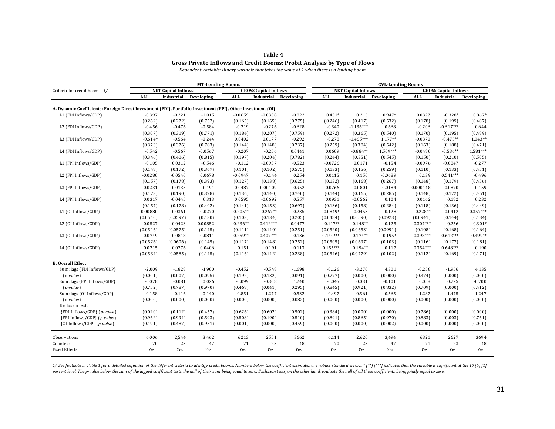#### **Table 4 Gross Private Inflows and Credit Booms: Probit Analysis by Type of Flows**

*Dependent Variable: Binary variable that takes the value of 1 when there is a lending boom*

| <b>NET Capital Inflows</b><br><b>GROSS Capital Inflows</b><br><b>NET Capital Inflows</b><br><b>GROSS Capital Inflows</b><br>Criteria for credit boom 1/<br><b>ALL</b><br><b>ALL</b><br>Industrial<br>Developing<br><b>ALL</b><br>Industrial<br>Developing<br>Industrial<br>Developing<br><b>ALL</b><br>Industrial<br>A. Dynamic Coefficients: Foreign Direct Investment (FDI), Portfolio Investment (FPI), Other Investment (OI)<br>$-0.397$<br>$-0.221$<br>$-1.015$<br>$-0.822$<br>$0.431*$<br>0.215<br>0.947*<br>$-0.328*$<br>L1.(FDI Inflows/GDP)<br>$-0.0659$<br>$-0.0338$<br>0.0327<br>(0.752)<br>(0.775)<br>(0.246)<br>(0.532)<br>(0.178)<br>(0.199)<br>(0.262)<br>(0.272)<br>(0.165)<br>(0.165)<br>(0.417)<br>$-0.617***$<br>$-0.456$<br>$-0.476$<br>$-0.584$<br>$-0.219$<br>$-0.276$<br>$-0.628$<br>$-0.340$<br>$-1.136***$<br>0.668<br>$-0.206$<br>L2.(FDI Inflows/GDP)<br>(0.307)<br>(0.771)<br>(0.207)<br>(0.759)<br>(0.272)<br>(0.540)<br>(0.319)<br>(0.184)<br>(0.365)<br>(0.170)<br>(0.195)<br>L3.(FDI Inflows/GDP)<br>$-0.614*$<br>$-0.564$<br>$-0.244$<br>0.0177<br>$-0.292$<br>$-0.278$<br>$-1.465***$<br>1.177**<br>$-0.0370$<br>$-0.475**$<br>0.0402<br>(0.373)<br>(0.783)<br>(0.737)<br>(0.259)<br>(0.542)<br>(0.376)<br>(0.144)<br>(0.148)<br>(0.384)<br>(0.163)<br>(0.188)<br>$-0.542$<br>$-0.256$<br>0.0609<br>$-0.884**$<br>1.509***<br>$-0.0480$<br>$-0.536**$<br>L4.(FDI Inflows/GDP)<br>$-0.567$<br>$-0.0567$<br>$-0.207$<br>0.0441<br>(0.204)<br>(0.782)<br>(0.244)<br>(0.150)<br>(0.210)<br>(0.346)<br>(0.406)<br>(0.815)<br>(0.197)<br>(0.351)<br>(0.545)<br>$-0.154$<br>L1.(FPI Inflows/GDP)<br>$-0.105$<br>0.0312<br>$-0.546$<br>$-0.112$<br>$-0.0937$<br>$-0.523$<br>$-0.0726$<br>0.0171<br>$-0.0976$<br>$-0.0847$<br>(0.148)<br>(0.172)<br>(0.367)<br>(0.101)<br>(0.102)<br>(0.575)<br>(0.133)<br>(0.156)<br>(0.259)<br>(0.110)<br>(0.133)<br>$0.541***$<br>L2.(FPI Inflows/GDP)<br>$-0.0280$<br>$-0.0540$<br>0.0678<br>$-0.0947$<br>$-0.144$<br>0.254<br>0.0115<br>0.150<br>$-0.0689$<br>0.139<br>(0.157)<br>(0.178)<br>(0.393)<br>(0.127)<br>(0.138)<br>(0.625)<br>(0.132)<br>(0.267)<br>(0.148)<br>(0.179)<br>(0.168)<br>0.0231<br>0.952<br>$-0.0766$<br>L3.(FPI Inflows/GDP)<br>$-0.0135$<br>0.191<br>0.0487<br>$-0.00109$<br>$-0.0801$<br>0.0184<br>0.000148<br>0.0870<br>(0.173)<br>(0.398)<br>(0.285)<br>(0.190)<br>(0.136)<br>(0.140)<br>(0.740)<br>(0.144)<br>(0.165)<br>(0.148)<br>(0.172)<br>0.0931<br>L4.(FPI Inflows/GDP)<br>0.0317<br>$-0.0445$<br>0.313<br>0.0595<br>$-0.0692$<br>0.557<br>$-0.0562$<br>0.104<br>0.0162<br>0.182<br>(0.284)<br>(0.157)<br>(0.178)<br>(0.402)<br>(0.141)<br>(0.153)<br>(0.697)<br>(0.136)<br>(0.158)<br>(0.118)<br>(0.136)<br>$0.205**$<br>$0.267**$<br>$0.0849*$<br>$0.228**$<br>$-0.0412$<br>L1.(OI Inflows/GDP)<br>0.00880<br>$-0.0361$<br>0.0270<br>0.235<br>0.0453<br>0.128<br>(0.0510)<br>(0.0597)<br>(0.130)<br>(0.103)<br>(0.134)<br>(0.205)<br>(0.0484)<br>(0.0590)<br>(0.0923)<br>(0.144)<br>(0.0941)<br>$0.412***$<br>$0.117**$<br>$0.307***$<br>L2.(OI Inflows/GDP)<br>0.0527<br>0.0423<br>$-0.00852$<br>$0.236**$<br>0.0477<br>$0.148**$<br>0.125<br>0.256<br>(0.0575)<br>(0.0520)<br>(0.0991)<br>(0.168)<br>(0.0516)<br>(0.145)<br>(0.111)<br>(0.140)<br>(0.251)<br>(0.0653)<br>(0.108)<br>$0.612***$<br>L3.(OI Inflows/GDP)<br>0.0749<br>0.0811<br>$0.259**$<br>$0.407***$<br>0.136<br>$0.140***$<br>$0.174**$<br>$0.195*$<br>$0.398***$<br>0.0818<br>(0.0526)<br>(0.0606)<br>(0.145)<br>(0.117)<br>(0.252)<br>(0.0505)<br>(0.0697)<br>(0.103)<br>(0.116)<br>(0.177)<br>(0.148)<br>0.0276<br>$0.155***$<br>$0.194**$<br>0.117<br>$0.354***$<br>$0.648***$<br>L4.(OI Inflows/GDP)<br>0.0215<br>0.0406<br>0.151<br>0.191<br>0.113<br>(0.0534)<br>(0.0585)<br>(0.142)<br>(0.238)<br>(0.0546)<br>(0.0779)<br>(0.102)<br>(0.112)<br>(0.145)<br>(0.116)<br>(0.169)<br><b>B.</b> Overall Effect<br>Sum: lags {FDI Inflows/GDP}<br>$-2.009$<br>$-1.828$<br>$-1.900$<br>$-0.452$<br>$-0.548$<br>$-1.698$<br>$-0.126$<br>$-3.270$<br>4.301<br>$-0.258$<br>$-1.956$<br>(0.132)<br>(0.091)<br>(0.777)<br>(0.000)<br>(0.374)<br>(0.000)<br>$(p-value)$<br>(0.001)<br>(0.007)<br>(0.095)<br>(0.192)<br>(0.000)<br>Sum: lags {FPI Inflows/GDP}<br>$-0.078$<br>$-0.081$<br>$-0.099$<br>$-0.308$<br>1.240<br>$-0.045$<br>0.031<br>$-0.101$<br>0.058<br>0.725<br>0.026<br>$(p-value)$<br>(0.752)<br>(0.970)<br>(0.041)<br>(0.295)<br>(0.845)<br>(0.921)<br>(0.832)<br>(0.709)<br>(0.000)<br>(0.787)<br>(0.468)<br>0.158<br>1.277<br>0.532<br>0.497<br>0.565<br>1.287<br>Sum: lags {OI Inflows/GDP}<br>0.116<br>0.140<br>0.851<br>0.561<br>1.475<br>$(p-value)$<br>(0.000)<br>(0.000)<br>(0.000)<br>(0.000)<br>(0.000)<br>(0.082)<br>(0.000)<br>(0.000)<br>(0.000)<br>(0.000)<br>(0.000)<br>Exclusion test: |                             |         |         | <b>MT-Lending Booms</b> |         |         |         |         | <b>GVL-Lending Booms</b> |         |         |         |            |  |
|-----------------------------------------------------------------------------------------------------------------------------------------------------------------------------------------------------------------------------------------------------------------------------------------------------------------------------------------------------------------------------------------------------------------------------------------------------------------------------------------------------------------------------------------------------------------------------------------------------------------------------------------------------------------------------------------------------------------------------------------------------------------------------------------------------------------------------------------------------------------------------------------------------------------------------------------------------------------------------------------------------------------------------------------------------------------------------------------------------------------------------------------------------------------------------------------------------------------------------------------------------------------------------------------------------------------------------------------------------------------------------------------------------------------------------------------------------------------------------------------------------------------------------------------------------------------------------------------------------------------------------------------------------------------------------------------------------------------------------------------------------------------------------------------------------------------------------------------------------------------------------------------------------------------------------------------------------------------------------------------------------------------------------------------------------------------------------------------------------------------------------------------------------------------------------------------------------------------------------------------------------------------------------------------------------------------------------------------------------------------------------------------------------------------------------------------------------------------------------------------------------------------------------------------------------------------------------------------------------------------------------------------------------------------------------------------------------------------------------------------------------------------------------------------------------------------------------------------------------------------------------------------------------------------------------------------------------------------------------------------------------------------------------------------------------------------------------------------------------------------------------------------------------------------------------------------------------------------------------------------------------------------------------------------------------------------------------------------------------------------------------------------------------------------------------------------------------------------------------------------------------------------------------------------------------------------------------------------------------------------------------------------------------------------------------------------------------------------------------------------------------------------------------------------------------------------------------------------------------------------------------------------------------------------------------------------------------------------------------------------------------------------------------------------------------------------------------------------------------------------------------------------------------------------------------------------------------------------------------------------------------------------------------------------------------------------------------------------------------------------------------------------------------------------------------------------------------------------------------------------------------------------------------------------------------------------------------------------------------------------------------------------------------------------------------------------------------------------------------------------------------------------------------------------|-----------------------------|---------|---------|-------------------------|---------|---------|---------|---------|--------------------------|---------|---------|---------|------------|--|
|                                                                                                                                                                                                                                                                                                                                                                                                                                                                                                                                                                                                                                                                                                                                                                                                                                                                                                                                                                                                                                                                                                                                                                                                                                                                                                                                                                                                                                                                                                                                                                                                                                                                                                                                                                                                                                                                                                                                                                                                                                                                                                                                                                                                                                                                                                                                                                                                                                                                                                                                                                                                                                                                                                                                                                                                                                                                                                                                                                                                                                                                                                                                                                                                                                                                                                                                                                                                                                                                                                                                                                                                                                                                                                                                                                                                                                                                                                                                                                                                                                                                                                                                                                                                                                                                                                                                                                                                                                                                                                                                                                                                                                                                                                                                                                                         |                             |         |         |                         |         |         |         |         |                          |         |         |         |            |  |
|                                                                                                                                                                                                                                                                                                                                                                                                                                                                                                                                                                                                                                                                                                                                                                                                                                                                                                                                                                                                                                                                                                                                                                                                                                                                                                                                                                                                                                                                                                                                                                                                                                                                                                                                                                                                                                                                                                                                                                                                                                                                                                                                                                                                                                                                                                                                                                                                                                                                                                                                                                                                                                                                                                                                                                                                                                                                                                                                                                                                                                                                                                                                                                                                                                                                                                                                                                                                                                                                                                                                                                                                                                                                                                                                                                                                                                                                                                                                                                                                                                                                                                                                                                                                                                                                                                                                                                                                                                                                                                                                                                                                                                                                                                                                                                                         |                             |         |         |                         |         |         |         |         |                          |         |         |         | Developing |  |
|                                                                                                                                                                                                                                                                                                                                                                                                                                                                                                                                                                                                                                                                                                                                                                                                                                                                                                                                                                                                                                                                                                                                                                                                                                                                                                                                                                                                                                                                                                                                                                                                                                                                                                                                                                                                                                                                                                                                                                                                                                                                                                                                                                                                                                                                                                                                                                                                                                                                                                                                                                                                                                                                                                                                                                                                                                                                                                                                                                                                                                                                                                                                                                                                                                                                                                                                                                                                                                                                                                                                                                                                                                                                                                                                                                                                                                                                                                                                                                                                                                                                                                                                                                                                                                                                                                                                                                                                                                                                                                                                                                                                                                                                                                                                                                                         |                             |         |         |                         |         |         |         |         |                          |         |         |         |            |  |
|                                                                                                                                                                                                                                                                                                                                                                                                                                                                                                                                                                                                                                                                                                                                                                                                                                                                                                                                                                                                                                                                                                                                                                                                                                                                                                                                                                                                                                                                                                                                                                                                                                                                                                                                                                                                                                                                                                                                                                                                                                                                                                                                                                                                                                                                                                                                                                                                                                                                                                                                                                                                                                                                                                                                                                                                                                                                                                                                                                                                                                                                                                                                                                                                                                                                                                                                                                                                                                                                                                                                                                                                                                                                                                                                                                                                                                                                                                                                                                                                                                                                                                                                                                                                                                                                                                                                                                                                                                                                                                                                                                                                                                                                                                                                                                                         |                             |         |         |                         |         |         |         |         |                          |         |         |         | $0.867*$   |  |
|                                                                                                                                                                                                                                                                                                                                                                                                                                                                                                                                                                                                                                                                                                                                                                                                                                                                                                                                                                                                                                                                                                                                                                                                                                                                                                                                                                                                                                                                                                                                                                                                                                                                                                                                                                                                                                                                                                                                                                                                                                                                                                                                                                                                                                                                                                                                                                                                                                                                                                                                                                                                                                                                                                                                                                                                                                                                                                                                                                                                                                                                                                                                                                                                                                                                                                                                                                                                                                                                                                                                                                                                                                                                                                                                                                                                                                                                                                                                                                                                                                                                                                                                                                                                                                                                                                                                                                                                                                                                                                                                                                                                                                                                                                                                                                                         |                             |         |         |                         |         |         |         |         |                          |         |         |         | (0.487)    |  |
|                                                                                                                                                                                                                                                                                                                                                                                                                                                                                                                                                                                                                                                                                                                                                                                                                                                                                                                                                                                                                                                                                                                                                                                                                                                                                                                                                                                                                                                                                                                                                                                                                                                                                                                                                                                                                                                                                                                                                                                                                                                                                                                                                                                                                                                                                                                                                                                                                                                                                                                                                                                                                                                                                                                                                                                                                                                                                                                                                                                                                                                                                                                                                                                                                                                                                                                                                                                                                                                                                                                                                                                                                                                                                                                                                                                                                                                                                                                                                                                                                                                                                                                                                                                                                                                                                                                                                                                                                                                                                                                                                                                                                                                                                                                                                                                         |                             |         |         |                         |         |         |         |         |                          |         |         |         | 0.644      |  |
|                                                                                                                                                                                                                                                                                                                                                                                                                                                                                                                                                                                                                                                                                                                                                                                                                                                                                                                                                                                                                                                                                                                                                                                                                                                                                                                                                                                                                                                                                                                                                                                                                                                                                                                                                                                                                                                                                                                                                                                                                                                                                                                                                                                                                                                                                                                                                                                                                                                                                                                                                                                                                                                                                                                                                                                                                                                                                                                                                                                                                                                                                                                                                                                                                                                                                                                                                                                                                                                                                                                                                                                                                                                                                                                                                                                                                                                                                                                                                                                                                                                                                                                                                                                                                                                                                                                                                                                                                                                                                                                                                                                                                                                                                                                                                                                         |                             |         |         |                         |         |         |         |         |                          |         |         |         | (0.489)    |  |
|                                                                                                                                                                                                                                                                                                                                                                                                                                                                                                                                                                                                                                                                                                                                                                                                                                                                                                                                                                                                                                                                                                                                                                                                                                                                                                                                                                                                                                                                                                                                                                                                                                                                                                                                                                                                                                                                                                                                                                                                                                                                                                                                                                                                                                                                                                                                                                                                                                                                                                                                                                                                                                                                                                                                                                                                                                                                                                                                                                                                                                                                                                                                                                                                                                                                                                                                                                                                                                                                                                                                                                                                                                                                                                                                                                                                                                                                                                                                                                                                                                                                                                                                                                                                                                                                                                                                                                                                                                                                                                                                                                                                                                                                                                                                                                                         |                             |         |         |                         |         |         |         |         |                          |         |         |         | 1.043**    |  |
|                                                                                                                                                                                                                                                                                                                                                                                                                                                                                                                                                                                                                                                                                                                                                                                                                                                                                                                                                                                                                                                                                                                                                                                                                                                                                                                                                                                                                                                                                                                                                                                                                                                                                                                                                                                                                                                                                                                                                                                                                                                                                                                                                                                                                                                                                                                                                                                                                                                                                                                                                                                                                                                                                                                                                                                                                                                                                                                                                                                                                                                                                                                                                                                                                                                                                                                                                                                                                                                                                                                                                                                                                                                                                                                                                                                                                                                                                                                                                                                                                                                                                                                                                                                                                                                                                                                                                                                                                                                                                                                                                                                                                                                                                                                                                                                         |                             |         |         |                         |         |         |         |         |                          |         |         |         | (0.471)    |  |
|                                                                                                                                                                                                                                                                                                                                                                                                                                                                                                                                                                                                                                                                                                                                                                                                                                                                                                                                                                                                                                                                                                                                                                                                                                                                                                                                                                                                                                                                                                                                                                                                                                                                                                                                                                                                                                                                                                                                                                                                                                                                                                                                                                                                                                                                                                                                                                                                                                                                                                                                                                                                                                                                                                                                                                                                                                                                                                                                                                                                                                                                                                                                                                                                                                                                                                                                                                                                                                                                                                                                                                                                                                                                                                                                                                                                                                                                                                                                                                                                                                                                                                                                                                                                                                                                                                                                                                                                                                                                                                                                                                                                                                                                                                                                                                                         |                             |         |         |                         |         |         |         |         |                          |         |         |         | 1.581***   |  |
|                                                                                                                                                                                                                                                                                                                                                                                                                                                                                                                                                                                                                                                                                                                                                                                                                                                                                                                                                                                                                                                                                                                                                                                                                                                                                                                                                                                                                                                                                                                                                                                                                                                                                                                                                                                                                                                                                                                                                                                                                                                                                                                                                                                                                                                                                                                                                                                                                                                                                                                                                                                                                                                                                                                                                                                                                                                                                                                                                                                                                                                                                                                                                                                                                                                                                                                                                                                                                                                                                                                                                                                                                                                                                                                                                                                                                                                                                                                                                                                                                                                                                                                                                                                                                                                                                                                                                                                                                                                                                                                                                                                                                                                                                                                                                                                         |                             |         |         |                         |         |         |         |         |                          |         |         |         | (0.505)    |  |
|                                                                                                                                                                                                                                                                                                                                                                                                                                                                                                                                                                                                                                                                                                                                                                                                                                                                                                                                                                                                                                                                                                                                                                                                                                                                                                                                                                                                                                                                                                                                                                                                                                                                                                                                                                                                                                                                                                                                                                                                                                                                                                                                                                                                                                                                                                                                                                                                                                                                                                                                                                                                                                                                                                                                                                                                                                                                                                                                                                                                                                                                                                                                                                                                                                                                                                                                                                                                                                                                                                                                                                                                                                                                                                                                                                                                                                                                                                                                                                                                                                                                                                                                                                                                                                                                                                                                                                                                                                                                                                                                                                                                                                                                                                                                                                                         |                             |         |         |                         |         |         |         |         |                          |         |         |         | $-0.277$   |  |
|                                                                                                                                                                                                                                                                                                                                                                                                                                                                                                                                                                                                                                                                                                                                                                                                                                                                                                                                                                                                                                                                                                                                                                                                                                                                                                                                                                                                                                                                                                                                                                                                                                                                                                                                                                                                                                                                                                                                                                                                                                                                                                                                                                                                                                                                                                                                                                                                                                                                                                                                                                                                                                                                                                                                                                                                                                                                                                                                                                                                                                                                                                                                                                                                                                                                                                                                                                                                                                                                                                                                                                                                                                                                                                                                                                                                                                                                                                                                                                                                                                                                                                                                                                                                                                                                                                                                                                                                                                                                                                                                                                                                                                                                                                                                                                                         |                             |         |         |                         |         |         |         |         |                          |         |         |         | (0.451)    |  |
|                                                                                                                                                                                                                                                                                                                                                                                                                                                                                                                                                                                                                                                                                                                                                                                                                                                                                                                                                                                                                                                                                                                                                                                                                                                                                                                                                                                                                                                                                                                                                                                                                                                                                                                                                                                                                                                                                                                                                                                                                                                                                                                                                                                                                                                                                                                                                                                                                                                                                                                                                                                                                                                                                                                                                                                                                                                                                                                                                                                                                                                                                                                                                                                                                                                                                                                                                                                                                                                                                                                                                                                                                                                                                                                                                                                                                                                                                                                                                                                                                                                                                                                                                                                                                                                                                                                                                                                                                                                                                                                                                                                                                                                                                                                                                                                         |                             |         |         |                         |         |         |         |         |                          |         |         |         | $-0.496$   |  |
|                                                                                                                                                                                                                                                                                                                                                                                                                                                                                                                                                                                                                                                                                                                                                                                                                                                                                                                                                                                                                                                                                                                                                                                                                                                                                                                                                                                                                                                                                                                                                                                                                                                                                                                                                                                                                                                                                                                                                                                                                                                                                                                                                                                                                                                                                                                                                                                                                                                                                                                                                                                                                                                                                                                                                                                                                                                                                                                                                                                                                                                                                                                                                                                                                                                                                                                                                                                                                                                                                                                                                                                                                                                                                                                                                                                                                                                                                                                                                                                                                                                                                                                                                                                                                                                                                                                                                                                                                                                                                                                                                                                                                                                                                                                                                                                         |                             |         |         |                         |         |         |         |         |                          |         |         |         | (0.456)    |  |
|                                                                                                                                                                                                                                                                                                                                                                                                                                                                                                                                                                                                                                                                                                                                                                                                                                                                                                                                                                                                                                                                                                                                                                                                                                                                                                                                                                                                                                                                                                                                                                                                                                                                                                                                                                                                                                                                                                                                                                                                                                                                                                                                                                                                                                                                                                                                                                                                                                                                                                                                                                                                                                                                                                                                                                                                                                                                                                                                                                                                                                                                                                                                                                                                                                                                                                                                                                                                                                                                                                                                                                                                                                                                                                                                                                                                                                                                                                                                                                                                                                                                                                                                                                                                                                                                                                                                                                                                                                                                                                                                                                                                                                                                                                                                                                                         |                             |         |         |                         |         |         |         |         |                          |         |         |         | $-0.159$   |  |
|                                                                                                                                                                                                                                                                                                                                                                                                                                                                                                                                                                                                                                                                                                                                                                                                                                                                                                                                                                                                                                                                                                                                                                                                                                                                                                                                                                                                                                                                                                                                                                                                                                                                                                                                                                                                                                                                                                                                                                                                                                                                                                                                                                                                                                                                                                                                                                                                                                                                                                                                                                                                                                                                                                                                                                                                                                                                                                                                                                                                                                                                                                                                                                                                                                                                                                                                                                                                                                                                                                                                                                                                                                                                                                                                                                                                                                                                                                                                                                                                                                                                                                                                                                                                                                                                                                                                                                                                                                                                                                                                                                                                                                                                                                                                                                                         |                             |         |         |                         |         |         |         |         |                          |         |         |         | (0.451)    |  |
|                                                                                                                                                                                                                                                                                                                                                                                                                                                                                                                                                                                                                                                                                                                                                                                                                                                                                                                                                                                                                                                                                                                                                                                                                                                                                                                                                                                                                                                                                                                                                                                                                                                                                                                                                                                                                                                                                                                                                                                                                                                                                                                                                                                                                                                                                                                                                                                                                                                                                                                                                                                                                                                                                                                                                                                                                                                                                                                                                                                                                                                                                                                                                                                                                                                                                                                                                                                                                                                                                                                                                                                                                                                                                                                                                                                                                                                                                                                                                                                                                                                                                                                                                                                                                                                                                                                                                                                                                                                                                                                                                                                                                                                                                                                                                                                         |                             |         |         |                         |         |         |         |         |                          |         |         |         | 0.232      |  |
|                                                                                                                                                                                                                                                                                                                                                                                                                                                                                                                                                                                                                                                                                                                                                                                                                                                                                                                                                                                                                                                                                                                                                                                                                                                                                                                                                                                                                                                                                                                                                                                                                                                                                                                                                                                                                                                                                                                                                                                                                                                                                                                                                                                                                                                                                                                                                                                                                                                                                                                                                                                                                                                                                                                                                                                                                                                                                                                                                                                                                                                                                                                                                                                                                                                                                                                                                                                                                                                                                                                                                                                                                                                                                                                                                                                                                                                                                                                                                                                                                                                                                                                                                                                                                                                                                                                                                                                                                                                                                                                                                                                                                                                                                                                                                                                         |                             |         |         |                         |         |         |         |         |                          |         |         |         | (0.449)    |  |
|                                                                                                                                                                                                                                                                                                                                                                                                                                                                                                                                                                                                                                                                                                                                                                                                                                                                                                                                                                                                                                                                                                                                                                                                                                                                                                                                                                                                                                                                                                                                                                                                                                                                                                                                                                                                                                                                                                                                                                                                                                                                                                                                                                                                                                                                                                                                                                                                                                                                                                                                                                                                                                                                                                                                                                                                                                                                                                                                                                                                                                                                                                                                                                                                                                                                                                                                                                                                                                                                                                                                                                                                                                                                                                                                                                                                                                                                                                                                                                                                                                                                                                                                                                                                                                                                                                                                                                                                                                                                                                                                                                                                                                                                                                                                                                                         |                             |         |         |                         |         |         |         |         |                          |         |         |         | $0.357***$ |  |
|                                                                                                                                                                                                                                                                                                                                                                                                                                                                                                                                                                                                                                                                                                                                                                                                                                                                                                                                                                                                                                                                                                                                                                                                                                                                                                                                                                                                                                                                                                                                                                                                                                                                                                                                                                                                                                                                                                                                                                                                                                                                                                                                                                                                                                                                                                                                                                                                                                                                                                                                                                                                                                                                                                                                                                                                                                                                                                                                                                                                                                                                                                                                                                                                                                                                                                                                                                                                                                                                                                                                                                                                                                                                                                                                                                                                                                                                                                                                                                                                                                                                                                                                                                                                                                                                                                                                                                                                                                                                                                                                                                                                                                                                                                                                                                                         |                             |         |         |                         |         |         |         |         |                          |         |         |         | (0.134)    |  |
|                                                                                                                                                                                                                                                                                                                                                                                                                                                                                                                                                                                                                                                                                                                                                                                                                                                                                                                                                                                                                                                                                                                                                                                                                                                                                                                                                                                                                                                                                                                                                                                                                                                                                                                                                                                                                                                                                                                                                                                                                                                                                                                                                                                                                                                                                                                                                                                                                                                                                                                                                                                                                                                                                                                                                                                                                                                                                                                                                                                                                                                                                                                                                                                                                                                                                                                                                                                                                                                                                                                                                                                                                                                                                                                                                                                                                                                                                                                                                                                                                                                                                                                                                                                                                                                                                                                                                                                                                                                                                                                                                                                                                                                                                                                                                                                         |                             |         |         |                         |         |         |         |         |                          |         |         |         | $0.301*$   |  |
|                                                                                                                                                                                                                                                                                                                                                                                                                                                                                                                                                                                                                                                                                                                                                                                                                                                                                                                                                                                                                                                                                                                                                                                                                                                                                                                                                                                                                                                                                                                                                                                                                                                                                                                                                                                                                                                                                                                                                                                                                                                                                                                                                                                                                                                                                                                                                                                                                                                                                                                                                                                                                                                                                                                                                                                                                                                                                                                                                                                                                                                                                                                                                                                                                                                                                                                                                                                                                                                                                                                                                                                                                                                                                                                                                                                                                                                                                                                                                                                                                                                                                                                                                                                                                                                                                                                                                                                                                                                                                                                                                                                                                                                                                                                                                                                         |                             |         |         |                         |         |         |         |         |                          |         |         |         | (0.164)    |  |
|                                                                                                                                                                                                                                                                                                                                                                                                                                                                                                                                                                                                                                                                                                                                                                                                                                                                                                                                                                                                                                                                                                                                                                                                                                                                                                                                                                                                                                                                                                                                                                                                                                                                                                                                                                                                                                                                                                                                                                                                                                                                                                                                                                                                                                                                                                                                                                                                                                                                                                                                                                                                                                                                                                                                                                                                                                                                                                                                                                                                                                                                                                                                                                                                                                                                                                                                                                                                                                                                                                                                                                                                                                                                                                                                                                                                                                                                                                                                                                                                                                                                                                                                                                                                                                                                                                                                                                                                                                                                                                                                                                                                                                                                                                                                                                                         |                             |         |         |                         |         |         |         |         |                          |         |         |         | 0.399**    |  |
|                                                                                                                                                                                                                                                                                                                                                                                                                                                                                                                                                                                                                                                                                                                                                                                                                                                                                                                                                                                                                                                                                                                                                                                                                                                                                                                                                                                                                                                                                                                                                                                                                                                                                                                                                                                                                                                                                                                                                                                                                                                                                                                                                                                                                                                                                                                                                                                                                                                                                                                                                                                                                                                                                                                                                                                                                                                                                                                                                                                                                                                                                                                                                                                                                                                                                                                                                                                                                                                                                                                                                                                                                                                                                                                                                                                                                                                                                                                                                                                                                                                                                                                                                                                                                                                                                                                                                                                                                                                                                                                                                                                                                                                                                                                                                                                         |                             |         |         |                         |         |         |         |         |                          |         |         |         | (0.181)    |  |
|                                                                                                                                                                                                                                                                                                                                                                                                                                                                                                                                                                                                                                                                                                                                                                                                                                                                                                                                                                                                                                                                                                                                                                                                                                                                                                                                                                                                                                                                                                                                                                                                                                                                                                                                                                                                                                                                                                                                                                                                                                                                                                                                                                                                                                                                                                                                                                                                                                                                                                                                                                                                                                                                                                                                                                                                                                                                                                                                                                                                                                                                                                                                                                                                                                                                                                                                                                                                                                                                                                                                                                                                                                                                                                                                                                                                                                                                                                                                                                                                                                                                                                                                                                                                                                                                                                                                                                                                                                                                                                                                                                                                                                                                                                                                                                                         |                             |         |         |                         |         |         |         |         |                          |         |         |         | 0.190      |  |
|                                                                                                                                                                                                                                                                                                                                                                                                                                                                                                                                                                                                                                                                                                                                                                                                                                                                                                                                                                                                                                                                                                                                                                                                                                                                                                                                                                                                                                                                                                                                                                                                                                                                                                                                                                                                                                                                                                                                                                                                                                                                                                                                                                                                                                                                                                                                                                                                                                                                                                                                                                                                                                                                                                                                                                                                                                                                                                                                                                                                                                                                                                                                                                                                                                                                                                                                                                                                                                                                                                                                                                                                                                                                                                                                                                                                                                                                                                                                                                                                                                                                                                                                                                                                                                                                                                                                                                                                                                                                                                                                                                                                                                                                                                                                                                                         |                             |         |         |                         |         |         |         |         |                          |         |         |         | (0.171)    |  |
|                                                                                                                                                                                                                                                                                                                                                                                                                                                                                                                                                                                                                                                                                                                                                                                                                                                                                                                                                                                                                                                                                                                                                                                                                                                                                                                                                                                                                                                                                                                                                                                                                                                                                                                                                                                                                                                                                                                                                                                                                                                                                                                                                                                                                                                                                                                                                                                                                                                                                                                                                                                                                                                                                                                                                                                                                                                                                                                                                                                                                                                                                                                                                                                                                                                                                                                                                                                                                                                                                                                                                                                                                                                                                                                                                                                                                                                                                                                                                                                                                                                                                                                                                                                                                                                                                                                                                                                                                                                                                                                                                                                                                                                                                                                                                                                         |                             |         |         |                         |         |         |         |         |                          |         |         |         |            |  |
|                                                                                                                                                                                                                                                                                                                                                                                                                                                                                                                                                                                                                                                                                                                                                                                                                                                                                                                                                                                                                                                                                                                                                                                                                                                                                                                                                                                                                                                                                                                                                                                                                                                                                                                                                                                                                                                                                                                                                                                                                                                                                                                                                                                                                                                                                                                                                                                                                                                                                                                                                                                                                                                                                                                                                                                                                                                                                                                                                                                                                                                                                                                                                                                                                                                                                                                                                                                                                                                                                                                                                                                                                                                                                                                                                                                                                                                                                                                                                                                                                                                                                                                                                                                                                                                                                                                                                                                                                                                                                                                                                                                                                                                                                                                                                                                         |                             |         |         |                         |         |         |         |         |                          |         |         |         |            |  |
|                                                                                                                                                                                                                                                                                                                                                                                                                                                                                                                                                                                                                                                                                                                                                                                                                                                                                                                                                                                                                                                                                                                                                                                                                                                                                                                                                                                                                                                                                                                                                                                                                                                                                                                                                                                                                                                                                                                                                                                                                                                                                                                                                                                                                                                                                                                                                                                                                                                                                                                                                                                                                                                                                                                                                                                                                                                                                                                                                                                                                                                                                                                                                                                                                                                                                                                                                                                                                                                                                                                                                                                                                                                                                                                                                                                                                                                                                                                                                                                                                                                                                                                                                                                                                                                                                                                                                                                                                                                                                                                                                                                                                                                                                                                                                                                         |                             |         |         |                         |         |         |         |         |                          |         |         |         | 4.135      |  |
|                                                                                                                                                                                                                                                                                                                                                                                                                                                                                                                                                                                                                                                                                                                                                                                                                                                                                                                                                                                                                                                                                                                                                                                                                                                                                                                                                                                                                                                                                                                                                                                                                                                                                                                                                                                                                                                                                                                                                                                                                                                                                                                                                                                                                                                                                                                                                                                                                                                                                                                                                                                                                                                                                                                                                                                                                                                                                                                                                                                                                                                                                                                                                                                                                                                                                                                                                                                                                                                                                                                                                                                                                                                                                                                                                                                                                                                                                                                                                                                                                                                                                                                                                                                                                                                                                                                                                                                                                                                                                                                                                                                                                                                                                                                                                                                         |                             |         |         |                         |         |         |         |         |                          |         |         |         | (0.000)    |  |
|                                                                                                                                                                                                                                                                                                                                                                                                                                                                                                                                                                                                                                                                                                                                                                                                                                                                                                                                                                                                                                                                                                                                                                                                                                                                                                                                                                                                                                                                                                                                                                                                                                                                                                                                                                                                                                                                                                                                                                                                                                                                                                                                                                                                                                                                                                                                                                                                                                                                                                                                                                                                                                                                                                                                                                                                                                                                                                                                                                                                                                                                                                                                                                                                                                                                                                                                                                                                                                                                                                                                                                                                                                                                                                                                                                                                                                                                                                                                                                                                                                                                                                                                                                                                                                                                                                                                                                                                                                                                                                                                                                                                                                                                                                                                                                                         |                             |         |         |                         |         |         |         |         |                          |         |         |         | $-0.700$   |  |
|                                                                                                                                                                                                                                                                                                                                                                                                                                                                                                                                                                                                                                                                                                                                                                                                                                                                                                                                                                                                                                                                                                                                                                                                                                                                                                                                                                                                                                                                                                                                                                                                                                                                                                                                                                                                                                                                                                                                                                                                                                                                                                                                                                                                                                                                                                                                                                                                                                                                                                                                                                                                                                                                                                                                                                                                                                                                                                                                                                                                                                                                                                                                                                                                                                                                                                                                                                                                                                                                                                                                                                                                                                                                                                                                                                                                                                                                                                                                                                                                                                                                                                                                                                                                                                                                                                                                                                                                                                                                                                                                                                                                                                                                                                                                                                                         |                             |         |         |                         |         |         |         |         |                          |         |         |         | (0.412)    |  |
|                                                                                                                                                                                                                                                                                                                                                                                                                                                                                                                                                                                                                                                                                                                                                                                                                                                                                                                                                                                                                                                                                                                                                                                                                                                                                                                                                                                                                                                                                                                                                                                                                                                                                                                                                                                                                                                                                                                                                                                                                                                                                                                                                                                                                                                                                                                                                                                                                                                                                                                                                                                                                                                                                                                                                                                                                                                                                                                                                                                                                                                                                                                                                                                                                                                                                                                                                                                                                                                                                                                                                                                                                                                                                                                                                                                                                                                                                                                                                                                                                                                                                                                                                                                                                                                                                                                                                                                                                                                                                                                                                                                                                                                                                                                                                                                         |                             |         |         |                         |         |         |         |         |                          |         |         |         | 1.247      |  |
|                                                                                                                                                                                                                                                                                                                                                                                                                                                                                                                                                                                                                                                                                                                                                                                                                                                                                                                                                                                                                                                                                                                                                                                                                                                                                                                                                                                                                                                                                                                                                                                                                                                                                                                                                                                                                                                                                                                                                                                                                                                                                                                                                                                                                                                                                                                                                                                                                                                                                                                                                                                                                                                                                                                                                                                                                                                                                                                                                                                                                                                                                                                                                                                                                                                                                                                                                                                                                                                                                                                                                                                                                                                                                                                                                                                                                                                                                                                                                                                                                                                                                                                                                                                                                                                                                                                                                                                                                                                                                                                                                                                                                                                                                                                                                                                         |                             |         |         |                         |         |         |         |         |                          |         |         |         | (0.000)    |  |
|                                                                                                                                                                                                                                                                                                                                                                                                                                                                                                                                                                                                                                                                                                                                                                                                                                                                                                                                                                                                                                                                                                                                                                                                                                                                                                                                                                                                                                                                                                                                                                                                                                                                                                                                                                                                                                                                                                                                                                                                                                                                                                                                                                                                                                                                                                                                                                                                                                                                                                                                                                                                                                                                                                                                                                                                                                                                                                                                                                                                                                                                                                                                                                                                                                                                                                                                                                                                                                                                                                                                                                                                                                                                                                                                                                                                                                                                                                                                                                                                                                                                                                                                                                                                                                                                                                                                                                                                                                                                                                                                                                                                                                                                                                                                                                                         |                             |         |         |                         |         |         |         |         |                          |         |         |         |            |  |
|                                                                                                                                                                                                                                                                                                                                                                                                                                                                                                                                                                                                                                                                                                                                                                                                                                                                                                                                                                                                                                                                                                                                                                                                                                                                                                                                                                                                                                                                                                                                                                                                                                                                                                                                                                                                                                                                                                                                                                                                                                                                                                                                                                                                                                                                                                                                                                                                                                                                                                                                                                                                                                                                                                                                                                                                                                                                                                                                                                                                                                                                                                                                                                                                                                                                                                                                                                                                                                                                                                                                                                                                                                                                                                                                                                                                                                                                                                                                                                                                                                                                                                                                                                                                                                                                                                                                                                                                                                                                                                                                                                                                                                                                                                                                                                                         | {FDI Inflows/GDP} (p-value) | (0.020) | (0.112) | (0.457)                 | (0.626) | (0.602) | (0.502) | (0.384) | (0.000)                  | (0.000) | (0.786) | (0.000) | (0.000)    |  |
| (0.891)<br>{FPI Inflows/GDP} (p-value)<br>(0.962)<br>(0.994)<br>(0.593)<br>(0.508)<br>(0.190)<br>(0.510)<br>(0.865)<br>(0.970)<br>(0.883)<br>(0.003)                                                                                                                                                                                                                                                                                                                                                                                                                                                                                                                                                                                                                                                                                                                                                                                                                                                                                                                                                                                                                                                                                                                                                                                                                                                                                                                                                                                                                                                                                                                                                                                                                                                                                                                                                                                                                                                                                                                                                                                                                                                                                                                                                                                                                                                                                                                                                                                                                                                                                                                                                                                                                                                                                                                                                                                                                                                                                                                                                                                                                                                                                                                                                                                                                                                                                                                                                                                                                                                                                                                                                                                                                                                                                                                                                                                                                                                                                                                                                                                                                                                                                                                                                                                                                                                                                                                                                                                                                                                                                                                                                                                                                                    |                             |         |         |                         |         |         |         |         |                          |         |         |         | (0.761)    |  |
| {OI Inflows/GDP} (p-value)<br>(0.002)<br>(0.191)<br>(0.487)<br>(0.951)<br>(0.001)<br>(0.000)<br>(0.459)<br>(0.000)<br>(0.000)<br>(0.000)<br>(0.000)                                                                                                                                                                                                                                                                                                                                                                                                                                                                                                                                                                                                                                                                                                                                                                                                                                                                                                                                                                                                                                                                                                                                                                                                                                                                                                                                                                                                                                                                                                                                                                                                                                                                                                                                                                                                                                                                                                                                                                                                                                                                                                                                                                                                                                                                                                                                                                                                                                                                                                                                                                                                                                                                                                                                                                                                                                                                                                                                                                                                                                                                                                                                                                                                                                                                                                                                                                                                                                                                                                                                                                                                                                                                                                                                                                                                                                                                                                                                                                                                                                                                                                                                                                                                                                                                                                                                                                                                                                                                                                                                                                                                                                     |                             |         |         |                         |         |         |         |         |                          |         |         |         | (0.000)    |  |
| Observations<br>6,006<br>2,544<br>3,462<br>6213<br>2551<br>3662<br>6,114<br>2,620<br>3,494<br>6321<br>2627                                                                                                                                                                                                                                                                                                                                                                                                                                                                                                                                                                                                                                                                                                                                                                                                                                                                                                                                                                                                                                                                                                                                                                                                                                                                                                                                                                                                                                                                                                                                                                                                                                                                                                                                                                                                                                                                                                                                                                                                                                                                                                                                                                                                                                                                                                                                                                                                                                                                                                                                                                                                                                                                                                                                                                                                                                                                                                                                                                                                                                                                                                                                                                                                                                                                                                                                                                                                                                                                                                                                                                                                                                                                                                                                                                                                                                                                                                                                                                                                                                                                                                                                                                                                                                                                                                                                                                                                                                                                                                                                                                                                                                                                              |                             |         |         |                         |         |         |         |         |                          |         |         |         | 3694       |  |
| 70<br>47<br>23<br>71<br>23<br>Countries<br>23<br>71<br>48<br>70<br>23<br>47                                                                                                                                                                                                                                                                                                                                                                                                                                                                                                                                                                                                                                                                                                                                                                                                                                                                                                                                                                                                                                                                                                                                                                                                                                                                                                                                                                                                                                                                                                                                                                                                                                                                                                                                                                                                                                                                                                                                                                                                                                                                                                                                                                                                                                                                                                                                                                                                                                                                                                                                                                                                                                                                                                                                                                                                                                                                                                                                                                                                                                                                                                                                                                                                                                                                                                                                                                                                                                                                                                                                                                                                                                                                                                                                                                                                                                                                                                                                                                                                                                                                                                                                                                                                                                                                                                                                                                                                                                                                                                                                                                                                                                                                                                             |                             |         |         |                         |         |         |         |         |                          |         |         |         | 48         |  |
| <b>Fixed Effects</b><br>Yes<br>Yes<br>Yes<br>Yes<br>Yes<br>Yes<br>Yes<br>Yes<br>Yes<br>Yes<br>Yes                                                                                                                                                                                                                                                                                                                                                                                                                                                                                                                                                                                                                                                                                                                                                                                                                                                                                                                                                                                                                                                                                                                                                                                                                                                                                                                                                                                                                                                                                                                                                                                                                                                                                                                                                                                                                                                                                                                                                                                                                                                                                                                                                                                                                                                                                                                                                                                                                                                                                                                                                                                                                                                                                                                                                                                                                                                                                                                                                                                                                                                                                                                                                                                                                                                                                                                                                                                                                                                                                                                                                                                                                                                                                                                                                                                                                                                                                                                                                                                                                                                                                                                                                                                                                                                                                                                                                                                                                                                                                                                                                                                                                                                                                       |                             |         |         |                         |         |         |         |         |                          |         |         |         | Yes        |  |

1/ See footnote in Table 1 for a detailed definition of the different criteria to identify credit booms. Numbers below the coefficient estimates are robust standard errors. \* (\*\*) [\*\*\*] indicates that the variable is signi percent level. The p-value below the sum of the lagged coefficient tests the null of their sum being equal to zero. Exclusion tests, on the other hand, evaluate the null of all these coefficients being jointly equal to zer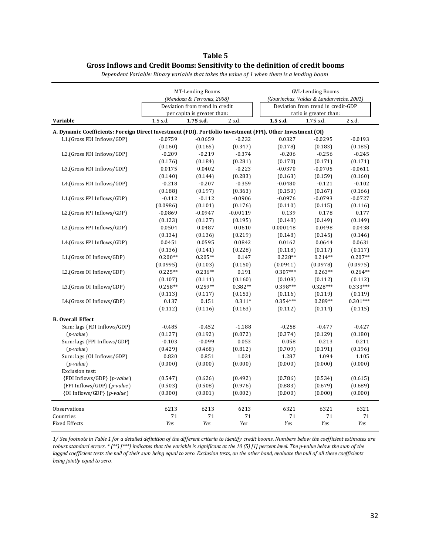#### **Table 5 Gross Inflows and Credit Booms: Sensitivity to the definition of credit booms**

|                                                                                                             |           | <b>MT-Lending Booms</b>        |            | <b>GVL-Lending Booms</b><br>(Gourinchas, Valdes & Landarretche, 2001)<br>Deviation from trend in credit-GDP |                        |            |  |
|-------------------------------------------------------------------------------------------------------------|-----------|--------------------------------|------------|-------------------------------------------------------------------------------------------------------------|------------------------|------------|--|
|                                                                                                             |           | (Mendoza & Terrones, 2008)     |            |                                                                                                             |                        |            |  |
|                                                                                                             |           | Deviation from trend in credit |            |                                                                                                             |                        |            |  |
|                                                                                                             |           | per capita is greater than:    |            |                                                                                                             | ratio is greater than: |            |  |
| Variable                                                                                                    | 1.5 s.d.  | 1.75 s.d.                      | 2 s.d.     | 1.5 s.d.                                                                                                    | 1.75 s.d.              | 2 s.d.     |  |
| A. Dynamic Coefficients: Foreign Direct Investment (FDI), Portfolio Investment (FPI), Other Investment (OI) |           |                                |            |                                                                                                             |                        |            |  |
| L1.(Gross FDI Inflows/GDP)                                                                                  | $-0.0759$ | $-0.0659$                      | $-0.232$   | 0.0327                                                                                                      | $-0.0295$              | $-0.0193$  |  |
|                                                                                                             | (0.160)   | (0.165)                        | (0.347)    | (0.178)                                                                                                     | (0.183)                | (0.185)    |  |
| L2.(Gross FDI Inflows/GDP)                                                                                  | $-0.209$  | $-0.219$                       | $-0.374$   | $-0.206$                                                                                                    | $-0.256$               | $-0.245$   |  |
|                                                                                                             | (0.176)   | (0.184)                        | (0.281)    | (0.170)                                                                                                     | (0.171)                | (0.171)    |  |
| L3.(Gross FDI Inflows/GDP)                                                                                  | 0.0175    | 0.0402                         | $-0.223$   | $-0.0370$                                                                                                   | $-0.0705$              | $-0.0611$  |  |
|                                                                                                             | (0.140)   | (0.144)                        | (0.283)    | (0.163)                                                                                                     | (0.159)                | (0.160)    |  |
| L4.(Gross FDI Inflows/GDP)                                                                                  | $-0.218$  | $-0.207$                       | $-0.359$   | $-0.0480$                                                                                                   | $-0.121$               | $-0.102$   |  |
|                                                                                                             | (0.188)   | (0.197)                        | (0.363)    | (0.150)                                                                                                     | (0.167)                | (0.166)    |  |
| L1.(Gross FPI Inflows/GDP)                                                                                  | $-0.112$  | $-0.112$                       | $-0.0906$  | $-0.0976$                                                                                                   | $-0.0793$              | $-0.0727$  |  |
|                                                                                                             | (0.0986)  | (0.101)                        | (0.176)    | (0.110)                                                                                                     | (0.115)                | (0.116)    |  |
| L2.(Gross FPI Inflows/GDP)                                                                                  | $-0.0869$ | $-0.0947$                      | $-0.00119$ | 0.139                                                                                                       | 0.178                  | 0.177      |  |
|                                                                                                             | (0.123)   | (0.127)                        | (0.195)    | (0.148)                                                                                                     | (0.149)                | (0.149)    |  |
| L3.(Gross FPI Inflows/GDP)                                                                                  | 0.0504    | 0.0487                         | 0.0610     | 0.000148                                                                                                    | 0.0498                 | 0.0438     |  |
|                                                                                                             | (0.134)   | (0.136)                        | (0.219)    | (0.148)                                                                                                     | (0.145)                | (0.146)    |  |
| L4.(Gross FPI Inflows/GDP)                                                                                  | 0.0451    | 0.0595                         | 0.0842     | 0.0162                                                                                                      | 0.0644                 | 0.0631     |  |
|                                                                                                             | (0.136)   | (0.141)                        | (0.228)    | (0.118)                                                                                                     | (0.117)                | (0.117)    |  |
| L1.(Gross OI Inflows/GDP)                                                                                   | $0.200**$ | $0.205**$                      | 0.147      | $0.228**$                                                                                                   | $0.214**$              | $0.207**$  |  |
|                                                                                                             | (0.0995)  | (0.103)                        | (0.150)    | (0.0941)                                                                                                    | (0.0978)               | (0.0975)   |  |
| L2.(Gross OI Inflows/GDP)                                                                                   | $0.225**$ | $0.236**$                      | 0.191      | $0.307***$                                                                                                  | $0.263**$              | $0.264**$  |  |
|                                                                                                             | (0.107)   | (0.111)                        | (0.160)    | (0.108)                                                                                                     | (0.112)                | (0.112)    |  |
| L3.(Gross OI Inflows/GDP)                                                                                   | $0.258**$ | $0.259**$                      | $0.382**$  | $0.398***$                                                                                                  | $0.328***$             | $0.333***$ |  |
|                                                                                                             | (0.113)   | (0.117)                        | (0.153)    | (0.116)                                                                                                     | (0.119)                | (0.119)    |  |
| L4.(Gross OI Inflows/GDP)                                                                                   | 0.137     | 0.151                          | $0.311*$   | $0.354***$                                                                                                  | 0.289**                | $0.301***$ |  |
|                                                                                                             | (0.112)   | (0.116)                        | (0.163)    | (0.112)                                                                                                     | (0.114)                | (0.115)    |  |
| <b>B.</b> Overall Effect                                                                                    |           |                                |            |                                                                                                             |                        |            |  |
| Sum: lags {FDI Inflows/GDP}                                                                                 | $-0.485$  | $-0.452$                       | $-1.188$   | $-0.258$                                                                                                    | $-0.477$               | $-0.427$   |  |
| $(p-value)$                                                                                                 | (0.127)   | (0.192)                        | (0.072)    | (0.374)                                                                                                     | (0.129)                | (0.180)    |  |
| Sum: lags {FPI Inflows/GDP}                                                                                 | $-0.103$  | $-0.099$                       | 0.053      | 0.058                                                                                                       | 0.213                  | 0.211      |  |
| $(p-value)$                                                                                                 | (0.429)   | (0.468)                        | (0.812)    | (0.709)                                                                                                     | (0.191)                | (0.196)    |  |
| Sum: lags {OI Inflows/GDP}                                                                                  | 0.820     | 0.851                          | 1.031      | 1.287                                                                                                       | 1.094                  | 1.105      |  |
| $(p-value)$                                                                                                 | (0.000)   | (0.000)                        | (0.000)    | (0.000)                                                                                                     | (0.000)                | (0.000)    |  |
| Exclusion test:                                                                                             |           |                                |            |                                                                                                             |                        |            |  |
| {FDI Inflows/GDP} (p-value)                                                                                 | (0.547)   | (0.626)                        | (0.492)    | (0.786)                                                                                                     | (0.534)                | (0.615)    |  |
| {FPI Inflows/GDP} (p-value)                                                                                 | (0.503)   | (0.508)                        | (0.976)    | (0.883)                                                                                                     | (0.679)                | (0.689)    |  |
| {OI Inflows/GDP} (p-value)                                                                                  | (0.000)   | (0.001)                        | (0.002)    | (0.000)                                                                                                     | (0.000)                | (0.000)    |  |
| <b>Observations</b>                                                                                         | 6213      | 6213                           | 6213       | 6321                                                                                                        | 6321                   | 6321       |  |
| Countries                                                                                                   | 71        | 71                             | 71         | 71                                                                                                          | 71                     | 71         |  |
| <b>Fixed Effects</b>                                                                                        | Yes       | Yes                            | Yes        | Yes                                                                                                         | Yes                    | Yes        |  |

*Dependent Variable: Binary variable that takes the value of 1 when there is a lending boom*

*1/ See footnote in Table 1 for a detailed definition of the different criteria to identify credit booms. Numbers below the coefficient estimates are robust standard errors. \* (\*\*) [\*\*\*] indicates that the variable is significant at the 10 (5) [1] percent level. The p-value below the sum of the lagged coefficient tests the null of their sum being equal to zero. Exclusion tests, on the other hand, evaluate the null of all these coefficients being jointly equal to zero.*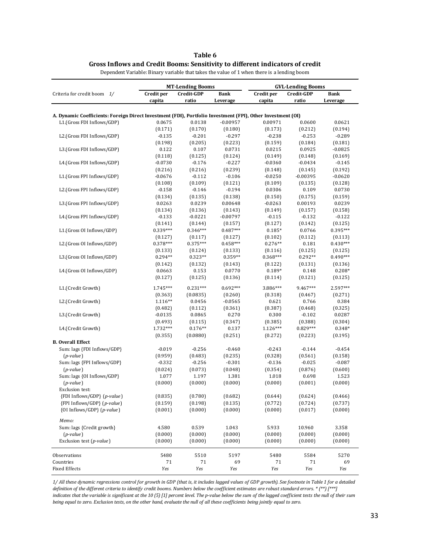| Table 6                                                                       |
|-------------------------------------------------------------------------------|
| Gross Inflows and Credit Booms: Sensitivity to different indicators of credit |

|                                                                                                             |                  | <b>MT-Lending Booms</b> |                     | <b>GVL-Lending Booms</b> |                   |                      |  |
|-------------------------------------------------------------------------------------------------------------|------------------|-------------------------|---------------------|--------------------------|-------------------|----------------------|--|
| Criteria for credit boom 1/                                                                                 | Credit per       | Credit-GDP              | <b>Bank</b>         | Credit per               | Credit-GDP        | <b>Bank</b>          |  |
|                                                                                                             | capita           | ratio                   | Leverage            | capita                   | ratio             | Leverage             |  |
|                                                                                                             |                  |                         |                     |                          |                   |                      |  |
| A. Dynamic Coefficients: Foreign Direct Investment (FDI), Portfolio Investment (FPI), Other Investment (OI) |                  |                         |                     |                          |                   |                      |  |
| L1.(Gross FDI Inflows/GDP)                                                                                  | 0.0675           | 0.0138                  | $-0.00957$          | 0.00971                  | 0.0600            | 0.0621               |  |
|                                                                                                             | (0.171)          | (0.170)                 | (0.180)             | (0.173)                  | (0.212)           | (0.194)              |  |
| L2.(Gross FDI Inflows/GDP)                                                                                  | $-0.135$         | $-0.201$                | $-0.297$<br>(0.223) | $-0.238$                 | $-0.253$          | $-0.289$             |  |
| L3.(Gross FDI Inflows/GDP)                                                                                  | (0.198)<br>0.122 | (0.205)<br>0.107        | 0.0731              | (0.159)<br>0.0215        | (0.184)<br>0.0925 | (0.181)<br>$-0.0825$ |  |
|                                                                                                             | (0.118)          | (0.125)                 | (0.124)             | (0.149)                  | (0.148)           | (0.169)              |  |
| L4.(Gross FDI Inflows/GDP)                                                                                  | $-0.0730$        | $-0.176$                | $-0.227$            | $-0.0360$                | $-0.0434$         | $-0.145$             |  |
|                                                                                                             | (0.216)          | (0.216)                 | (0.239)             | (0.148)                  | (0.145)           | (0.192)              |  |
| L1.(Gross FPI Inflows/GDP)                                                                                  | $-0.0676$        | $-0.112$                | $-0.106$            | $-0.0250$                | $-0.00395$        | $-0.0620$            |  |
|                                                                                                             | (0.108)          | (0.109)                 | (0.121)             | (0.109)                  | (0.135)           | (0.128)              |  |
| L2.(Gross FPI Inflows/GDP)                                                                                  | $-0.158$         | $-0.146$                | $-0.194$            | 0.0306                   | 0.109             | 0.0730               |  |
|                                                                                                             | (0.134)          | (0.135)                 | (0.138)             | (0.150)                  | (0.175)           | (0.159)              |  |
| L3.(Gross FPI Inflows/GDP)                                                                                  | 0.0263           | 0.0239                  | 0.00648             | $-0.0263$                | 0.00193           | 0.0239               |  |
|                                                                                                             | (0.134)          | (0.136)                 | (0.143)             | (0.149)                  | (0.157)           | (0.158)              |  |
| L4.(Gross FPI Inflows/GDP)                                                                                  | $-0.133$         | $-0.0221$               | $-0.00797$          | $-0.115$                 | $-0.132$          | $-0.122$             |  |
|                                                                                                             | (0.141)          | (0.144)                 | (0.157)             | (0.127)                  | (0.142)           | (0.125)              |  |
| L1.(Gross OI Inflows/GDP)                                                                                   | $0.339***$       | $0.346***$              | $0.487***$          | $0.185*$                 | 0.0766            | 0.395***             |  |
|                                                                                                             | (0.127)          | (0.117)                 | (0.127)             | (0.102)                  | (0.112)           | (0.113)              |  |
| L2.(Gross OI Inflows/GDP)                                                                                   | $0.378***$       | $0.375***$              | $0.458***$          | $0.276**$                | 0.181             | $0.430***$           |  |
|                                                                                                             | (0.133)          | (0.124)                 | (0.133)             | (0.116)                  | (0.125)           | (0.125)              |  |
| L3.(Gross OI Inflows/GDP)                                                                                   | $0.294**$        | $0.323**$               | $0.359**$           | $0.368***$               | $0.292**$         | $0.490***$           |  |
|                                                                                                             | (0.142)          | (0.132)                 | (0.143)             | (0.122)                  | (0.131)           | (0.136)              |  |
| L4.(Gross OI Inflows/GDP)                                                                                   | 0.0663           | 0.153                   | 0.0770              | $0.189*$                 | 0.148             | $0.208*$             |  |
|                                                                                                             | (0.127)          | (0.125)                 | (0.136)             | (0.114)                  | (0.121)           | (0.125)              |  |
| L1.(Credit Growth)                                                                                          | 1.745***         | $0.231***$              | $0.692***$          | 3.886***                 | 9.467***          | 2.597***             |  |
|                                                                                                             | (0.363)          | (0.0835)                | (0.260)             | (0.318)                  | (0.467)           | (0.271)              |  |
| L2.(Credit Growth)                                                                                          | $1.116**$        | 0.0456                  | $-0.0565$           | 0.621                    | 0.766             | 0.384                |  |
|                                                                                                             | (0.482)          | (0.112)                 | (0.361)             | (0.387)                  | (0.468)           | (0.325)              |  |
| L3.(Credit Growth)                                                                                          | $-0.0135$        | 0.0865                  | 0.270               | 0.300                    | $-0.102$          | 0.0287               |  |
|                                                                                                             | (0.493)          | (0.115)                 | (0.347)             | (0.385)                  | (0.388)           | (0.304)              |  |
| L4.(Credit Growth)                                                                                          | 1.732***         | $0.176**$               | 0.137               | $1.126***$               | $0.829***$        | 0.348*               |  |
|                                                                                                             |                  | (0.0880)                | (0.251)             | (0.272)                  |                   |                      |  |
| <b>B.</b> Overall Effect                                                                                    | (0.355)          |                         |                     |                          | (0.223)           | (0.195)              |  |
| Sum: lags {FDI Inflows/GDP}                                                                                 | $-0.019$         | $-0.256$                | $-0.460$            | $-0.243$                 | $-0.144$          | $-0.454$             |  |
| $(p-value)$                                                                                                 | (0.959)          | (0.483)                 | (0.235)             | (0.328)                  | (0.561)           | (0.158)              |  |
| Sum: lags {FPI Inflows/GDP}                                                                                 | $-0.332$         | $-0.256$                | $-0.301$            | $-0.136$                 | $-0.025$          | $-0.087$             |  |
| $(p-value)$                                                                                                 | (0.024)          | (0.073)                 | (0.048)             | (0.354)                  | (0.876)           | (0.600)              |  |
| Sum: lags {OI Inflows/GDP}                                                                                  | 1.077            | 1.197                   | 1.381               | 1.018                    | 0.698             | 1.523                |  |
| $(p-value)$                                                                                                 | (0.000)          | (0.000)                 | (0.000)             | (0.000)                  | (0.001)           | (0.000)              |  |
| <b>Exclusion test:</b>                                                                                      |                  |                         |                     |                          |                   |                      |  |
| {FDI Inflows/GDP} (p-value)                                                                                 | (0.835)          | (0.780)                 | (0.682)             | (0.644)                  | (0.624)           | (0.466)              |  |
| {FPI Inflows/GDP} (p-value)                                                                                 | (0.159)          | (0.198)                 | (0.135)             | (0.772)                  | (0.724)           | (0.737)              |  |
| {OI Inflows/GDP} (p-value)                                                                                  | (0.001)          | (0.000)                 | (0.000)             | (0.000)                  | (0.017)           | (0.000)              |  |
| Memo:                                                                                                       |                  |                         |                     |                          |                   |                      |  |
| Sum: lags {Credit growth}                                                                                   | 4.580            | 0.539                   | 1.043               | 5.933                    | 10.960            | 3.358                |  |
| $(p-value)$                                                                                                 | (0.000)          | (0.000)                 | (0.000)             | (0.000)                  | (0.000)           | (0.000)              |  |
| Exclusion test (p-value)                                                                                    | (0.000)          | (0.000)                 | (0.000)             | (0.000)                  | (0.000)           | (0.000)              |  |
|                                                                                                             |                  |                         |                     |                          |                   |                      |  |
| Observations<br>Countries                                                                                   | 5480<br>71       | 5510<br>71              | 5197<br>69          | 5480<br>71               | 5584<br>71        | 5270<br>69           |  |
| <b>Fixed Effects</b>                                                                                        | Yes              | Yes                     | Yes                 | Yes                      | Yes               | Yes                  |  |
|                                                                                                             |                  |                         |                     |                          |                   |                      |  |

Dependent Variable: Binary variable that takes the value of 1 when there is a lending boom

*1/ All these dynamic regressions control for growth in GDP (that is, it includes lagged values of GDP growth). See footnote in Table 1 for a detailed definition of the different criteria to identify credit booms. Numbers below the coefficient estimates are robust standard errors. \* (\*\*) [\*\*\*] indicates that the variable is significant at the 10 (5) [1] percent level. The p-value below the sum of the lagged coefficient tests the null of their sum being equal to zero. Exclusion tests, on the other hand, evaluate the null of all these coefficients being jointly equal to zero.*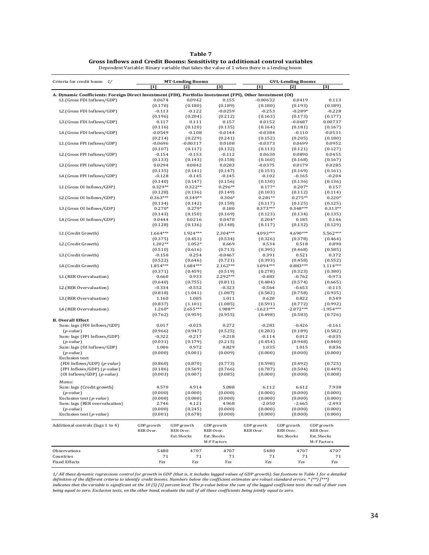| ۱n<br>п<br>n |  |
|--------------|--|
|--------------|--|

| Gross Inflows and Credit Booms: Sensitivity to additional control variables                |
|--------------------------------------------------------------------------------------------|
| Dependent Variable: Binary variable that takes the value of 1 when there is a lending boom |

| Criteria for credit boom 1/                                                                                 |                      | <b>MT-Lending Booms</b> |                            |                       | <b>GVL-Lending Booms</b> |                            |  |  |
|-------------------------------------------------------------------------------------------------------------|----------------------|-------------------------|----------------------------|-----------------------|--------------------------|----------------------------|--|--|
|                                                                                                             | $[1]$                | $[2]$                   | $^{[3]}$                   | $[1]$                 | $[2]$                    | [3]                        |  |  |
| A. Dynamic Coefficients: Foreign Direct Investment (FDI), Portfolio Investment (FPI), Other Investment (OI) |                      |                         |                            |                       |                          |                            |  |  |
| L1.(Gross FDI Inflows/GDP)                                                                                  | 0.0674               | 0.0942                  | 0.155                      | $-0.00632$            | 0.0419                   | 0.113                      |  |  |
| L2.(Gross FDI Inflows/GDP)                                                                                  | (0.170)              | (0.180)<br>$-0.122$     | (0.189)<br>$-0.0259$       | (0.180)<br>$-0.253$   | (0.193)<br>$-0.289*$     | (0.189)<br>$-0.228$        |  |  |
|                                                                                                             | $-0.113$<br>(0.196)  | (0.204)                 | (0.212)                    | (0.163)               | (0.173)                  | (0.177)                    |  |  |
| L3.(Gross FDI Inflows/GDP)                                                                                  | 0.117                | 0.111                   | 0.157                      | 0.0152                | $-0.0687$                | 0.00737                    |  |  |
|                                                                                                             | (0.116)              | (0.120)                 | (0.135)                    | (0.164)               | (0.181)                  | (0.167)                    |  |  |
| L4.(Gross FDI Inflows/GDP)                                                                                  | $-0.0549$            | $-0.108$                | $-0.0144$                  | $-0.0384$             | $-0.110$                 | $-0.0531$                  |  |  |
| L1.(Gross FPI Inflows/GDP)                                                                                  | (0.214)<br>$-0.0696$ | (0.229)<br>$-0.00317$   | (0.241)<br>0.0108          | (0.152)<br>$-0.0373$  | (0.205)<br>0.0699        | (0.180)<br>0.0952          |  |  |
|                                                                                                             | (0.107)              | (0.117)                 | (0.132)                    | (0.113)               | (0.121)                  | (0.127)                    |  |  |
| L2.(Gross FPI Inflows/GDP)                                                                                  | $-0.154$             | $-0.153$                | $-0.112$                   | 0.0630                | 0.0890                   | 0.0455                     |  |  |
|                                                                                                             | (0.133)              | (0.143)                 | (0.158)                    | (0.160)               | (0.168)                  | (0.167)                    |  |  |
| L3.(Gross FPI Inflows/GDP)                                                                                  | 0.0294               | 0.0842                  | 0.0283                     | -0.0375               | 0.0179                   | 0.0285                     |  |  |
| L4.(Gross FPI Inflows/GDP)                                                                                  | (0.135)<br>$-0.128$  | (0.141)<br>$-0.145$     | (0.147)<br>$-0.145$        | (0.153)<br>$-0.102$   | (0.169)<br>$-0.165$      | (0.161)<br>$-0.204$        |  |  |
|                                                                                                             | (0.140)              | (0.147)                 | (0.156)                    | (0.130)               | (0.136)                  | (0.136)                    |  |  |
| L1.(Gross OI Inflows/GDP)                                                                                   | $0.329**$            | $0.322**$               | $0.296**$                  | $0.177*$              | $0.207*$                 | 0.157                      |  |  |
|                                                                                                             | (0.128)              | (0.136)                 | (0.149)                    | (0.103)               | (0.112)                  | (0.114)                    |  |  |
| L2.(Gross OI Inflows/GDP)                                                                                   | $0.363***$           | $0.349**$               | $0.306*$                   | $0.281**$             | $0.275**$                | $0.220*$                   |  |  |
| L3.(Gross OI Inflows/GDP)                                                                                   | (0.134)<br>$0.270*$  | (0.142)<br>$0.279*$     | (0.158)<br>0.180           | (0.117)<br>$0.373***$ | (0.125)<br>$0.348***$    | (0.125)<br>$0.313**$       |  |  |
|                                                                                                             | (0.143)              | (0.150)                 | (0.169)                    | (0.123)               | (0.134)                  | (0.135)                    |  |  |
| L4.(Gross OI Inflows/GDP)                                                                                   | 0.0444               | 0.0216                  | 0.0470                     | $0.204*$              | 0.185                    | 0.146                      |  |  |
|                                                                                                             | (0.128)              | (0.136)                 | (0.148)                    | (0.117)               | (0.132)                  | (0.129)                    |  |  |
| L1.(Credit Growth)                                                                                          | 1.664***             | 1.924 ***               | 2.304***                   | 4.093***              | 4.690***                 | 5.562***                   |  |  |
|                                                                                                             | (0.375)              | (0.451)                 | (0.534)                    | (0.326)               | (0.378)                  | (0.464)                    |  |  |
| L2.(Credit Growth)                                                                                          | $1.202**$            | $1.052*$                | 0.669                      | 0.534                 | 0.518                    | 0.890                      |  |  |
|                                                                                                             | (0.510)              | (0.616)                 | (0.713)                    | (0.395)               | (0.468)                  | (0.585)                    |  |  |
| L3.(Credit Growth)                                                                                          | $-0.150$<br>(0.522)  | 0.254<br>(0.646)        | $-0.0467$<br>(0.721)       | 0.391<br>(0.393)      | 0.521<br>(0.458)         | 0.372<br>(0.552)           |  |  |
| L4.(Credit Growth)                                                                                          | 1.854 ***            | 1.684***                | $2.162***$                 | 1.094***              | $0.883***$               | $1.114***$                 |  |  |
|                                                                                                             | (0.371)              | (0.459)                 | (0.519)                    | (0.278)               | (0.323)                  | (0.380)                    |  |  |
| L1.(RER Overvaluation)                                                                                      | 0.660                | 0.933                   | $2.292***$                 | $-0.483$              | $-0.762$                 | $-0.973$                   |  |  |
|                                                                                                             | (0.640)              | (0.755)                 | (0.811)                    | (0.484)               | (0.574)                  | (0.665)                    |  |  |
| L2.(RER Overvaluation)                                                                                      | $-0.334$<br>(0.818)  | $-0.552$<br>(1.041)     | $-0.323$<br>(1.087)        | $-0.564$<br>(0.582)   | $-0.653$<br>(0.758)      | $-0.115$<br>(0.935)        |  |  |
| L3.(RER Overvaluation)                                                                                      | 1.160                | 1.085                   | 1.011                      | 0.620                 | 0.822                    | 0.549                      |  |  |
|                                                                                                             | (0.837)              | (1.101)                 | (1.085)                    | (0.591)               | (0.772)                  | (0.992)                    |  |  |
| L4.(RER Overvaluation)                                                                                      | 1.260*               | $2.655***$              | 1.988**                    | $-1.623***$           | $-2.072***$              | $-1.954***$                |  |  |
|                                                                                                             | (0.762)              | (0.959)                 | (0.955)                    | (0.498)               | (0.583)                  | (0.726)                    |  |  |
| <b>B.</b> Overall Effect<br>Sum: lags {FDI Inflows/GDP}                                                     | 0.017                | $-0.025$                | 0.272                      | $-0.283$              | $-0.426$                 | $-0.161$                   |  |  |
| $(p-value)$                                                                                                 | (0.966)              | (0.947)                 | (0.525)                    | (0.283)               | (0.189)                  | (0.582)                    |  |  |
| Sum: lags {FPI Inflows/GDP}                                                                                 | $-0.322$             | $-0.217$                | $-0.218$                   | $-0.114$              | 0.012                    | $-0.035$                   |  |  |
| $(p-value)$                                                                                                 | (0.031)              | (0.179)                 | (0.215)                    | (0.454)               | (0.948)                  | (0.840)                    |  |  |
| Sum: lags {OI Inflows/GDP}                                                                                  | 1.006                | 0.972                   | 0.829                      | 1.035                 | 1.015                    | 0.836                      |  |  |
| $(p-value)$<br>Exclusion test:                                                                              | (0.000)              | (0.001)                 | (0.009)                    | (0.000)               | (0.000)                  | (0.000)                    |  |  |
| {FDI Inflows/GDP} (p-value)                                                                                 | (0.860)              | (0.870)                 | (0.773)                    | (0.598)               | (0.492)                  | (0.725)                    |  |  |
| {FPI Inflows/GDP} (p-value)                                                                                 | (0.186)              | (0.569)                 | (0.766)                    | (0.787)               | (0.504)                  | (0.449)                    |  |  |
| {OI Inflows/GDP} (p-value)                                                                                  | (0.003)              | (0.007)                 | (0.085)                    | (0.000)               | (0.000)                  | (0.008)                    |  |  |
| Memo:                                                                                                       |                      |                         |                            |                       |                          |                            |  |  |
| Sum: lags {Credit growth}                                                                                   | 4.570                | 4.914                   | 5.088                      | 6.112                 | 6.612                    | 7.938                      |  |  |
| $(p-value)$                                                                                                 | (0.000)              | (0.000)                 | (0.000)                    | (0.000)               | (0.000)                  | (0.000)                    |  |  |
| Exclusion test (p-value)                                                                                    | (0.000)              | (0.000)                 | (0.000)                    | (0.000)               | (0.000)                  | (0.000)                    |  |  |
| Sum: lags {RER overvaluation}<br>$(p-value)$                                                                | 2.746<br>(0.000)     | 4.121<br>(0.245)        | 4.968<br>(0.000)           | $-2.050$<br>(0.000)   | $-2.665$<br>(0.000)      | $-2.493$<br>(0.000)        |  |  |
| Exclusion test (p-value)                                                                                    | (0.001)              | (0.678)                 | (0.000)                    | (0.000)               | (0.000)                  | (0.000)                    |  |  |
|                                                                                                             |                      |                         |                            |                       |                          |                            |  |  |
| Additional controls (lags 1 to 4)                                                                           | GDP growth           | GDP growth              | GDP growth                 | GDP growth            | GDP growth               | GDP growth                 |  |  |
|                                                                                                             | RER Over.            | RER Over.               | RER Over.                  | RER Over.             | RER Over.                | RER Over.                  |  |  |
|                                                                                                             |                      | Ext. Shocks             | Ext. Shocks<br>M-F Factors |                       | Ext. Shocks              | Ext. Shocks<br>M-F Factors |  |  |
|                                                                                                             |                      |                         |                            |                       |                          |                            |  |  |
| Observations                                                                                                | 5480                 | 4707                    | 4707                       | 5480                  | 4707                     | 4707                       |  |  |
| Countries<br><b>Fixed Effects</b>                                                                           | 71<br>Yes            | $7\,1$<br>Yes           | 71<br>Yes                  | 71<br>Yes             | 71<br>Yes                | 71<br>Yes                  |  |  |
|                                                                                                             |                      |                         |                            |                       |                          |                            |  |  |

1/ All these dynamic regressions control for growth in GDP (that is, it includes lagged values of GDP growth). See footnote in Table 1 for a detailed<br>definition of the different criteria to identify credit booms. Numbers b *being equal to zero. Exclusion tests, on the other hand, evaluate the null of all these coefficients being jointly equal to zero.*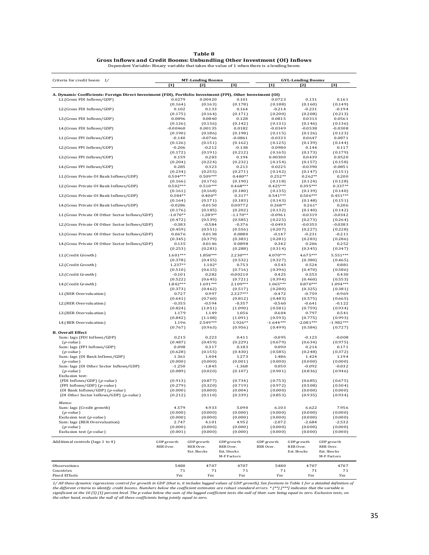| Table 8                                                                                    |
|--------------------------------------------------------------------------------------------|
| Gross Inflows and Credit Booms: Unbundling Other Investment (OI) Inflows                   |
| Dependent Variable: Binary variable that takes the value of 1 when there is a lending boom |

| Criteria for credit boom 1/                                                                                 |                  | <b>MT-Lending Booms</b> |                  |                    | <b>GVL-Lending Booms</b> |                   |
|-------------------------------------------------------------------------------------------------------------|------------------|-------------------------|------------------|--------------------|--------------------------|-------------------|
|                                                                                                             | $[1]$            | $\mathsf{Z}$            | [3]              | $[1]$              | $\mathbf{Z}$             | [3]               |
| A. Dynamic Coefficients: Foreign Direct Investment (FDI), Portfolio Investment (FPI), Other Investment (OI) |                  |                         |                  |                    |                          |                   |
| L1.(Gross FDI Inflows/GDP)                                                                                  | 0.0279           | 0.00420                 | 0.101            | 0.0723             | 0.131                    | 0.161             |
|                                                                                                             | (0.164)          | (0.163)                 | (0.178)          | (0.188)            | (0.160)                  | (0.149)           |
| L2.(Gross FDI Inflows/GDP)                                                                                  | 0.102            | 0.133                   | 0.164            | $-0.214$           | $-0.231$                 | $-0.194$          |
|                                                                                                             | (0.175)          | (0.164)                 | (0.171)          | (0.200)            | (0.208)                  | (0.213)           |
| L3.(Gross FDI Inflows/GDP)                                                                                  | 0.0896           | 0.0840                  | 0.128            | 0.0815             | 0.0313                   | 0.0561            |
|                                                                                                             | (0.126)          | (0.136)                 | (0.142)          | (0.131)            | (0.146)                  | (0.136)           |
| L4.(Gross FDI Inflows/GDP)                                                                                  | $-0.00460$       | 0.00135                 | 0.0182           | $-0.0349$          | $-0.0538$                | $-0.0308$         |
|                                                                                                             | (0.190)          | (0.186)                 | (0.198)          | (0.115)            | (0.126)                  | (0.123)           |
| L1.(Gross FPI Inflows/GDP)                                                                                  | $-0.140$         | $-0.0766$               | $-0.0861$        | $-0.0333$          | 0.0647                   | 0.0871            |
|                                                                                                             | (0.126)          | (0.151)                 | (0.162)          | (0.125)            | (0.139)                  | (0.144)           |
| L2.(Gross FPI Inflows/GDP)                                                                                  | $-0.206$         | $-0.212$                | $-0.138$         | 0.0980             | 0.144                    | 0.117             |
| L3.(Gross FPI Inflows/GDP)                                                                                  | (0.172)          | (0.191)                 | (0.212)<br>0.194 | (0.165)            | (0.173)                  | (0.179)           |
|                                                                                                             | 0.159<br>(0.204) | 0.283<br>(0.224)        | (0.232)          | 0.00300<br>(0.154) | 0.0439<br>(0.157)        | 0.0520<br>(0.158) |
| L4.(Gross FPI Inflows/GDP)                                                                                  | 0.285            | 0.323                   | 0.213            | 0.0225             | -0.0390                  | $-0.0851$         |
|                                                                                                             | (0.234)          | (0.255)                 | (0.271)          | (0.142)            | (0.147)                  | (0.151)           |
| L1.(Gross Private OI Bank Inflows/GDP)                                                                      | $0.504***$       | $0.509***$              | $0.480**$        | $0.252**$          | $0.262**$                | 0.200             |
|                                                                                                             | (0.166)          | (0.176)                 | (0.190)          | (0.118)            | (0.124)                  | (0.128)           |
| L2.(Gross Private OI Bank Inflows/GDP)                                                                      | $0.502***$       | $0.510***$              | $0.468***$       | $0.425***$         | $0.395***$               | $0.337**$         |
|                                                                                                             | (0.161)          | (0.168)                 | (0.180)          | (0.135)            | (0.139)                  | (0.140)           |
| L3.(Gross Private OI Bank Inflows/GDP)                                                                      | $0.384**$        | $0.400**$               | $0.317*$         | $0.541***$         | $0.506***$               | $0.451***$        |
|                                                                                                             | (0.164)          | (0.171)                 | (0.183)          | (0.143)            | (0.148)                  | (0.151)           |
| L4.(Gross Private OI Bank Inflows/GDP)                                                                      | $-0.0286$        | $-0.0150$               | 0.00772          | $0.268**$          | $0.261*$                 | 0.206             |
|                                                                                                             | (0.176)          | (0.185)                 | (0.202)          | (0.132)            | (0.140)                  | (0.142)           |
| L1.(Gross Private OI Other Sector Inflows/GDP)                                                              | $-1.070**$       | $-1.289**$              | $-1.170**$       | $-0.0961$          | $-0.0319$                | $-0.0342$         |
|                                                                                                             | (0.472)          | (0.539)                 | (0.585)          | (0.225)            | (0.273)                  | (0.264)           |
| L2.(Gross Private OI Other Sector Inflows/GDP)                                                              | $-0.383$         | $-0.584$                | $-0.376$         | $-0.0493$          | $-0.0353$                | $-0.0383$         |
|                                                                                                             | (0.459)          | (0.551)                 | (0.556)          | (0.207)            | (0.227)                  | (0.228)           |
| L3.(Gross Private OI Other Sector Inflows/GDP)                                                              | 0.0676           | 0.0138                  | 0.0880           | $-0.147$           | $-0.231$                 | $-0.211$          |
|                                                                                                             | (0.345)          | (0.379)                 | (0.383)          | (0.281)            | (0.283)                  | (0.286)           |
| L4.(Gross Private OI Other Sector Inflows/GDP)                                                              | 0.135            | 0.0146                  | 0.0898           | 0.342              | 0.206                    | 0.252             |
|                                                                                                             | (0.253)          | (0.281)                 | (0.288)          | (0.314)            | (0.345)                  | (0.347)           |
| L1.(Credit Growth)                                                                                          | $1.601***$       | 1.858***                | $2.230***$       | 4.070***           | $4.675***$               | $5.551***$        |
|                                                                                                             | (0.378)          |                         |                  |                    | (0.380)                  | (0.465)           |
| L2.(Credit Growth)                                                                                          | $1.237**$        | (0.455)<br>$1.102*$     | (0.532)<br>0.753 | (0.327)<br>0.543   | 0.524                    | 0.881             |
|                                                                                                             | (0.510)          | (0.615)                 | (0.716)          | (0.396)            | (0.470)                  | (0.586)           |
| L3.(Credit Growth)                                                                                          | $-0.101$         | 0.282                   | $-0.00210$       | 0.425              | 0.553                    | 0.430             |
|                                                                                                             | (0.522)          | (0.645)                 | (0.721)          | (0.394)            | (0.460)                  | (0.553)           |
| L4.(Credit Growth)                                                                                          | 1.842***         | $1.691***$              | 2.109***         | $1.065***$         | $0.870***$               | $1.094***$        |
|                                                                                                             | (0.373)          | (0.462)                 | (0.517)          | (0.280)            | (0.325)                  | (0.381)           |
| L1.(RER Overvaluation)                                                                                      | 0.727            | 0.997                   | 2.327***         | $-0.472$           | $-0.759$                 | $-0.969$          |
|                                                                                                             | (0.641)          | (0.760)                 | (0.812)          | (0.483)            | (0.575)                  | (0.665)           |
| L2.(RER Overvaluation)                                                                                      | $-0.355$         | $-0.594$                | $-0.357$         | $-0.560$           | $-0.641$                 | $-0.122$          |
|                                                                                                             | (0.824)          | (1.051)                 | (1.090)          | (0.581)            | (0.759)                  | (0.934)           |
| L3.(RER Overvaluation)                                                                                      | 1.179            | 1.149                   | 1.056            | 0.604              | 0.797                    | 0.541             |
|                                                                                                             | (0.842)          | (1.108)                 | (1.091)          | (0.593)            | (0.775)                  | (0.993)           |
| L4.(RER Overvaluation)                                                                                      | 1.196            | 2.549***                | 1.926**          | $-1.644***$        | $-2.081***$              | $-1.982***$       |
|                                                                                                             | (0.767)          | (0.963)                 | (0.956)          | (0.499)            | (0.584)                  | (0.727)           |
| <b>B.</b> Overall Effect                                                                                    |                  |                         |                  |                    |                          |                   |
| Sum: lags {FDI Inflows/GDP}                                                                                 | 0.215            | 0.223                   | 0.411            | -0.095             | $-0.123$                 | $-0.008$          |
| $(p-value)$                                                                                                 | (0.487)          | (0.459)                 | (0.229)          | (0.679)            | (0.634)                  | (0.975)           |
| Sum: lags {FPI Inflows/GDP}                                                                                 | 0.098            | 0.317                   | 0.183            | 0.090              | 0.214                    | 0.171             |
| $(p-value)$                                                                                                 | (0.628)          | (0.155)                 | (0.430)          | (0.585)            | (0.248)                  | (0.372)           |
| Sum: lags {OI Bank Inflows/GDP}                                                                             | 1.361            | 1.404                   | 1.273            | 1.486              | 1.424                    | 1.194             |
| $(p-value)$                                                                                                 | (0.000)          | (0.000)                 | (0.001)          | (0.000)            | (0.000)                  | (0.000)           |
| Sum: lags {OI Other Sector Inflows/GDP}                                                                     | $-1.250$         | $-1.845$                | $-1.368$         | 0.050              | $-0.092$                 | $-0.032$          |
| $(p-value)$                                                                                                 | (0.089)          | (0.020)                 | (0.107)          | (0.901)            | (0.836)                  | (0.946)           |
| Exclusion test:                                                                                             |                  |                         |                  |                    |                          |                   |
| {FDI Inflows/GDP} (p-value)                                                                                 | (0.913)          | (0.877)                 | (0.734)          | (0.753)            | (0.685)                  | (0.675)           |
| {FPI Inflows/GDP} (p-value)                                                                                 | (0.279)          | (0.320)                 | (0.719)          | (0.972)            | (0.508)                  | (0.504)           |
| {OI Bank Inflows/GDP} (p-value)                                                                             | (0.000)          | (0.000)                 | (0.004)          | (0.000)            | (0.000)                  | (0.000)           |
| {OI Other Sector Inflows/GDP} (p-value)                                                                     | (0.212)          | (0.110)                 | (0.339)          | (0.853)            | (0.935)                  | (0.934)           |
|                                                                                                             |                  |                         |                  |                    |                          |                   |
| Memo:                                                                                                       |                  |                         |                  |                    |                          |                   |
| Sum: lags {Credit growth}                                                                                   | 4.579            | 4.933                   | 5.090            | 6.103              | 6.622                    | 7.956             |
| $(p-value)$                                                                                                 | (0.000)          | (0.000)                 | (0.000)          | (0.000)            | (0.000)                  | (0.000)           |
| Exclusion test (p-value)                                                                                    | (0.000)          | (0.000)                 | (0.000)          | (0.000)            | (0.000)                  | (0.000)           |
| Sum: lags {RER Overvaluation}                                                                               | 2.747            | 4.101                   | 4.952            | $-2.072$           | $-2.684$                 | $-2.532$          |
| $(p-value)$                                                                                                 | (0.000)          | (0.000)                 | (0.000)          | (0.000)            | (0.000)                  | (0.000)           |
| Exclusion test (p-value)                                                                                    | (0.001)          | (0.000)                 | (0.000)          | (0.000)            | (0.000)                  | (0.000)           |
|                                                                                                             |                  |                         |                  |                    |                          |                   |
| Additional controls (lags 1 to 4)                                                                           | GDP growth       | GDP growth              | GDP growth       | GDP growth         | GDP growth               | GDP growth        |
|                                                                                                             | RER Over.        | RER Over.               | RER Over.        | RER Over.          | RER Over.                | RER Over.         |
|                                                                                                             |                  | Ext. Shocks             | Ext. Shocks      |                    | Ext. Shocks              | Ext. Shocks       |
|                                                                                                             |                  |                         | M-F Factors      |                    |                          | M-F Factors       |
|                                                                                                             |                  |                         |                  |                    |                          |                   |
| Observations                                                                                                | 5480             | 4707                    | 4707             | 5480               | 4707                     | 4707              |
| Countries                                                                                                   | 71               | 71                      | 71               | 71                 | 71                       | 71                |
| <b>Fixed Effects</b>                                                                                        | Yes              | Yes                     | Yes              | Yes                | Yes                      | Yes               |

1/ All these dynamic regressions control for growth in GDP (that is, it includes lagged values of GDP growth). See footnote in Table 1 for a detailed definition of<br>significant at the 10 (5) [1] percent level. The p-value b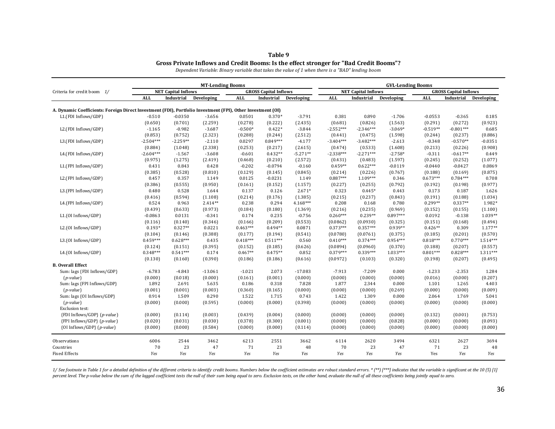| Table 9                                                                                |
|----------------------------------------------------------------------------------------|
| Gross Private Inflows and Credit Booms: Is the effect stronger for "Bad Credit Booms"? |

*Dependent Variable: Binary variable that takes the value of 1 when there is a "BAD" lending boom*

|                                                                                                             | <b>MT-Lending Booms</b>    |            |            |            |                              |            | <b>GVL-Lending Booms</b> |                            |                       |            |                              |                    |  |
|-------------------------------------------------------------------------------------------------------------|----------------------------|------------|------------|------------|------------------------------|------------|--------------------------|----------------------------|-----------------------|------------|------------------------------|--------------------|--|
| Criteria for credit boom 1/                                                                                 | <b>NET Capital Inflows</b> |            |            |            | <b>GROSS Capital Inflows</b> |            |                          | <b>NET Capital Inflows</b> |                       |            | <b>GROSS Capital Inflows</b> |                    |  |
|                                                                                                             | <b>ALL</b>                 | Industrial | Developing | <b>ALL</b> | Industrial                   | Developing | <b>ALL</b>               | Industrial                 | Developing            | <b>ALL</b> | Industrial                   | Developing         |  |
| A. Dynamic Coefficients: Foreign Direct Investment (FDI), Portfolio Investment (FPI), Other Investment (OI) |                            |            |            |            |                              |            |                          |                            |                       |            |                              |                    |  |
| L1.(FDI Inflows/GDP)                                                                                        | $-0.510$                   | $-0.0350$  | $-3.656$   | 0.0501     | $0.370*$                     | $-3.791$   | 0.381                    | 0.890                      | $-1.706$              | $-0.0553$  | $-0.365$                     | 0.185              |  |
|                                                                                                             | (0.650)                    | (0.701)    | (2.259)    | (0.278)    | (0.222)                      | (2.435)    | (0.681)                  | (0.826)                    | (1.563)               | (0.291)    | (0.272)                      | (0.923)            |  |
| L2.(FDI Inflows/GDP)                                                                                        | $-1.165$                   | $-0.982$   | $-3.687$   | $-0.500*$  | $0.422*$                     | $-3.844$   | $-2.552***$              | $-2.346***$                | $-3.069*$             | $-0.519**$ | $-0.801***$                  | 0.685              |  |
|                                                                                                             | (0.853)                    | (0.752)    | (2.323)    | (0.288)    | (0.244)                      | (2.512)    | (0.441)                  | (0.475)                    | (1.598)               | (0.244)    | (0.237)                      | (0.886)            |  |
| L3.(FDI Inflows/GDP)                                                                                        | $-2.504***$                | $-2.259**$ | $-2.110$   | 0.0297     | $0.849***$                   | $-4.177$   | $-3.404***$              | $-3.482***$                | $-2.613$              | $-0.348$   | $-0.570**$                   | $-0.0351$          |  |
|                                                                                                             | (0.884)                    | (1.048)    | (2.338)    | (0.253)    | (0.217)                      | (2.615)    | (0.474)                  | (0.533)                    | (1.608)               | (0.213)    | (0.226)                      | (0.908)            |  |
| L4.(FDI Inflows/GDP)                                                                                        | $-2.604***$                | $-1.567$   | $-3.608$   | $-0.601$   | $0.432**$                    | $-5.271**$ | $-2.338***$              | $-2.271***$                | $-2.758*$             | $-0.311$   | $-0.617**$                   | 0.449              |  |
|                                                                                                             | (0.975)                    | (1.275)    | (2.419)    | (0.468)    | (0.210)                      | (2.572)    | (0.431)                  | (0.483)                    | (1.597)               | (0.245)    | (0.252)                      | (1.077)            |  |
| L1.(FPI Inflows/GDP)                                                                                        | 0.431                      | 0.843      | 0.428      | $-0.202$   | $-0.0794$                    | $-0.160$   | $0.459**$                | $0.622***$                 | $-0.0119$             | $-0.0440$  | $-0.0427$                    | 0.0869             |  |
|                                                                                                             | (0.385)                    | (0.528)    | (0.810)    | (0.129)    | (0.145)                      | (0.845)    | (0.214)                  | (0.226)                    | (0.767)               | (0.188)    | (0.169)                      | (0.875)            |  |
| L2.(FPI Inflows/GDP)                                                                                        | 0.457                      | 0.357      | 1.149      | 0.0125     | $-0.0231$                    | 1.149      | $0.887***$               | $1.109***$                 | 0.346                 | $0.673***$ | $0.784***$                   | 0.708              |  |
|                                                                                                             | (0.386)                    | (0.555)    | (0.950)    | (0.161)    | (0.152)                      | (1.157)    | (0.227)                  | (0.255)                    | (0.792)               | (0.192)    | (0.198)                      | (0.977)            |  |
| L3.(FPI Inflows/GDP)                                                                                        | 0.480                      | 0.528      | 1.644      | 0.137      | 0.126                        | $2.671*$   | 0.323                    | $0.445*$                   | 0.443                 | 0.173      | 0.187                        | 1.626              |  |
|                                                                                                             | (0.416)                    | (0.594)    | (1.108)    | (0.214)    | (0.176)                      | (1.385)    | (0.215)                  | (0.237)                    | (0.843)               | (0.191)    | (0.188)                      | (1.034)            |  |
| L4.(FPI Inflows/GDP)                                                                                        | 0.524                      | 0.963      | $2.414**$  | 0.238      | 0.294                        | 4.168***   | 0.208                    | 0.168                      | 0.780                 | $0.299**$  | $0.337**$                    | 1.982*             |  |
|                                                                                                             |                            |            |            |            |                              |            |                          |                            |                       |            |                              |                    |  |
|                                                                                                             | (0.439)                    | (0.633)    | (0.973)    | (0.184)    | (0.180)                      | (1.369)    | (0.216)<br>$0.260***$    | (0.235)                    | (0.969)<br>$0.897***$ | (0.152)    | (0.155)                      | (1.100)<br>1.039** |  |
| L1.(OI Inflows/GDP)                                                                                         | $-0.0863$                  | 0.0131     | $-0.341$   | 0.174      | 0.235                        | $-0.756$   |                          | $0.239**$                  |                       | 0.0192     | $-0.138$                     |                    |  |
|                                                                                                             | (0.116)                    | (0.140)    | (0.346)    | (0.166)    | (0.209)                      | (0.553)    | (0.0862)                 | (0.0930)                   | (0.325)               | (0.151)    | (0.168)                      | (0.494)            |  |
| L2.(OI Inflows/GDP)                                                                                         | $0.193*$                   | $0.327**$  | 0.0221     | $0.463***$ | $0.494**$                    | 0.0871     | $0.373***$               | $0.357***$                 | $0.939**$             | $0.426**$  | 0.309                        | 1.177**            |  |
|                                                                                                             | (0.104)                    | (0.146)    | (0.388)    | (0.177)    | (0.194)                      | (0.541)    | (0.0780)                 | (0.0761)                   | (0.375)               | (0.185)    | (0.201)                      | (0.570)            |  |
| L3.(OI Inflows/GDP)                                                                                         | $0.459***$                 | $0.628***$ | 0.435      | $0.418***$ | $0.511***$                   | 0.560      | $0.410***$               | $0.374***$                 | $0.954***$            | $0.818***$ | $0.770***$                   | $1.514***$         |  |
|                                                                                                             | (0.124)                    | (0.151)    | (0.395)    | (0.152)    | (0.185)                      | (0.626)    | (0.0894)                 | (0.0960)                   | (0.370)               | (0.188)    | (0.207)                      | (0.557)            |  |
| L4.(OI Inflows/GDP)                                                                                         | $0.348***$                 | $0.541***$ | 0.174      | $0.467**$  | $0.475**$                    | 0.852      | $0.379***$               | $0.339***$                 | $1.033***$            | $0.801***$ | $0.828***$                   | $1.311***$         |  |
|                                                                                                             | (0.130)                    | (0.160)    | (0.390)    | (0.186)    | (0.186)                      | (0.616)    | (0.0972)                 | (0.103)                    | (0.320)               | (0.198)    | (0.207)                      | (0.495)            |  |
| <b>B.</b> Overall Effect                                                                                    |                            |            |            |            |                              |            |                          |                            |                       |            |                              |                    |  |
| Sum: lags {FDI Inflows/GDP}                                                                                 | $-6.783$                   | $-4.843$   | $-13.061$  | $-1.021$   | 2.073                        | $-17.083$  | $-7.913$                 | $-7.209$                   | 0.000                 | $-1.233$   | $-2.353$                     | 1.284              |  |
| $(p-value)$                                                                                                 | (0.000)                    | (0.018)    | (0.000)    | (0.161)    | (0.001)                      | (0.000)    | (0.000)                  | (0.000)                    | (0.000)               | (0.016)    | (0.000)                      | (0.207)            |  |
| Sum: lags {FPI Inflows/GDP}                                                                                 | 1.892                      | 2.691      | 5.635      | 0.186      | 0.318                        | 7.828      | 1.877                    | 2.344                      | 0.000                 | 1.101      | 1.265                        | 4.403              |  |
| $(p-value)$                                                                                                 | (0.001)                    | (0.001)    | (0.003)    | (0.360)    | (0.165)                      | (0.000)    | (0.000)                  | (0.000)                    | (0.269)               | (0.000)    | (0.000)                      | (0.009)            |  |
| Sum: lags {OI Inflows/GDP}                                                                                  | 0.914                      | 1.509      | 0.290      | 1.522      | 1.715                        | 0.743      | 1.422                    | 1.309                      | 0.000                 | 2.064      | 1.769                        | 5.041              |  |
| $(p-value)$                                                                                                 | (0.000)                    | (0.000)    | (0.595)    | (0.000)    | (0.000)                      | (0.398)    | (0.000)                  | (0.000)                    | (0.000)               | (0.000)    | (0.000)                      | (0.000)            |  |
| <b>Exclusion test:</b>                                                                                      |                            |            |            |            |                              |            |                          |                            |                       |            |                              |                    |  |
| {FDI Inflows/GDP} (p-value)                                                                                 | (0.000)                    | (0.114)    | (0.003)    | (0.439)    | (0.004)                      | (0.000)    | (0.000)                  | (0.000)                    | (0.000)               | (0.132)    | (0.001)                      | (0.753)            |  |
| {FPI Inflows/GDP} (p-value)                                                                                 | (0.020)                    | (0.031)    | (0.030)    | (0.378)    | (0.300)                      | (0.001)    | (0.000)                  | (0.000)                    | (0.828)               | (0.000)    | (0.000)                      | (0.093)            |  |
|                                                                                                             |                            |            |            |            |                              |            |                          |                            |                       |            |                              |                    |  |
| {OI Inflows/GDP} (p-value)                                                                                  | (0.000)                    | (0.000)    | (0.584)    | (0.000)    | (0.000)                      | (0.114)    | (0.000)                  | (0.000)                    | (0.000)               | (0.000)    | (0.000)                      | (0.000)            |  |
| Observations                                                                                                | 6006                       | 2544       | 3462       | 6213       | 2551                         | 3662       | 6114                     | 2620                       | 3494                  | 6321       | 2627                         | 3694               |  |
| Countries                                                                                                   | 70                         | 23         | 47         | 71         | 23                           | 48         | 70                       | 23                         | 47                    | 71         | 23                           | 48                 |  |
| <b>Fixed Effects</b>                                                                                        | Yes                        | Yes        | Yes        | Yes        | Yes                          | Yes        | Yes                      | Yes                        | Yes                   | Yes        | Yes                          | Yes                |  |

1/ See footnote in Table 1 for a detailed definition of the different criteria to identify credit booms. Numbers below the coefficient estimates are robust standard errors. \* (\*\*) [\*\*\*] indicates that the variable is signi percent level. The p-value below the sum of the lagged coefficient tests the null of their sum being equal to zero. Exclusion tests, on the other hand, evaluate the null of all these coefficients being jointly equal to zer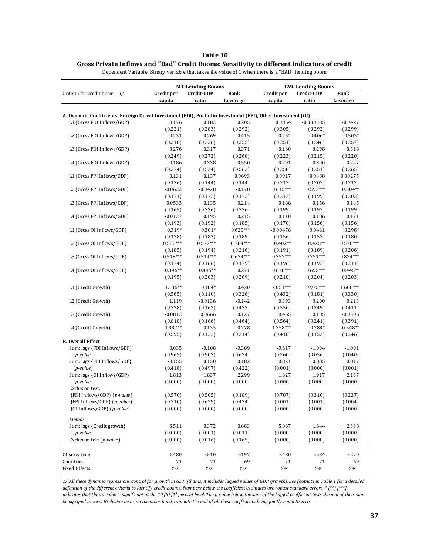#### **Table 10**

#### **Gross Private Inflows and "Bad" Credit Booms: Sensitivity to different indicators of credit**

|                                                                                                             |                      | <b>MT-Lending Booms</b> |                  | <b>GVL-Lending Booms</b> |                  |                  |  |
|-------------------------------------------------------------------------------------------------------------|----------------------|-------------------------|------------------|--------------------------|------------------|------------------|--|
| Criteria for credit boom 1/                                                                                 | Credit per           | Credit-GDP              | <b>Bank</b>      | Credit per               | <b>Bank</b>      |                  |  |
|                                                                                                             | capita               | ratio                   | Leverage         | capita                   | ratio            | Leverage         |  |
|                                                                                                             |                      |                         |                  |                          |                  |                  |  |
| A. Dynamic Coefficients: Foreign Direct Investment (FDI), Portfolio Investment (FPI), Other Investment (OI) |                      |                         |                  |                          |                  |                  |  |
| L1.(Gross FDI Inflows/GDP)                                                                                  | 0.176                | 0.182                   | 0.205            | 0.0864                   | $-0.000385$      | $-0.0427$        |  |
|                                                                                                             | (0.221)              | (0.283)                 | (0.292)          | (0.305)                  | (0.292)          | (0.299)          |  |
| L2.(Gross FDI Inflows/GDP)                                                                                  | $-0.231$             | $-0.269$                | $-0.415$         | $-0.252$                 | $-0.406*$        | $-0.503*$        |  |
|                                                                                                             | (0.318)              | (0.336)                 | (0.355)          | (0.251)                  | (0.246)          | (0.257)          |  |
| L3.(Gross FDI Inflows/GDP)                                                                                  | 0.276                | 0.317                   | 0.371            | $-0.160$                 | $-0.298$         | $-0.318$         |  |
|                                                                                                             | (0.249)              | (0.272)                 | (0.268)          | (0.223)                  | (0.215)          | (0.220)          |  |
| L4.(Gross FDI Inflows/GDP)                                                                                  | $-0.186$             | $-0.338$                | $-0.550$         | $-0.291$                 | $-0.300$         | $-0.227$         |  |
|                                                                                                             | (0.374)              | (0.534)                 | (0.563)          | (0.258)                  | (0.251)          | (0.265)          |  |
| L1.(Gross FPI Inflows/GDP)                                                                                  | $-0.131$             | $-0.137$                | $-0.0693$        | $-0.0917$                | $-0.0488$        | $-0.00275$       |  |
|                                                                                                             | (0.136)              | (0.144)                 | (0.144)          | (0.212)                  | (0.202)          | (0.217)          |  |
| L2.(Gross FPI Inflows/GDP)                                                                                  | $-0.0633$            | $-0.0428$               | $-0.178$         | $0.615***$               | $0.592***$       | $0.504**$        |  |
|                                                                                                             | (0.171)              | (0.172)                 | (0.172)          | (0.212)                  | (0.199)          | (0.203)          |  |
| L3.(Gross FPI Inflows/GDP)                                                                                  | 0.0533               | 0.135                   | 0.214            | 0.188                    | 0.156            | 0.145            |  |
| L4.(Gross FPI Inflows/GDP)                                                                                  | (0.165)<br>$-0.0137$ | (0.226)<br>0.195        | (0.236)<br>0.215 | (0.199)<br>0.110         | (0.193)<br>0.186 | (0.199)<br>0.171 |  |
|                                                                                                             | (0.193)              | (0.192)                 | (0.185)          | (0.170)                  | (0.156)          | (0.156)          |  |
| L1.(Gross OI Inflows/GDP)                                                                                   | 0.319*               | $0.301*$                | $0.620***$       | $-0.00476$               | 0.0461           | $0.298*$         |  |
|                                                                                                             | (0.178)              | (0.182)                 | (0.189)          | (0.156)                  | (0.153)          | (0.180)          |  |
| L2.(Gross OI Inflows/GDP)                                                                                   | $0.580***$           | $0.577***$              | $0.784***$       | $0.402**$                | $0.425**$        | $0.570***$       |  |
|                                                                                                             | (0.185)              | (0.194)                 | (0.216)          | (0.191)                  | (0.189)          | (0.206)          |  |
| L3.(Gross OI Inflows/GDP)                                                                                   | $0.518***$           | $0.514***$              | $0.624***$       | $0.752***$               | $0.751***$       | $0.824***$       |  |
|                                                                                                             | (0.174)              | (0.166)                 | (0.179)          | (0.196)                  | (0.192)          | (0.211)          |  |
| L4.(Gross OI Inflows/GDP)                                                                                   | 0.396**              | $0.445**$               | 0.271            | $0.678***$               | $0.695***$       | $0.445**$        |  |
|                                                                                                             | (0.195)              | (0.203)                 | (0.209)          | (0.210)                  | (0.204)          | (0.203)          |  |
| L1.(Credit Growth)                                                                                          | $1.136**$            | $0.184*$                | 0.420            | 2.851***                 | $0.975***$       | 1.608***         |  |
|                                                                                                             | (0.565)              | (0.110)                 | (0.326)          | (0.432)                  | (0.181)          | (0.330)          |  |
| L2.(Credit Growth)                                                                                          | 1.119                | $-0.0136$               | $-0.142$         | 0.393                    | 0.200            | 0.213            |  |
|                                                                                                             | (0.728)              | (0.163)                 | (0.473)          | (0.550)                  | (0.249)          | (0.411)          |  |
| L3.(Credit Growth)                                                                                          | $-0.0812$            | 0.0666                  | 0.127            | 0.465                    | 0.185            | $-0.0306$        |  |
|                                                                                                             | (0.818)              | (0.166)                 | (0.464)          | (0.564)                  | (0.241)          | (0.391)          |  |
| L4.(Credit Growth)                                                                                          | 1.337**              | 0.135                   | 0.278            | 1.358***                 | $0.284*$         | $0.548**$        |  |
|                                                                                                             | (0.595)              | (0.122)                 | (0.314)          | (0.410)                  | (0.153)          | (0.246)          |  |
| <b>B.</b> Overall Effect                                                                                    |                      |                         |                  |                          |                  |                  |  |
| Sum: lags {FDI Inflows/GDP}                                                                                 | 0.035                | $-0.108$                | $-0.389$         | $-0.617$                 | $-1.004$         | $-1.091$         |  |
| $(p-value)$                                                                                                 | (0.965)              | (0.902)                 | (0.674)          | (0.260)                  | (0.056)          | (0.040)          |  |
| Sum: lags {FPI Inflows/GDP}                                                                                 | $-0.155$             | 0.150                   | 0.182            | 0.821                    | 0.885            | 0.817            |  |
| $(p-value)$                                                                                                 | (0.418)              | (0.497)                 | (0.422)          | (0.001)                  | (0.000)          | (0.001)          |  |
| Sum: lags {OI Inflows/GDP}<br>$(p-value)$                                                                   | 1.813<br>(0.000)     | 1.837<br>(0.000)        | 2.299<br>(0.000) | 1.827<br>(0.000)         | 1.917<br>(0.000) | 2.137<br>(0.000) |  |
| <b>Exclusion test:</b>                                                                                      |                      |                         |                  |                          |                  |                  |  |
| {FDI Inflows/GDP} (p-value)                                                                                 | (0.570)              | (0.505)                 | (0.189)          | (0.707)                  | (0.310)          | (0.237)          |  |
| {FPI Inflows/GDP} (p-value)                                                                                 | (0.710)              | (0.629)                 | (0.434)          | (0.001)                  | (0.001)          | (0.004)          |  |
| {OI Inflows/GDP} (p-value)                                                                                  | (0.000)              | (0.000)                 | (0.000)          | (0.000)                  | (0.000)          | (0.000)          |  |
| Memo:                                                                                                       |                      |                         |                  |                          |                  |                  |  |
| Sum: lags {Credit growth}                                                                                   | 3.511                | 0.372                   | 0.683            | 5.067                    | 1.644            | 2.338            |  |
| $(p-value)$                                                                                                 | (0.000)              | (0.001)                 | (0.011)          | (0.000)                  | (0.000)          | (0.000)          |  |
| Exclusion test (p-value)                                                                                    | (0.000)              | (0.016)                 | (0.165)          | (0.000)                  | (0.000)          | (0.000)          |  |
|                                                                                                             |                      |                         |                  |                          |                  |                  |  |
| Observations                                                                                                | 5480                 | 5510                    | 5197             | 5480                     | 5584             | 5270             |  |
| Countries                                                                                                   | 71                   | 71                      | 69               | 71                       | 71               | 69               |  |
| <b>Fixed Effects</b>                                                                                        | Yes                  | Yes                     | Yes              | Yes                      | Yes              | Yes              |  |

Dependent Variable: Binary variable that takes the value of 1 when there is a "BAD" lending boom

*1/ All these dynamic regressions control for growth in GDP (that is, it includes lagged values of GDP growth). See footnote in Table 1 for a detailed definition of the different criteria to identify credit booms. Numbers below the coefficient estimates are robust standard errors. \* (\*\*) [\*\*\*] indicates that the variable is significant at the 10 (5) [1] percent level. The p-value below the sum of the lagged coefficient tests the null of their sum being equal to zero. Exclusion tests, on the other hand, evaluate the null of all these coefficients being jointly equal to zero.*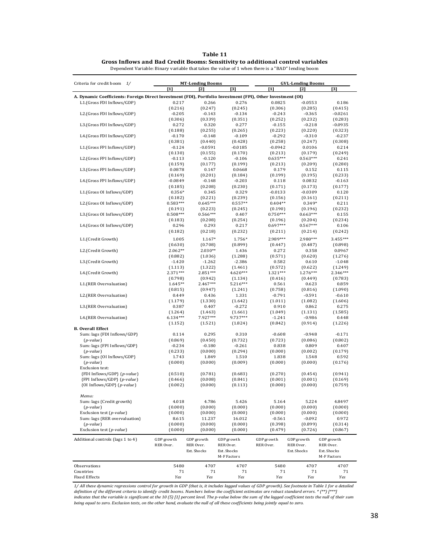| anıe |  |
|------|--|
|------|--|

**Gross Inflows and Bad Credit Booms: Sensitivity to additional control variables**

Dependent Variable: Binary variable that takes the value of 1 when there is a "BAD" lending boom

| Criteria for credit boom 1/                                                                                 |                      | <b>MT-Lending Booms</b> |                            |                       | <b>GVL-Lending Booms</b> |                            |  |  |  |  |
|-------------------------------------------------------------------------------------------------------------|----------------------|-------------------------|----------------------------|-----------------------|--------------------------|----------------------------|--|--|--|--|
|                                                                                                             | [1]                  | [2]                     | $\lceil 3 \rceil$          | [1]                   | [2]                      | $[3]$                      |  |  |  |  |
| A. Dynamic Coefficients: Foreign Direct Investment (FDI), Portfolio Investment (FPI), Other Investment (OI) |                      |                         |                            |                       |                          |                            |  |  |  |  |
| L1.(Gross FDI Inflows/GDP)                                                                                  | 0.217                | 0.266                   | 0.276                      | 0.0825                | $-0.0553$                | 0.186                      |  |  |  |  |
|                                                                                                             | (0.216)              | (0.247)                 | (0.245)                    | (0.306)               | (0.285)                  | (0.415)                    |  |  |  |  |
| L2.(Gross FDI Inflows/GDP)                                                                                  | $-0.205$             | $-0.143$                | -0.134                     | $-0.243$              | $-0.365$                 | $-0.0261$                  |  |  |  |  |
| L3.(Gross FDI Inflows/GDP)                                                                                  | (0.306)<br>0.272     | (0.339)<br>0.320        | (0.351)<br>0.277           | (0.252)<br>$-0.155$   | (0.232)<br>$-0.218$      | (0.283)<br>$-0.0935$       |  |  |  |  |
|                                                                                                             | (0.188)              | (0.255)                 | (0.265)                    | (0.223)               | (0.220)                  | (0.323)                    |  |  |  |  |
| L4.(Gross FDI Inflows/GDP)                                                                                  | $-0.170$             | $-0.148$                | $-0.109$                   | $-0.292$              | $-0.310$                 | $-0.237$                   |  |  |  |  |
|                                                                                                             | (0.381)              | (0.440)                 | (0.428)                    | (0.258)               | (0.247)                  | (0.308)                    |  |  |  |  |
| L1.(Gross FPI Inflows/GDP)                                                                                  | $-0.124$             | -0.0591                 | $-0.0185$                  | $-0.0942$             | 0.0106                   | 0.214                      |  |  |  |  |
|                                                                                                             | (0.130)              | (0.155)                 | (0.170)                    | (0.213)               | (0.179)                  | (0.249)                    |  |  |  |  |
| L2.(Gross FPI Inflows/GDP)                                                                                  | $-0.113$             | $-0.120$                | $-0.106$                   | $0.635***$            | $0.563***$               | 0.241                      |  |  |  |  |
| L3.(Gross FPI Inflows/GDP)                                                                                  | (0.159)              | (0.177)<br>0.147        | (0.199)                    | (0.213)<br>0.179      | (0.209)                  | (0.280)                    |  |  |  |  |
|                                                                                                             | 0.0878<br>(0.169)    | (0.201)                 | 0.0668<br>(0.184)          | (0.199)               | 0.152<br>(0.195)         | 0.115<br>(0.233)           |  |  |  |  |
| L4.(Gross FPI Inflows/GDP)                                                                                  | $-0.0849$            | $-0.148$                | $-0.203$                   | 0.118                 | 0.0832                   | $-0.163$                   |  |  |  |  |
|                                                                                                             | (0.185)              | (0.208)                 | (0.230)                    | (0.171)               | (0.173)                  | (0.177)                    |  |  |  |  |
| L1.(Gross OI Inflows/GDP)                                                                                   | $0.356*$             | 0.345                   | 0.329                      | $-0.0133$             | $-0.0309$                | 0.120                      |  |  |  |  |
|                                                                                                             | (0.182)              | (0.221)                 | (0.239)                    | (0.156)               | (0.161)                  | (0.211)                    |  |  |  |  |
| L2.(Gross OI Inflows/GDP)                                                                                   | $0.583***$           | $0.645***$              | $0.557**$                  | $0.404**$             | $0.349*$                 | 0.211                      |  |  |  |  |
|                                                                                                             | (0.191)              | (0.223)                 | (0.245)                    | (0.190)               | (0.196)                  | (0.232)                    |  |  |  |  |
| L3.(Gross OI Inflows/GDP)                                                                                   | $0.508***$           | $0.566***$              | 0.407                      | $0.750***$            | $0.663***$               | 0.155                      |  |  |  |  |
|                                                                                                             | (0.183)              | (0.208)                 | (0.254)                    | (0.196)<br>$0.697***$ | (0.204)                  | (0.234)                    |  |  |  |  |
| L4.(Gross OI Inflows/GDP)                                                                                   | 0.296<br>(0.182)     | 0.293<br>(0.218)        | 0.217<br>(0.232)           | (0.211)               | $0.567***$<br>(0.214)    | 0.106<br>(0.242)           |  |  |  |  |
|                                                                                                             |                      |                         |                            |                       |                          |                            |  |  |  |  |
| L1.(Credit Growth)                                                                                          | 1.005                | 1.167*                  | 1.756*                     | 2.989***              | 2.980***                 | 3.455***                   |  |  |  |  |
|                                                                                                             | (0.630)              | (0.708)                 | (0.899)                    | (0.447)               | (0.487)                  | (0.898)                    |  |  |  |  |
| L2.(Credit Growth)                                                                                          | $2.062**$<br>(0.882) | $2.030**$<br>(1.036)    | 1.436<br>(1.288)           | 0.272<br>(0.571)      | 0.358<br>(0.620)         | 0.0967<br>(1.276)          |  |  |  |  |
| L3.(Credit Growth)                                                                                          | $-1.420$             | $-1.262$                | $-2.386$                   | 0.582                 | 0.610                    | $-1.048$                   |  |  |  |  |
|                                                                                                             | (1.113)              | (1.322)                 | (1.461)                    | (0.572)               | (0.622)                  | (1.249)                    |  |  |  |  |
| L4.(Credit Growth)                                                                                          | 2.371***             | 2.851 ***               | 4.620***                   | 1.321***              | 1.276***                 | 2.346***                   |  |  |  |  |
|                                                                                                             | (0.798)              | (0.942)                 | (1.134)                    | (0.416)               | (0.449)                  | (0.783)                    |  |  |  |  |
| L1.(RER Overvaluation)                                                                                      | $1.645**$            | $2.467***$              | 5.216***                   | 0.561                 | 0.623                    | 0.859                      |  |  |  |  |
|                                                                                                             | (0.815)              | (0.947)                 | (1.241)                    | (0.758)               | (0.816)                  | (1.090)                    |  |  |  |  |
| L2.(RER Overvaluation)                                                                                      | 0.449                | 0.436                   | 1.331                      | $-0.791$              | $-0.591$                 | $-0.610$                   |  |  |  |  |
|                                                                                                             | (1.179)              | (1.330)                 | (1.642)                    | (1.011)               | (1.082)                  | (1.606)                    |  |  |  |  |
| L3.(RER Overvaluation)                                                                                      | 0.387<br>(1.264)     | 0.407<br>(1.463)        | $-0.272$<br>(1.661)        | 0.910<br>(1.049)      | 0.862<br>(1.131)         | 0.275<br>(1.585)           |  |  |  |  |
| L4.(RER Overvaluation)                                                                                      | $6.134***$           | 7.927***                | 9.737***                   | $-1.241$              | $-0.986$                 | 0.448                      |  |  |  |  |
|                                                                                                             | (1.152)              | (1.521)                 | (1.824)                    | (0.842)               | (0.914)                  | (1.226)                    |  |  |  |  |
| <b>B.</b> Overall Effect                                                                                    |                      |                         |                            |                       |                          |                            |  |  |  |  |
| Sum: lags {FDI Inflows/GDP}                                                                                 | 0.114                | 0.295                   | 0.310                      | $-0.608$              | $-0.948$                 | $-0.171$                   |  |  |  |  |
| $(p-value)$                                                                                                 | (0.869)              | (0.450)                 | (0.732)                    | (0.723)               | (0.086)                  | (0.802)                    |  |  |  |  |
| Sum: lags {FPI Inflows/GDP}                                                                                 | $-0.234$             | $-0.180$                | $-0.261$                   | 0.838                 | 0.809                    | 0.407                      |  |  |  |  |
| $(p-value)$                                                                                                 | (0.233)              | (0.000)                 | (0.294)                    | (0.000)               | (0.002)                  | (0.179)                    |  |  |  |  |
| Sum: lags {OI Inflows/GDP}                                                                                  | 1.743                | 1.849                   | 1.510                      | 1.838                 | 1.548                    | 0.592                      |  |  |  |  |
| $(p-value)$<br>Exclusion test:                                                                              | (0.000)              | (0.000)                 | (0.009)                    | (0.000)               | (0.000)                  | (0.176)                    |  |  |  |  |
| {FDI Inflows/GDP} (p-value)                                                                                 | (0.510)              | (0.781)                 | (0.683)                    | (0.270)               | (0.454)                  | (0.941)                    |  |  |  |  |
| {FPI Inflows/GDP} (p-value)                                                                                 | (0.466)              | (0.008)                 | (0.841)                    | (0.001)               | (0.001)                  | (0.169)                    |  |  |  |  |
| {OI Inflows/GDP} (p-value)                                                                                  | (0.002)              | (0.000)                 | (0.113)                    | (0.000)               | (0.000)                  | (0.759)                    |  |  |  |  |
|                                                                                                             |                      |                         |                            |                       |                          |                            |  |  |  |  |
| Memo:                                                                                                       |                      |                         |                            |                       |                          |                            |  |  |  |  |
| Sum: lags {Credit growth}                                                                                   | 4.018                | 4.786                   | 5.426                      | 5.164                 | 5.224                    | 4.8497                     |  |  |  |  |
| $(p-value)$                                                                                                 | (0.000)              | (0.000)                 | (0.000)                    | (0.000)               | (0.000)                  | (0.000)                    |  |  |  |  |
| Exclusion test $(p-value)$                                                                                  | (0.000)              | (0.000)                 | (0.000)                    | (0.000)<br>$-0.561$   | (0.000)<br>$-0.092$      | (0.000)                    |  |  |  |  |
| Sum: lags {RER overvaluation}<br>$(p-value)$                                                                | 8.615<br>(0.000)     | 11.237<br>(0.000)       | 16.012<br>(0.000)          | (0.398)               | (0.899)                  | 0.972<br>(0.314)           |  |  |  |  |
| Exclusion test $(p-value)$                                                                                  | (0.000)              | (0.000)                 | (0.000)                    | (0.479)               | (0.726)                  | (0.867)                    |  |  |  |  |
|                                                                                                             |                      |                         |                            |                       |                          |                            |  |  |  |  |
| Additional controls (lags 1 to 4)                                                                           | GDP growth           | GDP growth              | GDP growth                 | GDP growth            | GDP growth               | GDP growth                 |  |  |  |  |
|                                                                                                             | RER Over.            | RER Over.               | RER Over.                  | RER Over.             | RER Over.                | RER Over.                  |  |  |  |  |
|                                                                                                             |                      | Ext. Shocks             | Ext. Shocks<br>M-F Factors |                       | Ext. Shocks              | Ext. Shocks<br>M-F Factors |  |  |  |  |
|                                                                                                             |                      |                         |                            |                       |                          |                            |  |  |  |  |
| <b>Observations</b>                                                                                         | 5480                 | 4707                    | 4707                       | 5480                  | 4707                     | 4707                       |  |  |  |  |
| Countries                                                                                                   | 71                   | 71                      | 71                         | 71                    | 71                       | 71                         |  |  |  |  |
| <b>Fixed Effects</b>                                                                                        | Yes                  | Yes                     | Yes                        | Yes                   | Yes                      | Yes                        |  |  |  |  |

1/ All these dynamic regressions control for growth in GDP (that is, it includes lagged values of GDP growth). See footnote in Table 1 for a detailed<br>definition of the different criteria to identify credit booms. Numbers b *indicates that the variable is significant at the 10 (5) [1] percent level. The p-value below the sum of the lagged coefficient tests the null of their sum being equal to zero. Exclusion tests, on the other hand, evaluate the null of all these coefficients being jointly equal to zero.*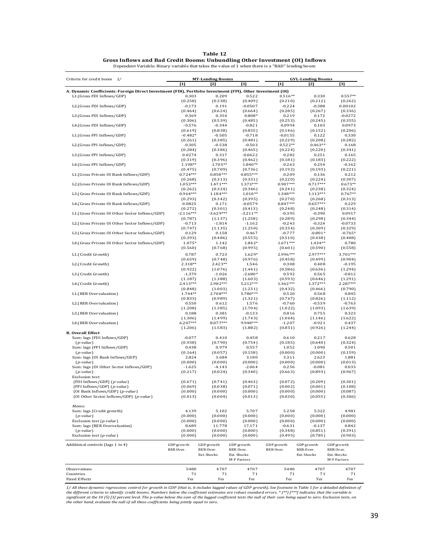| anle<br>ı |  |
|-----------|--|
|-----------|--|

**Gross Inflows and Bad Credit Booms: Unbundling Other Investment (OI) Inflows** Dependent Variable: Binary variable that takes the value of 1 when there is a "BAD" lending boom

| Criteria for credit boom 1/                                                                                 |                       | <b>MT-Lending Booms</b> |                      |                       |                                   |                      |
|-------------------------------------------------------------------------------------------------------------|-----------------------|-------------------------|----------------------|-----------------------|-----------------------------------|----------------------|
|                                                                                                             | $[1]$                 | [2]                     | [3]                  | $[1]$                 | <b>GVL-Lending Booms</b><br>$[2]$ | [3]                  |
| A. Dynamic Coefficients: Foreign Direct Investment (FDI), Portfolio Investment (FPI), Other Investment (OI) |                       |                         |                      |                       |                                   |                      |
| L1.(Gross FDI Inflows/GDP)                                                                                  | 0.303                 | 0.209                   | 0.522                | $0.516**$             | 0.330                             | $0.557**$            |
|                                                                                                             | (0.258)               | (0.338)                 | (0.409)              | (0.210)               | (0.212)                           | (0.262)              |
| L2.(Gross FDI Inflows/GDP)                                                                                  | $-0.173$              | 0.191<br>(0.624)        | $-0.0507$            | $-0.224$              | $-0.388$                          | 0.00102              |
| L3.(Gross FDI Inflows/GDP)                                                                                  | (0.464)<br>0.369      | 0.354                   | (0.664)<br>$0.808*$  | (0.285)<br>0.219      | (0.267)<br>0.172                  | (0.336)<br>$-0.0272$ |
|                                                                                                             | (0.306)               | (0.539)                 | (0.485)              | (0.253)               | (0.245)                           | (0.355)              |
| L4.(Gross FDI Inflows/GDP)                                                                                  | $-0.576$              | $-0.344$                | $-0.821$             | 0.0994                | 0.103                             | 0.0973               |
|                                                                                                             | (0.619)               | (0.838)                 | (0.835)              | (0.146)               | (0.152)                           | (0.206)              |
| L1.(Gross FPI Inflows/GDP)                                                                                  | $-0.482*$             | $-0.505$                | $-0.718$             | $-0.0155$             | 0.122                             | 0.330                |
| L2.(Gross FPI Inflows/GDP)                                                                                  | (0.261)               | (0.385)                 | (0.481)<br>$-0.503$  | (0.229)               | (0.208)                           | (0.282)              |
|                                                                                                             | $-0.305$<br>(0.284)   | $-0.538$<br>(0.386)     | (0.465)              | $0.522**$<br>(0.224)  | $0.463**$<br>(0.220)              | 0.168<br>(0.341)     |
| L3.(Gross FPI Inflows/GDP)                                                                                  | 0.0274                | 0.317                   | $-0.0622$            | 0.282                 | 0.251                             | 0.165                |
|                                                                                                             | (0.319)               | (0.396)                 | (0.462)              | (0.181)               | (0.183)                           | (0.222)              |
| L4.(Gross FPI Inflows/GDP)                                                                                  | 1.198**               | 1.705**                 | $1.840**$            | 0.263                 | 0.254                             | $-0.162$             |
|                                                                                                             | (0.475)               | (0.709)                 | (0.736)              | (0.192)               | (0.193)                           | (0.221)              |
| L1.(Gross Private OI Bank Inflows/GDP)                                                                      | $0.724***$            | $0.858***$              | $0.855***$           | 0.209                 | 0.136                             | 0.212                |
|                                                                                                             | (0.268)               | (0.313)                 | (0.331)              | (0.220)               | (0.224)                           | (0.307)              |
| L2.(Gross Private OI Bank Inflows/GDP)                                                                      | $1.053***$            | 1.471***                | 1.373***             | $0.907***$            | $0.717***$                        | $0.673**$            |
| L3.(Gross Private OI Bank Inflows/GDP)                                                                      | (0.262)<br>$0.964***$ | (0.324)<br>1.184***     | (0.346)<br>$1.010**$ | (0.241)<br>$1.348***$ | (0.238)<br>$1.113***$             | (0.324)<br>$0.767**$ |
|                                                                                                             | (0.293)               | (0.342)                 | (0.395)              | (0.270)               | (0.268)                           | (0.313)              |
| L4.(Gross Private OI Bank Inflows/GDP)                                                                      | 0.0825                | 0.171                   | $-0.0579$            | $0.847***$            | $0.657***$                        | 0.229                |
|                                                                                                             | (0.272)               | (0.301)                 | (0.413)              | (0.248)               | (0.248)                           | (0.314)              |
| L1.(Gross Private OI Other Sector Inflows/GDP)                                                              | $-2.116***$           | $-3.629***$             | $-3.211**$           | $-0.395$              | $-0.390$                          | 0.0917               |
|                                                                                                             | (0.787)               | (1.137)                 | (1.258)              | (0.289)               | (0.298)                           | (0.344)              |
| L2.(Gross Private OI Other Sector Inflows/GDP)                                                              | $-0.713$              | $-1.814$                | $-1.162$             | $-0.243$              | $-0.324$                          | $-0.0733$            |
|                                                                                                             | (0.747)               | (1.135)                 | (1.250)              | (0.334)               | (0.309)                           | (0.329)<br>$-0.765*$ |
| L3.(Gross Private OI Other Sector Inflows/GDP)                                                              | 0.129<br>(0.393)      | 0.158<br>(0.486)        | 0.467<br>(0.555)     | $-0.777$<br>(0.510)   | $-0.801*$<br>(0.438)              | (0.408)              |
| L4.(Gross Private OI Other Sector Inflows/GDP)                                                              | $1.075*$              | 1.142                   | 1.842*               | $1.671***$            | 1.434**                           | 0.780                |
|                                                                                                             | (0.560)               | (0.768)                 | (0.995)              | (0.601)               | (0.590)                           | (0.558)              |
| L1.(Credit Growth)                                                                                          | 0.787                 | 0.723                   | $1.629*$             | 2.996***              | 2.977***                          | 3.701***             |
|                                                                                                             | (0.659)               | (0.748)                 | (0.976)              | (0.458)               | (0.499)                           | (0.904)              |
| L2.(Credit Growth)                                                                                          | $2.318**$             | $2.423**$               | 1.546                | 0.308                 | 0.408                             | $-0.195$             |
|                                                                                                             | (0.922)               | (1.076)                 | (1.441)              | (0.586)               | (0.636)                           | (1.294)              |
| L3.(Credit Growth)                                                                                          | $-1.379$              | $-1.026$                | $-2.680*$            | 0.592                 | 0.565                             | $-0.812$             |
|                                                                                                             | (1.187)               | (1.388)                 | (1.603)              | (0.593)               | (0.646)                           | (1.291)              |
| L4.(Credit Growth)                                                                                          | $2.413***$            | 2.982***                | 5.212***             | $1.362***$            | 1.372***                          | 2.287***             |
|                                                                                                             | (0.848)               | (1.003)                 | (1.231)              | (0.432)               | (0.466)                           | (0.790)              |
| L1.(RER Overvaluation)                                                                                      | $1.744**$             | 2.708***<br>(0.989)     | 5.780***             | 0.520                 | 0.568                             | 0.845<br>(1.112)     |
| L2.(RER Overvaluation)                                                                                      | (0.833)<br>0.550      | 0.612                   | (1.321)<br>1.576     | (0.767)<br>$-0.760$   | (0.826)<br>$-0.539$               | $-0.763$             |
|                                                                                                             | (1.208)               | (1.385)                 | (1.704)              | (1.022)               | (1.093)                           | (1.639)              |
| L3.(RER Overvaluation)                                                                                      | 0.188                 | 0.381                   | $-0.133$             | 0.816                 | 0.755                             | 0.323                |
|                                                                                                             | (1.306)               | (1.499)                 | (1.743)              | (1.064)               | (1.146)                           | (1.622)              |
| L4.(RER Overvaluation)                                                                                      | 6.207***              | 8.077***                | 9.948***             | $-1.207$              | $-0.921$                          | 0.437                |
|                                                                                                             | (1.206)               | (1.583)                 | (1.882)              | (0.851)               | (0.926)                           | (1.244)              |
| <b>B.</b> Overall Effect                                                                                    |                       |                         |                      |                       |                                   |                      |
| Sum: lags {FDI Inflows/GDP}                                                                                 | $-0.077$              | 0.410                   | 0.458                | 0.610                 | 0.217                             | 0.628                |
| $(p-value)$<br>Sum: lags {FPI Inflows/GDP}                                                                  | (0.938)<br>0.438      | (0.790)<br>0.979        | (0.754)<br>0.557     | (0.185)<br>1.052      | (0.640)<br>1.090                  | (0.324)<br>0.501     |
| $(p-value)$                                                                                                 | (0.164)               | (0.057)                 | (0.158)              | (0.000)               | (0.000)                           | (0.159)              |
| Sum: lags {OI Bank Inflows/GDP}                                                                             | 2.824                 | 3.684                   | 3.180                | 3.311                 | 2.623                             | 1.881                |
| $(p-value)$                                                                                                 | (0.000)               | (0.000)                 | (0.000)              | (0.000)               | (0.000)                           | (0.013)              |
| Sum: lags {OI Other Sector Inflows/GDP}                                                                     | $-1.625$              | $-4.143$                | $-2.064$             | 0.256                 | $-0.081$                          | 0.033                |
| $(p-value)$                                                                                                 | (0.217)               | (0.024)                 | (0.340)              | (0.663)               | (0.893)                           | (0.967)              |
| <b>Exclusion test:</b>                                                                                      |                       |                         |                      |                       |                                   |                      |
| {FDI Inflows/GDP} (p-value)                                                                                 | (0.671)               | (0.741)                 | (0.463)              | (0.072)               | (0.209)<br>(0.001)                | (0.301)              |
| {FPI Inflows/GDP} (p-value)<br>{OI Bank Inflows/GDP} (p-value)                                              | (0.069)<br>(0.000)    | (0.038)<br>(0.000)      | (0.071)<br>(0.000)   | (0.002)<br>(0.000)    | (0.000)                           | (0.108)<br>(0.087)   |
| {OI Other Sector Inflows/GDP} (p-value)                                                                     | (0.013)               | (0.004)                 | (0.013)              | (0.030)               | (0.055)                           | (0.306)              |
|                                                                                                             |                       |                         |                      |                       |                                   |                      |
| Memo:                                                                                                       |                       |                         |                      |                       |                                   |                      |
| Sum: lags {Credit growth}                                                                                   | 4.139                 | 5.102                   | 5.707                | 5.258                 | 5.322                             | 4.981                |
| $(p-value)$                                                                                                 | (0.000)               | (0.000)                 | (0.000)              | (0.000)               | (0.000)                           | (0.000)              |
| Exclusion test $(p-value)$                                                                                  | (0.000)               | (0.000)                 | (0.000)              | (0.000)               | (0.000)                           | (0.000)              |
| Sum: lags {RER Overvaluation}                                                                               | 8.689                 | 11.778                  | 17.171               | $-0.631$              | $-0.137$                          | 0.842                |
| $(p-value)$<br>Exclusion test (p-value)                                                                     | (0.000)<br>(0.000)    | (0.000)<br>(0.000)      | (0.000)<br>(0.000)   | (0.348)<br>(0.495)    | (0.851)<br>(0.785)                | (0.391)<br>(0.903)   |
|                                                                                                             |                       |                         |                      |                       |                                   |                      |
| Additional controls (lags 1 to 4)                                                                           | GDP growth            | GDP growth              | GDP growth           | GDP growth            | GDP growth                        | GDP growth           |
|                                                                                                             | RER Over.             | RER Over.               | RER Over.            | RER Over.             | RER Over.                         | RER Over.            |
|                                                                                                             |                       | Ext. Shocks             | Ext. Shocks          |                       | Ext. Shocks                       | Ext. Shocks          |
|                                                                                                             |                       |                         | M-F Factors          |                       |                                   | M-F Factors          |
| Observations                                                                                                | 5480                  | 4707                    | 4707                 | 5480                  | 4707                              | 4707                 |
| Countries                                                                                                   | 71                    | 71                      | 71                   | 71                    | 71                                | 71                   |
| <b>Fixed Effects</b>                                                                                        | Yes                   | Yes                     | Yes                  | Yes                   | Yes                               | Yes                  |

1/ All these dynamic regressions control for growth in GDP (that is, it includes lagged values of GDP growth). See footnote in Table 1 for a detailed definition of<br>the different criteria to identify credit booms. Numbers b significant at the 10 (5) [1] percent level. The p-value below the sum of the lagged coefficient tests the null of their sum being equal to zero. Exclusion tests, on<br>the other hand, evaluate the null of all these coefficie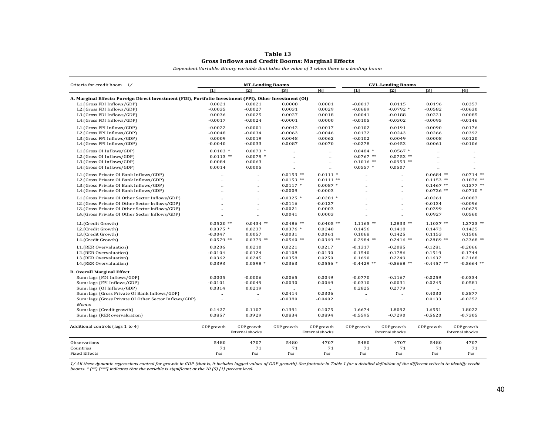#### **Gross Inflows and Credit Booms: Marginal Effects Table 13**

*Dependent Variable: Binary variable that takes the value of 1 when there is a lending boom*

| Criteria for credit boom 1/                                                                             | <b>MT-Lending Booms</b> |                        |                      |                        |                      | <b>GVL-Lending Booms</b> |                      |                 |  |
|---------------------------------------------------------------------------------------------------------|-------------------------|------------------------|----------------------|------------------------|----------------------|--------------------------|----------------------|-----------------|--|
|                                                                                                         | [1]                     | [2]                    | [3]                  | [4]                    | [1]                  | [2]                      | [3]                  | [4]             |  |
| A. Marginal Effects: Foreign Direct Investment (FDI), Portfolio Investment (FPI), Other Investment (OI) |                         |                        |                      |                        |                      |                          |                      |                 |  |
| L1.(Gross FDI Inflows/GDP)                                                                              | 0.0021                  | 0.0021                 | 0.0008               | 0.0001                 | $-0.0017$            | 0.0115                   | 0.0196               | 0.0357          |  |
| L2.(Gross FDI Inflows/GDP)                                                                              | $-0.0035$               | $-0.0027$              | 0.0031               | 0.0029                 | $-0.0689$            | $-0.0792$ *              | $-0.0582$            | $-0.0630$       |  |
| L3.(Gross FDI Inflows/GDP)                                                                              | 0.0036                  | 0.0025                 | 0.0027               | 0.0018                 | 0.0041               | $-0.0188$                | 0.0221               | 0.0085          |  |
| L4.(Gross FDI Inflows/GDP)                                                                              | $-0.0017$               | $-0.0024$              | $-0.0001$            | 0.0000                 | $-0.0105$            | $-0.0302$                | $-0.0095$            | $-0.0146$       |  |
| L1.(Gross FPI Inflows/GDP)                                                                              | $-0.0022$               | $-0.0001$              | $-0.0042$            | $-0.0017$              | $-0.0102$            | 0.0191                   | $-0.0090$            | 0.0176          |  |
| L2.(Gross FPI Inflows/GDP)                                                                              | $-0.0048$               | $-0.0034$              | $-0.0063$            | $-0.0046$              | 0.0172               | 0.0243                   | 0.0266               | 0.0392          |  |
| L3.(Gross FPI Inflows/GDP)                                                                              | 0.0009                  | 0.0019                 | 0.0048               | 0.0062                 | $-0.0102$            | 0.0049                   | 0.0008               | 0.0120          |  |
| L4.(Gross FPI Inflows/GDP)                                                                              | $-0.0040$               | $-0.0033$              | 0.0087               | 0.0070                 | $-0.0278$            | $-0.0453$                | 0.0061               | $-0.0106$       |  |
| L1.(Gross OI Inflows/GDP)                                                                               | $0.0103$ *              | $0.0073$ *             |                      | $\ddot{\phantom{a}}$   | $0.0484$ *           | $0.0567$ *               |                      |                 |  |
| L2.(Gross OI Inflows/GDP)                                                                               | $0.0113$ **             | $0.0079*$              |                      | à.                     | $0.0767$ **          | $0.0753$ **              | $\ddot{\phantom{a}}$ |                 |  |
| L3.(Gross OI Inflows/GDP)                                                                               | 0.0084                  | 0.0063                 | $\ddotsc$            | ÷,                     | $0.1016$ **          | $0.0953$ **              | $\ddot{\phantom{a}}$ |                 |  |
| L4.(Gross OI Inflows/GDP)                                                                               | 0.0014                  | 0.0005                 | $\ddot{\phantom{a}}$ | ä.                     | $0.0557$ *           | 0.0507                   | $\ddot{\phantom{a}}$ |                 |  |
| L1.(Gross Private OI Bank Inflows/GDP)                                                                  |                         |                        | $0.0153$ **          | $0.0111$ *             |                      |                          | $0.0684$ **          | $0.0714$ **     |  |
| L2.(Gross Private OI Bank Inflows/GDP)                                                                  | $\ddot{\phantom{a}}$    | $\ddot{\phantom{a}}$   | $0.0153$ **          | $0.0111**$             |                      | $\ddot{\phantom{a}}$     | $0.1153$ **          | $0.1076$ **     |  |
| L3.(Gross Private OI Bank Inflows/GDP)                                                                  |                         |                        | $0.0117$ *           | $0.0087*$              |                      | $\cdot$                  | $0.1467$ **          | $0.1377**$      |  |
| L4.(Gross Private OI Bank Inflows/GDP)                                                                  |                         |                        | $-0.0009$            | $-0.0003$              |                      | $\ddot{\phantom{a}}$     | $0.0726$ **          | $0.0710*$       |  |
| L1.(Gross Private OI Other Sector Inflows/GDP)                                                          |                         |                        | $-0.0325$ *          | $-0.0281$ *            |                      |                          | $-0.0261$            | $-0.0087$       |  |
| L2.(Gross Private OI Other Sector Inflows/GDP)                                                          |                         |                        | $-0.0116$            | $-0.0127$              |                      | $\ddot{\phantom{a}}$     | $-0.0134$            | $-0.0096$       |  |
| L3.(Gross Private OI Other Sector Inflows/GDP)                                                          |                         |                        | 0.0021               | 0.0003                 |                      | $\ddotsc$                | $-0.0399$            | $-0.0629$       |  |
| L4.(Gross Private OI Other Sector Inflows/GDP)                                                          |                         | $\ddot{\phantom{a}}$   | 0.0041               | 0.0003                 | $\ddot{\phantom{a}}$ | $\ddot{\phantom{a}}$     | 0.0927               | 0.0560          |  |
| L1.(Credit Growth)                                                                                      | $0.0520$ **             | $0.0434$ **            | $0.0486$ **          | $0.0405$ **            | $1.1165$ **          | $1.2833$ **              | $1.1037**$           | $1.2723$ **     |  |
| L2.(Credit Growth)                                                                                      | $0.0375$ *              | 0.0237                 | $0.0376*$            | 0.0240                 | 0.1456               | 0.1418                   | 0.1473               | 0.1425          |  |
| L3.(Credit Growth)                                                                                      | $-0.0047$               | 0.0057                 | $-0.0031$            | 0.0061                 | 0.1068               | 0.1425                   | 0.1153               | 0.1506          |  |
| L4.(Credit Growth)                                                                                      | $0.0579$ **             | $0.0379$ **            | $0.0560$ **          | $0.0369**$             | $0.2984$ **          | $0.2416$ **              | $0.2889$ **          | $0.2368$ **     |  |
| L1.(RER Overvaluation)                                                                                  | 0.0206                  | 0.0210                 | 0.0221               | 0.0217                 | $-0.1317$            | $-0.2085$                | $-0.1281$            | $-0.2066$       |  |
| L2.(RER Overvaluation)                                                                                  | $-0.0104$               | $-0.0124$              | $-0.0108$            | $-0.0130$              | $-0.1540$            | $-0.1786$                | $-0.1519$            | $-0.1744$       |  |
| L3.(RER Overvaluation)                                                                                  | 0.0362                  | 0.0245                 | 0.0358               | 0.0250                 | 0.1690               | 0.2249                   | 0.1637               | 0.2168          |  |
| L4.(RER Overvaluation)                                                                                  | 0.0393                  | $0.0598*$              | 0.0363               | $0.0556*$              | $-0.4429$ **         | $-0.5668$ **             | $-0.4457$ **         | $-0.5664$ **    |  |
| <b>B. Overall Marginal Effect</b>                                                                       |                         |                        |                      |                        |                      |                          |                      |                 |  |
| Sum: lags {FDI Inflows/GDP}                                                                             | 0.0005                  | $-0.0006$              | 0.0065               | 0.0049                 | $-0.0770$            | $-0.1167$                | $-0.0259$            | $-0.0334$       |  |
| Sum: lags {FPI Inflows/GDP}                                                                             | $-0.0101$               | $-0.0049$              | 0.0030               | 0.0069                 | $-0.0310$            | 0.0031                   | 0.0245               | 0.0581          |  |
| Sum: lags {OI Inflows/GDP}                                                                              | 0.0314                  | 0.0219                 | $\cdot$              |                        | 0.2825               | 0.2779                   |                      |                 |  |
| Sum: lags {Gross Private OI Bank Inflows/GDP}                                                           | $\cdot$                 | $\cdot$                | 0.0414               | 0.0306                 | $\cdot$              | $\cdot$                  | 0.4030               | 0.3877          |  |
| Sum: lags {Gross Private OI Other Sector Inflows/GDP}                                                   | $\ddot{\phantom{a}}$    | $\ddot{\phantom{a}}$   | $-0.0380$            | $-0.0402$              | $\ddot{\phantom{a}}$ | $\cdot$                  | 0.0133               | $-0.0252$       |  |
| Memo:                                                                                                   | 0.1427                  | 0.1107                 | 0.1391               | 0.1075                 | 1.6674               | 1.8092                   | 1.6551               | 1.8022          |  |
| Sum: lags {Credit growth}<br>Sum: lags {RER overvaluation}                                              | 0.0857                  | 0.0929                 | 0.0834               | 0.0894                 | $-0.5595$            | $-0.7290$                | $-0.5620$            | $-0.7305$       |  |
|                                                                                                         |                         |                        |                      |                        |                      |                          |                      |                 |  |
| Additional controls (lags 1 to 4)                                                                       | GDP growth              | GDP growth             | GDP growth           | GDP growth             | GDP growth           | GDP growth               | GDP growth           | GDP growth      |  |
|                                                                                                         |                         | <b>External shocks</b> |                      | <b>External shocks</b> |                      | External shocks          |                      | External shocks |  |
| Observations                                                                                            | 5480                    | 4707                   | 5480                 | 4707                   | 5480                 | 4707                     | 5480                 | 4707            |  |
| Countries                                                                                               | 71                      | 71                     | 71                   | 71                     | 71                   | 71                       | 71                   | 71              |  |
| <b>Fixed Effects</b>                                                                                    | Yes                     | Yes                    | Yes                  | Yes                    | Yes                  | Yes                      | Yes                  | Yes             |  |

*1/ All these dynamic regressions control for growth in GDP (that is, it includes lagged values of GDP growth). See footnote in Table 1 for a detailed definition of the different criteria to identify credit booms. \* (\*\*) [\*\*\*] indicates that the variable is significant at the 10 (5) [1] percent level.*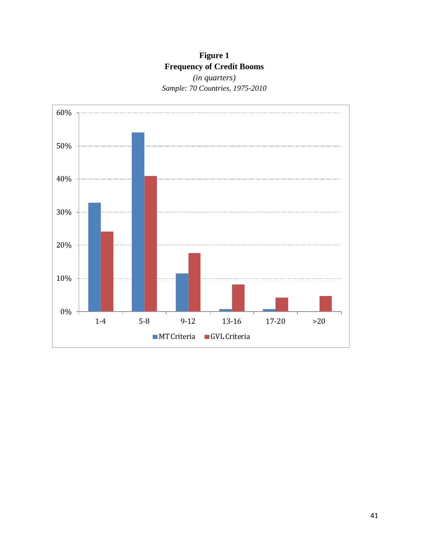## **Figure 1 Frequency of Credit Booms**

*(in quarters) Sample: 70 Countries, 1975-2010* 

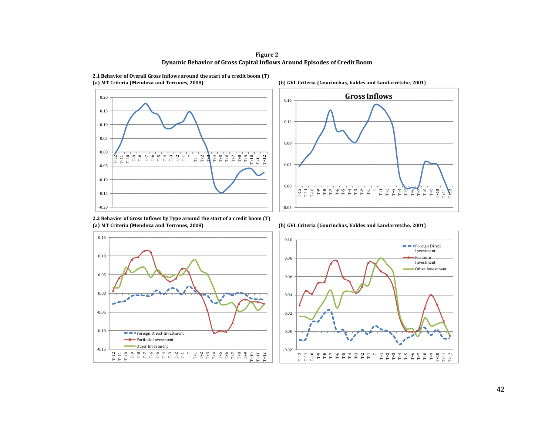**Figure 2 Dynamic Behavior of Gross Capital Inflows Around Episodes of Credit Boom**





**2.2 Behavior of Gross Inflows by Type around the start of a credit boom (T)**





**(a) MT Criteria (Mendoza and Terrones, 2008) (b) GVL Criteria (Gourinchas, Valdes and Landarretche, 2001)**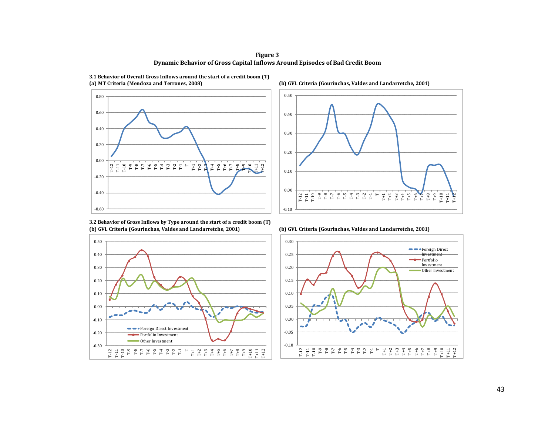**Figure 3 Dynamic Behavior of Gross Capital Inflows Around Episodes of Bad Credit Boom**



**3.1 Behavior of Overall Gross Inflows around the start of a credit boom (T) (a) MT Criteria (Mendoza and Terrones, 2008) (b) GVL Criteria (Gourinchas, Valdes and Landarretche, 2001)**